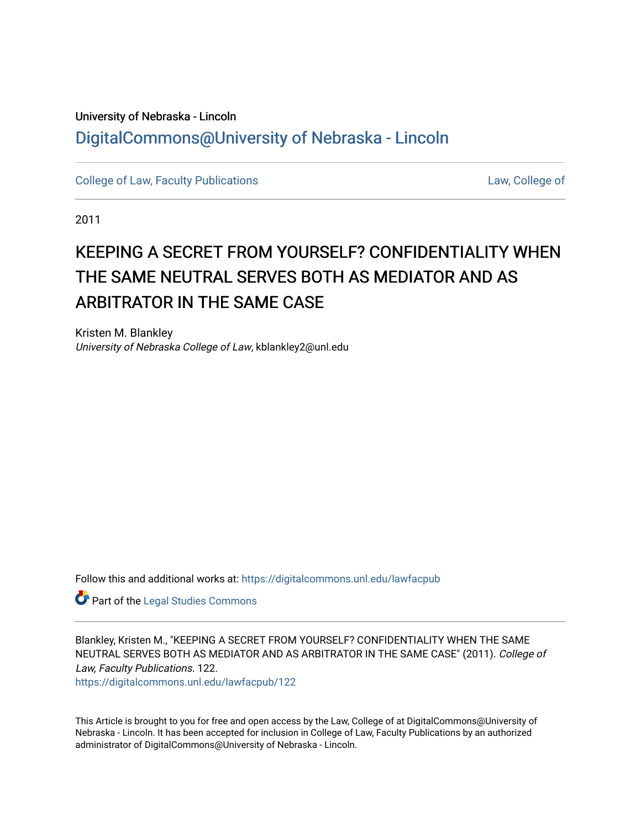## University of Nebraska - Lincoln [DigitalCommons@University of Nebraska - Lincoln](https://digitalcommons.unl.edu/)

[College of Law, Faculty Publications](https://digitalcommons.unl.edu/lawfacpub) [Law, College of](https://digitalcommons.unl.edu/law) Law, College of

2011

# KEEPING A SECRET FROM YOURSELF? CONFIDENTIALITY WHEN THE SAME NEUTRAL SERVES BOTH AS MEDIATOR AND AS ARBITRATOR IN THE SAME CASE

Kristen M. Blankley University of Nebraska College of Law, kblankley2@unl.edu

Follow this and additional works at: [https://digitalcommons.unl.edu/lawfacpub](https://digitalcommons.unl.edu/lawfacpub?utm_source=digitalcommons.unl.edu%2Flawfacpub%2F122&utm_medium=PDF&utm_campaign=PDFCoverPages) 

Part of the [Legal Studies Commons](http://network.bepress.com/hgg/discipline/366?utm_source=digitalcommons.unl.edu%2Flawfacpub%2F122&utm_medium=PDF&utm_campaign=PDFCoverPages) 

Blankley, Kristen M., "KEEPING A SECRET FROM YOURSELF? CONFIDENTIALITY WHEN THE SAME NEUTRAL SERVES BOTH AS MEDIATOR AND AS ARBITRATOR IN THE SAME CASE" (2011). College of Law, Faculty Publications. 122.

[https://digitalcommons.unl.edu/lawfacpub/122](https://digitalcommons.unl.edu/lawfacpub/122?utm_source=digitalcommons.unl.edu%2Flawfacpub%2F122&utm_medium=PDF&utm_campaign=PDFCoverPages) 

This Article is brought to you for free and open access by the Law, College of at DigitalCommons@University of Nebraska - Lincoln. It has been accepted for inclusion in College of Law, Faculty Publications by an authorized administrator of DigitalCommons@University of Nebraska - Lincoln.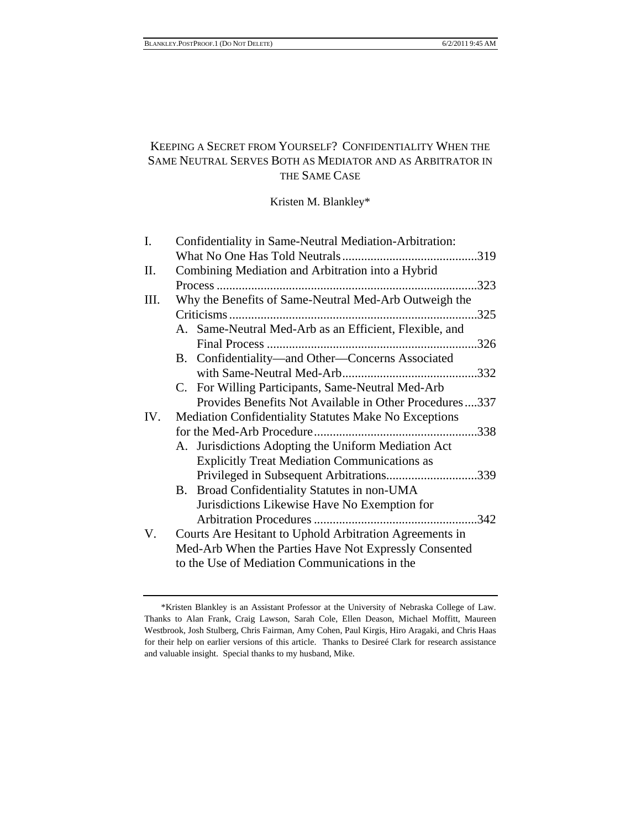### KEEPING A SECRET FROM YOURSELF? CONFIDENTIALITY WHEN THE SAME NEUTRAL SERVES BOTH AS MEDIATOR AND AS ARBITRATOR IN THE SAME CASE

Kristen M. Blankley\*

| I.   | Confidentiality in Same-Neutral Mediation-Arbitration:       |      |
|------|--------------------------------------------------------------|------|
|      |                                                              |      |
| II.  | Combining Mediation and Arbitration into a Hybrid            |      |
|      | Process                                                      | .323 |
| III. | Why the Benefits of Same-Neutral Med-Arb Outweigh the        |      |
|      |                                                              | .325 |
|      | A. Same-Neutral Med-Arb as an Efficient, Flexible, and       |      |
|      |                                                              | .326 |
|      | B. Confidentiality—and Other—Concerns Associated             |      |
|      |                                                              |      |
|      | C. For Willing Participants, Same-Neutral Med-Arb            |      |
|      | Provides Benefits Not Available in Other Procedures337       |      |
| IV.  | <b>Mediation Confidentiality Statutes Make No Exceptions</b> |      |
|      |                                                              |      |
|      | A. Jurisdictions Adopting the Uniform Mediation Act          |      |
|      | <b>Explicitly Treat Mediation Communications as</b>          |      |
|      | Privileged in Subsequent Arbitrations339                     |      |
|      | B. Broad Confidentiality Statutes in non-UMA                 |      |
|      | Jurisdictions Likewise Have No Exemption for                 |      |
|      |                                                              | .342 |
| V.   | Courts Are Hesitant to Uphold Arbitration Agreements in      |      |
|      | Med-Arb When the Parties Have Not Expressly Consented        |      |
|      | to the Use of Mediation Communications in the                |      |

 <sup>\*</sup>Kristen Blankley is an Assistant Professor at the University of Nebraska College of Law. Thanks to Alan Frank, Craig Lawson, Sarah Cole, Ellen Deason, Michael Moffitt, Maureen Westbrook, Josh Stulberg, Chris Fairman, Amy Cohen, Paul Kirgis, Hiro Aragaki, and Chris Haas for their help on earlier versions of this article. Thanks to Desireé Clark for research assistance and valuable insight. Special thanks to my husband, Mike.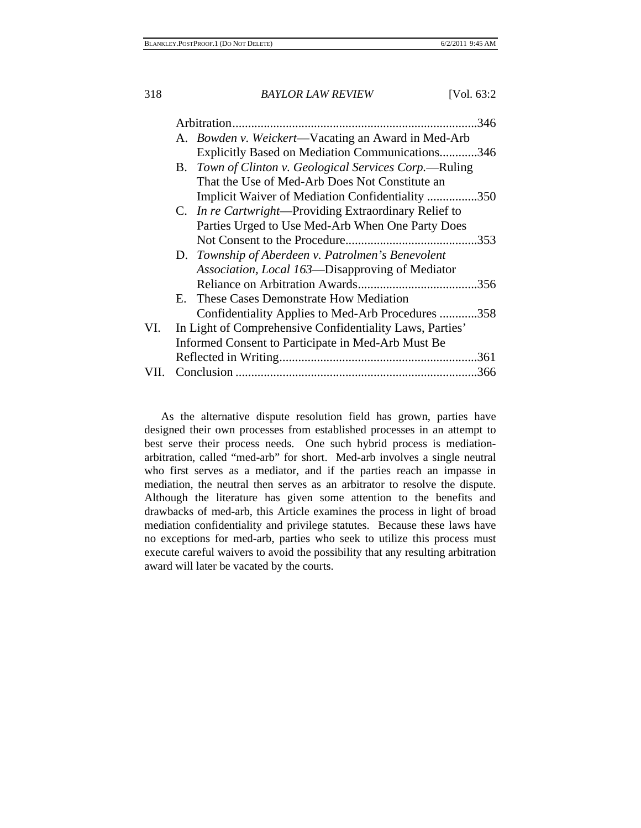|      |    |                                                               | 346 |
|------|----|---------------------------------------------------------------|-----|
|      |    | A. <i>Bowden v. Weickert</i> —Vacating an Award in Med-Arb    |     |
|      |    | Explicitly Based on Mediation Communications346               |     |
|      | В. | Town of Clinton v. Geological Services Corp.—Ruling           |     |
|      |    | That the Use of Med-Arb Does Not Constitute an                |     |
|      |    | Implicit Waiver of Mediation Confidentiality 350              |     |
|      |    | C. <i>In re Cartwright</i> —Providing Extraordinary Relief to |     |
|      |    | Parties Urged to Use Med-Arb When One Party Does              |     |
|      |    |                                                               |     |
|      |    | D. Township of Aberdeen v. Patrolmen's Benevolent             |     |
|      |    | Association, Local 163—Disapproving of Mediator               |     |
|      |    |                                                               |     |
|      |    | E. These Cases Demonstrate How Mediation                      |     |
|      |    | Confidentiality Applies to Med-Arb Procedures 358             |     |
| VI.  |    | In Light of Comprehensive Confidentiality Laws, Parties'      |     |
|      |    | Informed Consent to Participate in Med-Arb Must Be            |     |
|      |    |                                                               |     |
| VII. |    |                                                               |     |

As the alternative dispute resolution field has grown, parties have designed their own processes from established processes in an attempt to best serve their process needs. One such hybrid process is mediationarbitration, called "med-arb" for short. Med-arb involves a single neutral who first serves as a mediator, and if the parties reach an impasse in mediation, the neutral then serves as an arbitrator to resolve the dispute. Although the literature has given some attention to the benefits and drawbacks of med-arb, this Article examines the process in light of broad mediation confidentiality and privilege statutes. Because these laws have no exceptions for med-arb, parties who seek to utilize this process must execute careful waivers to avoid the possibility that any resulting arbitration award will later be vacated by the courts.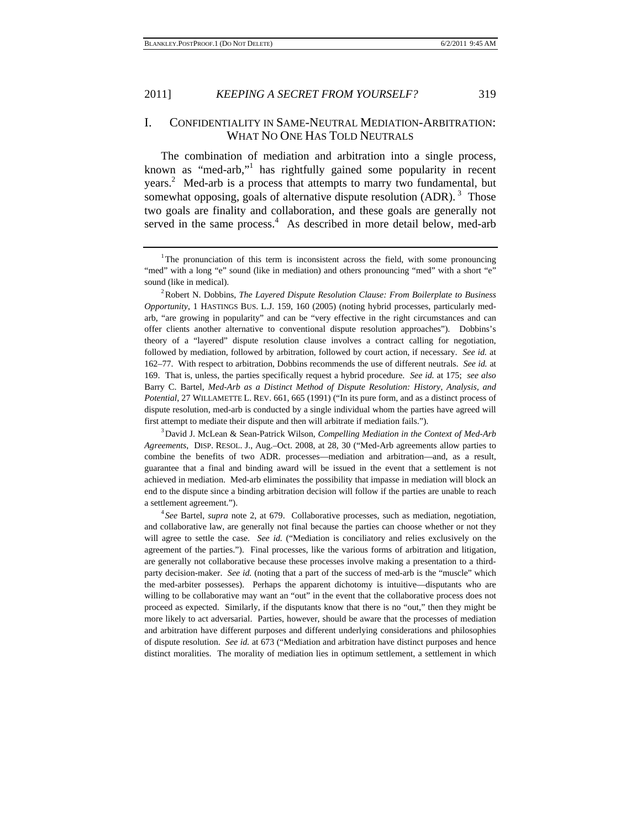#### I. CONFIDENTIALITY IN SAME-NEUTRAL MEDIATION-ARBITRATION: WHAT NO ONE HAS TOLD NEUTRALS

The combination of mediation and arbitration into a single process, known as "med-arb,"<sup>1</sup> has rightfully gained some popularity in recent years.<sup>2</sup> Med-arb is a process that attempts to marry two fundamental, but somewhat opposing, goals of alternative dispute resolution  $(ADR)$ .<sup>3</sup> Those two goals are finality and collaboration, and these goals are generally not served in the same process. $4$  As described in more detail below, med-arb

Robert N. Dobbins, *The Layered Dispute Resolution Clause: From Boilerplate to Business Opportunity*, 1 HASTINGS BUS. L.J. 159, 160 (2005) (noting hybrid processes, particularly medarb, "are growing in popularity" and can be "very effective in the right circumstances and can offer clients another alternative to conventional dispute resolution approaches"). Dobbins's theory of a "layered" dispute resolution clause involves a contract calling for negotiation, followed by mediation, followed by arbitration, followed by court action, if necessary. *See id.* at 162–77. With respect to arbitration, Dobbins recommends the use of different neutrals. *See id.* at 169. That is, unless, the parties specifically request a hybrid procedure. *See id.* at 175; *see also*  Barry C. Bartel, *Med-Arb as a Distinct Method of Dispute Resolution: History, Analysis, and Potential*, 27 WILLAMETTE L. REV. 661, 665 (1991) ("In its pure form, and as a distinct process of dispute resolution, med-arb is conducted by a single individual whom the parties have agreed will first attempt to mediate their dispute and then will arbitrate if mediation fails.").

David J. McLean & Sean-Patrick Wilson, *Compelling Mediation in the Context of Med-Arb Agreements*, DISP. RESOL. J., Aug.–Oct. 2008, at 28, 30 ("Med-Arb agreements allow parties to combine the benefits of two ADR. processes—mediation and arbitration—and, as a result, guarantee that a final and binding award will be issued in the event that a settlement is not achieved in mediation. Med-arb eliminates the possibility that impasse in mediation will block an end to the dispute since a binding arbitration decision will follow if the parties are unable to reach a settlement agreement.").

*See* Bartel, *supra* note 2, at 679. Collaborative processes, such as mediation, negotiation, and collaborative law, are generally not final because the parties can choose whether or not they will agree to settle the case. *See id.* ("Mediation is conciliatory and relies exclusively on the agreement of the parties."). Final processes, like the various forms of arbitration and litigation, are generally not collaborative because these processes involve making a presentation to a thirdparty decision-maker. *See id.* (noting that a part of the success of med-arb is the "muscle" which the med-arbiter possesses). Perhaps the apparent dichotomy is intuitive—disputants who are willing to be collaborative may want an "out" in the event that the collaborative process does not proceed as expected. Similarly, if the disputants know that there is no "out," then they might be more likely to act adversarial. Parties, however, should be aware that the processes of mediation and arbitration have different purposes and different underlying considerations and philosophies of dispute resolution. *See id.* at 673 ("Mediation and arbitration have distinct purposes and hence distinct moralities. The morality of mediation lies in optimum settlement, a settlement in which

<sup>&</sup>lt;sup>1</sup>The pronunciation of this term is inconsistent across the field, with some pronouncing "med" with a long "e" sound (like in mediation) and others pronouncing "med" with a short "e" sound (like in medical).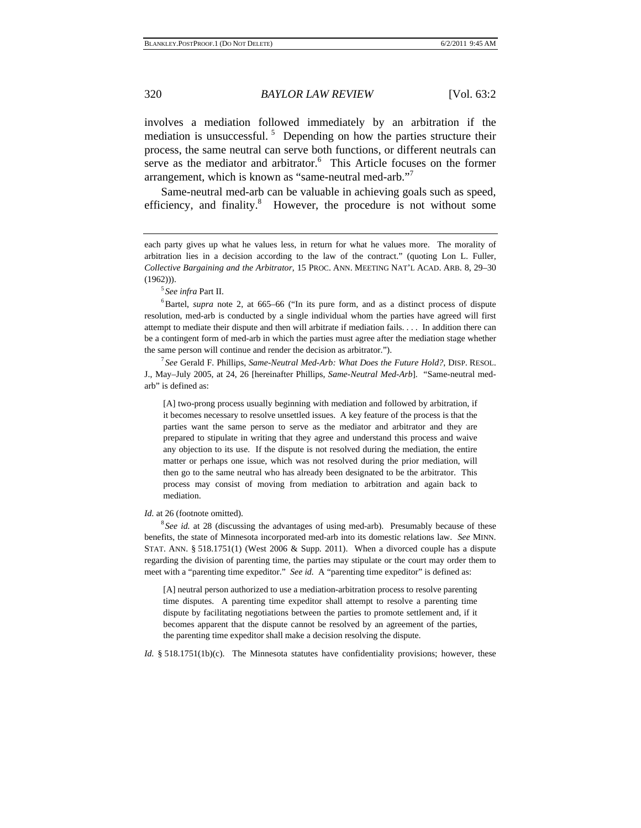involves a mediation followed immediately by an arbitration if the mediation is unsuccessful.<sup>5</sup> Depending on how the parties structure their process, the same neutral can serve both functions, or different neutrals can serve as the mediator and arbitrator.<sup>6</sup> This Article focuses on the former arrangement, which is known as "same-neutral med-arb."7

Same-neutral med-arb can be valuable in achieving goals such as speed, efficiency, and finality.<sup>8</sup> However, the procedure is not without some

*See infra* Part II. 6

<sup>6</sup>Bartel, *supra* note 2, at 665–66 ("In its pure form, and as a distinct process of dispute resolution, med-arb is conducted by a single individual whom the parties have agreed will first attempt to mediate their dispute and then will arbitrate if mediation fails. . . . In addition there can be a contingent form of med-arb in which the parties must agree after the mediation stage whether the same person will continue and render the decision as arbitrator.").

*See* Gerald F. Phillips, *Same-Neutral Med-Arb: What Does the Future Hold?*, DISP. RESOL. J., May–July 2005, at 24, 26 [hereinafter Phillips, *Same-Neutral Med-Arb*]. "Same-neutral medarb" is defined as:

[A] two-prong process usually beginning with mediation and followed by arbitration, if it becomes necessary to resolve unsettled issues. A key feature of the process is that the parties want the same person to serve as the mediator and arbitrator and they are prepared to stipulate in writing that they agree and understand this process and waive any objection to its use. If the dispute is not resolved during the mediation, the entire matter or perhaps one issue, which was not resolved during the prior mediation, will then go to the same neutral who has already been designated to be the arbitrator. This process may consist of moving from mediation to arbitration and again back to mediation.

*Id.* at 26 (footnote omitted).

<sup>8</sup> See id. at 28 (discussing the advantages of using med-arb). Presumably because of these benefits, the state of Minnesota incorporated med-arb into its domestic relations law. *See* MINN. STAT. ANN.  $\S 518.1751(1)$  (West 2006 & Supp. 2011). When a divorced couple has a dispute regarding the division of parenting time, the parties may stipulate or the court may order them to meet with a "parenting time expeditor." *See id.* A "parenting time expeditor" is defined as:

[A] neutral person authorized to use a mediation-arbitration process to resolve parenting time disputes. A parenting time expeditor shall attempt to resolve a parenting time dispute by facilitating negotiations between the parties to promote settlement and, if it becomes apparent that the dispute cannot be resolved by an agreement of the parties, the parenting time expeditor shall make a decision resolving the dispute.

*Id.* § 518.1751(1b)(c). The Minnesota statutes have confidentiality provisions; however, these

each party gives up what he values less, in return for what he values more. The morality of arbitration lies in a decision according to the law of the contract." (quoting Lon L. Fuller, *Collective Bargaining and the Arbitrator*, 15 PROC. ANN. MEETING NAT'L ACAD. ARB. 8, 29–30  $(1962))$ ).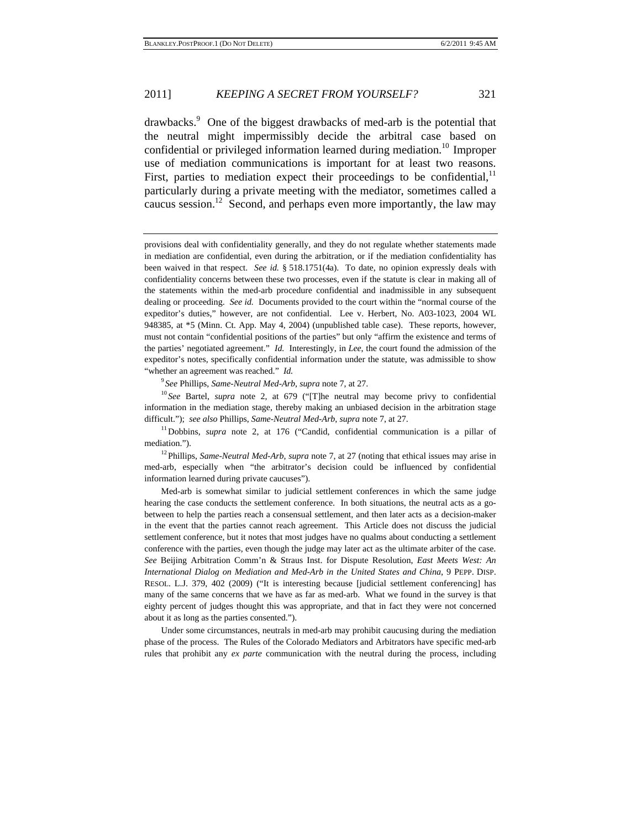drawbacks.<sup>9</sup> One of the biggest drawbacks of med-arb is the potential that the neutral might impermissibly decide the arbitral case based on confidential or privileged information learned during mediation.<sup>10</sup> Improper use of mediation communications is important for at least two reasons. First, parties to mediation expect their proceedings to be confidential, $<sup>11</sup>$ </sup> particularly during a private meeting with the mediator, sometimes called a caucus session.<sup>12</sup> Second, and perhaps even more importantly, the law may

provisions deal with confidentiality generally, and they do not regulate whether statements made in mediation are confidential, even during the arbitration, or if the mediation confidentiality has been waived in that respect. *See id.* § 518.1751(4a). To date, no opinion expressly deals with confidentiality concerns between these two processes, even if the statute is clear in making all of the statements within the med-arb procedure confidential and inadmissible in any subsequent dealing or proceeding. *See id.* Documents provided to the court within the "normal course of the expeditor's duties," however, are not confidential. Lee v. Herbert, No. A03-1023, 2004 WL 948385, at \*5 (Minn. Ct. App. May 4, 2004) (unpublished table case). These reports, however, must not contain "confidential positions of the parties" but only "affirm the existence and terms of the parties' negotiated agreement." *Id.* Interestingly, in *Lee*, the court found the admission of the expeditor's notes, specifically confidential information under the statute, was admissible to show "whether an agreement was reached." *Id.*

<sup>9</sup> See Phillips, Same-Neutral Med-Arb, supra note 7, at 27.

<sup>10</sup> See Bartel, *supra* note 2, at 679 ("[T]he neutral may become privy to confidential information in the mediation stage, thereby making an unbiased decision in the arbitration stage difficult."); *see also* Phillips, *Same-Neutral Med-Arb*, *supra* note 7, at 27.<br><sup>11</sup>Dobbins, *supra* note 2, at 176 ("Candid, confidential communication is a pillar of

mediation.").<br><sup>12</sup>Phillips, *Same-Neutral Med-Arb*, *supra* note 7, at 27 (noting that ethical issues may arise in

med-arb, especially when "the arbitrator's decision could be influenced by confidential information learned during private caucuses").

 Med-arb is somewhat similar to judicial settlement conferences in which the same judge hearing the case conducts the settlement conference. In both situations, the neutral acts as a gobetween to help the parties reach a consensual settlement, and then later acts as a decision-maker in the event that the parties cannot reach agreement. This Article does not discuss the judicial settlement conference, but it notes that most judges have no qualms about conducting a settlement conference with the parties, even though the judge may later act as the ultimate arbiter of the case. *See* Beijing Arbitration Comm'n & Straus Inst. for Dispute Resolution, *East Meets West: An International Dialog on Mediation and Med-Arb in the United States and China*, 9 PEPP. DISP. RESOL. L.J. 379, 402 (2009) ("It is interesting because [judicial settlement conferencing] has many of the same concerns that we have as far as med-arb. What we found in the survey is that eighty percent of judges thought this was appropriate, and that in fact they were not concerned about it as long as the parties consented.").

 Under some circumstances, neutrals in med-arb may prohibit caucusing during the mediation phase of the process. The Rules of the Colorado Mediators and Arbitrators have specific med-arb rules that prohibit any *ex parte* communication with the neutral during the process, including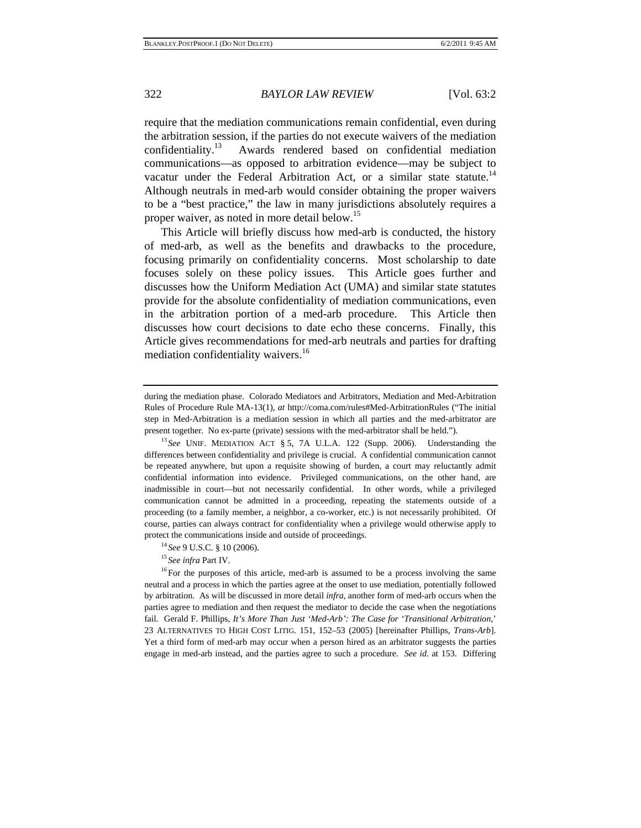require that the mediation communications remain confidential, even during the arbitration session, if the parties do not execute waivers of the mediation confidentiality.13 Awards rendered based on confidential mediation communications—as opposed to arbitration evidence—may be subject to vacatur under the Federal Arbitration Act, or a similar state statute.<sup>14</sup> Although neutrals in med-arb would consider obtaining the proper waivers to be a "best practice," the law in many jurisdictions absolutely requires a proper waiver, as noted in more detail below.<sup>15</sup>

This Article will briefly discuss how med-arb is conducted, the history of med-arb, as well as the benefits and drawbacks to the procedure, focusing primarily on confidentiality concerns. Most scholarship to date focuses solely on these policy issues. This Article goes further and discusses how the Uniform Mediation Act (UMA) and similar state statutes provide for the absolute confidentiality of mediation communications, even in the arbitration portion of a med-arb procedure. This Article then discusses how court decisions to date echo these concerns. Finally, this Article gives recommendations for med-arb neutrals and parties for drafting mediation confidentiality waivers.<sup>16</sup>

differences between confidentiality and privilege is crucial. A confidential communication cannot be repeated anywhere, but upon a requisite showing of burden, a court may reluctantly admit confidential information into evidence. Privileged communications, on the other hand, are inadmissible in court—but not necessarily confidential. In other words, while a privileged communication cannot be admitted in a proceeding, repeating the statements outside of a proceeding (to a family member, a neighbor, a co-worker, etc.) is not necessarily prohibited. Of course, parties can always contract for confidentiality when a privilege would otherwise apply to protect the communications inside and outside of proceedings.<br><sup>14</sup> *See* 9 U.S.C. § 10 (2006).<br><sup>15</sup> *See infra* Part IV.<br><sup>16</sup> For the purposes of this article, med-arb is assumed to be a process involving the same

neutral and a process in which the parties agree at the onset to use mediation, potentially followed by arbitration. As will be discussed in more detail *infra*, another form of med-arb occurs when the parties agree to mediation and then request the mediator to decide the case when the negotiations fail. Gerald F. Phillips, *It's More Than Just 'Med-Arb': The Case for 'Transitional Arbitration*,' 23 ALTERNATIVES TO HIGH COST LITIG. 151, 152–53 (2005) [hereinafter Phillips, *Trans-Arb*]. Yet a third form of med-arb may occur when a person hired as an arbitrator suggests the parties engage in med-arb instead, and the parties agree to such a procedure. *See id.* at 153. Differing

during the mediation phase. Colorado Mediators and Arbitrators, Mediation and Med-Arbitration Rules of Procedure Rule MA-13(1), *at* http://coma.com/rules#Med-ArbitrationRules ("The initial step in Med-Arbitration is a mediation session in which all parties and the med-arbitrator are present together. No ex-parte (private) sessions with the med-arbitrator shall be held."). 13 *See* UNIF. MEDIATION ACT § 5, 7A U.L.A. 122 (Supp. 2006). Understanding the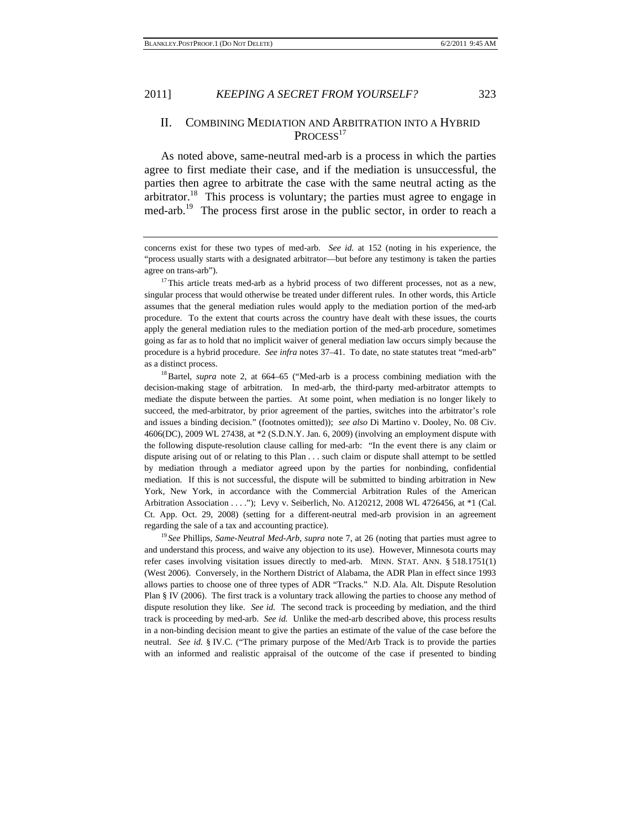#### II. COMBINING MEDIATION AND ARBITRATION INTO A HYBRID PROCESS<sup>17</sup>

As noted above, same-neutral med-arb is a process in which the parties agree to first mediate their case, and if the mediation is unsuccessful, the parties then agree to arbitrate the case with the same neutral acting as the arbitrator.<sup>18</sup> This process is voluntary; the parties must agree to engage in med-arb.<sup>19</sup> The process first arose in the public sector, in order to reach a

concerns exist for these two types of med-arb. *See id.* at 152 (noting in his experience, the "process usually starts with a designated arbitrator—but before any testimony is taken the parties agree on trans-arb").<br><sup>17</sup>This article treats med-arb as a hybrid process of two different processes, not as a new,

singular process that would otherwise be treated under different rules. In other words, this Article assumes that the general mediation rules would apply to the mediation portion of the med-arb procedure. To the extent that courts across the country have dealt with these issues, the courts apply the general mediation rules to the mediation portion of the med-arb procedure, sometimes going as far as to hold that no implicit waiver of general mediation law occurs simply because the procedure is a hybrid procedure. *See infra* notes 37–41. To date, no state statutes treat "med-arb" as a distinct process. 18Bartel, *supra* note 2, at 664–65 ("Med-arb is a process combining mediation with the

decision-making stage of arbitration. In med-arb, the third-party med-arbitrator attempts to mediate the dispute between the parties. At some point, when mediation is no longer likely to succeed, the med-arbitrator, by prior agreement of the parties, switches into the arbitrator's role and issues a binding decision." (footnotes omitted)); *see also* Di Martino v. Dooley, No. 08 Civ. 4606(DC), 2009 WL 27438, at \*2 (S.D.N.Y. Jan. 6, 2009) (involving an employment dispute with the following dispute-resolution clause calling for med-arb: "In the event there is any claim or dispute arising out of or relating to this Plan . . . such claim or dispute shall attempt to be settled by mediation through a mediator agreed upon by the parties for nonbinding, confidential mediation. If this is not successful, the dispute will be submitted to binding arbitration in New York, New York, in accordance with the Commercial Arbitration Rules of the American Arbitration Association . . . ."); Levy v. Seiberlich, No. A120212, 2008 WL 4726456, at \*1 (Cal. Ct. App. Oct. 29, 2008) (setting for a different-neutral med-arb provision in an agreement regarding the sale of a tax and accounting practice). 19 *See* Phillips, *Same-Neutral Med-Arb*, *supra* note 7, at 26 (noting that parties must agree to

and understand this process, and waive any objection to its use). However, Minnesota courts may refer cases involving visitation issues directly to med-arb. MINN. STAT. ANN. § 518.1751(1) (West 2006). Conversely, in the Northern District of Alabama, the ADR Plan in effect since 1993 allows parties to choose one of three types of ADR "Tracks." N.D. Ala. Alt. Dispute Resolution Plan § IV (2006). The first track is a voluntary track allowing the parties to choose any method of dispute resolution they like. *See id.* The second track is proceeding by mediation, and the third track is proceeding by med-arb. *See id.* Unlike the med-arb described above, this process results in a non-binding decision meant to give the parties an estimate of the value of the case before the neutral. *See id.* § IV.C. ("The primary purpose of the Med/Arb Track is to provide the parties with an informed and realistic appraisal of the outcome of the case if presented to binding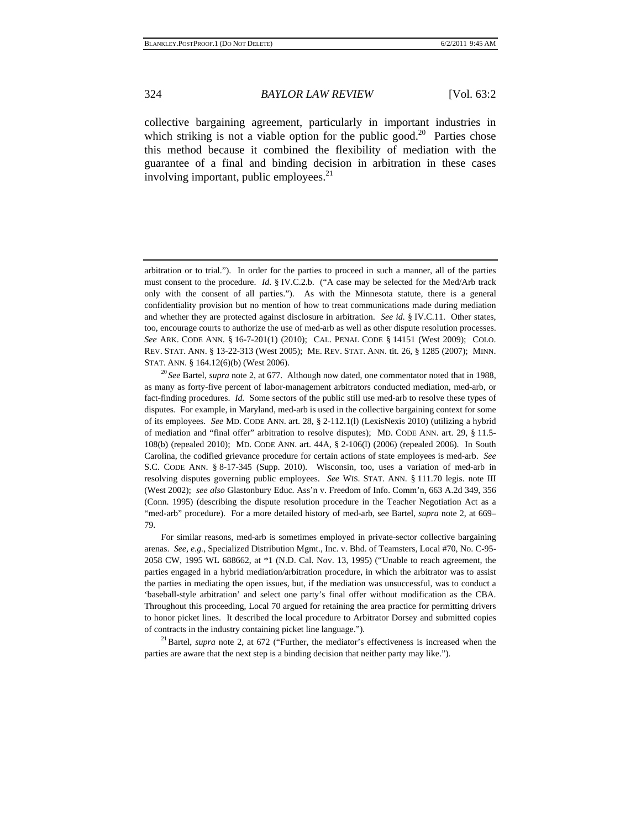collective bargaining agreement, particularly in important industries in which striking is not a viable option for the public good.<sup>20</sup> Parties chose this method because it combined the flexibility of mediation with the guarantee of a final and binding decision in arbitration in these cases involving important, public employees.<sup>21</sup>

 For similar reasons, med-arb is sometimes employed in private-sector collective bargaining arenas. *See, e.g.*, Specialized Distribution Mgmt., Inc. v. Bhd. of Teamsters, Local #70, No. C-95- 2058 CW, 1995 WL 688662, at \*1 (N.D. Cal. Nov. 13, 1995) ("Unable to reach agreement, the parties engaged in a hybrid mediation/arbitration procedure, in which the arbitrator was to assist the parties in mediating the open issues, but, if the mediation was unsuccessful, was to conduct a 'baseball-style arbitration' and select one party's final offer without modification as the CBA. Throughout this proceeding, Local 70 argued for retaining the area practice for permitting drivers to honor picket lines. It described the local procedure to Arbitrator Dorsey and submitted copies of contracts in the industry containing picket line language."). 21Bartel, *supra* note 2, at 672 ("Further, the mediator's effectiveness is increased when the

parties are aware that the next step is a binding decision that neither party may like.").

arbitration or to trial."). In order for the parties to proceed in such a manner, all of the parties must consent to the procedure. *Id.* § IV.C.2.b. ("A case may be selected for the Med/Arb track only with the consent of all parties."). As with the Minnesota statute, there is a general confidentiality provision but no mention of how to treat communications made during mediation and whether they are protected against disclosure in arbitration. *See id.* § IV.C.11. Other states, too, encourage courts to authorize the use of med-arb as well as other dispute resolution processes. *See* ARK. CODE ANN. § 16-7-201(1) (2010); CAL. PENAL CODE § 14151 (West 2009); COLO. REV. STAT. ANN. § 13-22-313 (West 2005); ME. REV. STAT. ANN. tit. 26, § 1285 (2007); MINN. STAT. ANN. § 164.12(6)(b) (West 2006). 20 *See* Bartel, *supra* note 2, at 677. Although now dated, one commentator noted that in 1988,

as many as forty-five percent of labor-management arbitrators conducted mediation, med-arb, or fact-finding procedures. *Id.* Some sectors of the public still use med-arb to resolve these types of disputes. For example, in Maryland, med-arb is used in the collective bargaining context for some of its employees. *See* MD. CODE ANN. art. 28, § 2-112.1(l) (LexisNexis 2010) (utilizing a hybrid of mediation and "final offer" arbitration to resolve disputes); MD. CODE ANN. art. 29, § 11.5- 108(b) (repealed 2010); MD. CODE ANN. art. 44A, § 2-106(l) (2006) (repealed 2006). In South Carolina, the codified grievance procedure for certain actions of state employees is med-arb. *See* S.C. CODE ANN. § 8-17-345 (Supp. 2010). Wisconsin, too, uses a variation of med-arb in resolving disputes governing public employees. *See* WIS. STAT. ANN. § 111.70 legis. note III (West 2002); *see also* Glastonbury Educ. Ass'n v. Freedom of Info. Comm'n, 663 A.2d 349, 356 (Conn. 1995) (describing the dispute resolution procedure in the Teacher Negotiation Act as a "med-arb" procedure). For a more detailed history of med-arb, see Bartel, *supra* note 2, at 669– 79.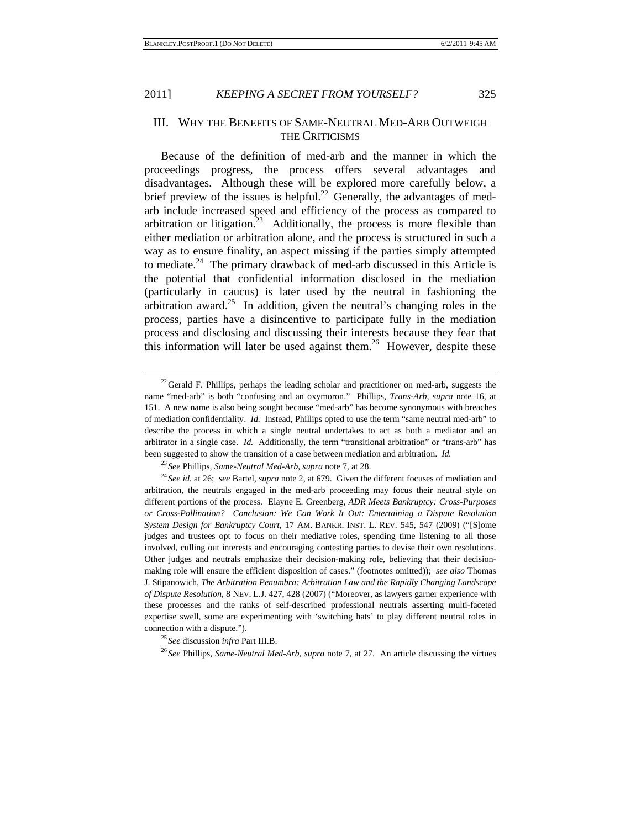#### III. WHY THE BENEFITS OF SAME-NEUTRAL MED-ARB OUTWEIGH THE CRITICISMS

Because of the definition of med-arb and the manner in which the proceedings progress, the process offers several advantages and disadvantages. Although these will be explored more carefully below, a brief preview of the issues is helpful.<sup>22</sup> Generally, the advantages of medarb include increased speed and efficiency of the process as compared to arbitration or litigation.<sup>23</sup> Additionally, the process is more flexible than either mediation or arbitration alone, and the process is structured in such a way as to ensure finality, an aspect missing if the parties simply attempted to mediate.24 The primary drawback of med-arb discussed in this Article is the potential that confidential information disclosed in the mediation (particularly in caucus) is later used by the neutral in fashioning the arbitration award.<sup>25</sup> In addition, given the neutral's changing roles in the process, parties have a disincentive to participate fully in the mediation process and disclosing and discussing their interests because they fear that this information will later be used against them.<sup>26</sup> However, despite these

arbitration, the neutrals engaged in the med-arb proceeding may focus their neutral style on different portions of the process. Elayne E. Greenberg, *ADR Meets Bankruptcy: Cross-Purposes or Cross-Pollination? Conclusion: We Can Work It Out: Entertaining a Dispute Resolution System Design for Bankruptcy Court*, 17 AM. BANKR. INST. L. REV. 545, 547 (2009) ("[S]ome judges and trustees opt to focus on their mediative roles, spending time listening to all those involved, culling out interests and encouraging contesting parties to devise their own resolutions. Other judges and neutrals emphasize their decision-making role, believing that their decisionmaking role will ensure the efficient disposition of cases." (footnotes omitted)); *see also* Thomas J. Stipanowich, *The Arbitration Penumbra: Arbitration Law and the Rapidly Changing Landscape of Dispute Resolution*, 8 NEV. L.J. 427, 428 (2007) ("Moreover, as lawyers garner experience with these processes and the ranks of self-described professional neutrals asserting multi-faceted expertise swell, some are experimenting with 'switching hats' to play different neutral roles in connection with a dispute."). 25 *See* discussion *infra* Part III.B. 26 *See* Phillips, *Same-Neutral Med-Arb*, *supra* note 7, at 27. An article discussing the virtues

 $22$  Gerald F. Phillips, perhaps the leading scholar and practitioner on med-arb, suggests the name "med-arb" is both "confusing and an oxymoron." Phillips, *Trans-Arb*, *supra* note 16, at 151. A new name is also being sought because "med-arb" has become synonymous with breaches of mediation confidentiality. *Id.* Instead, Phillips opted to use the term "same neutral med-arb" to describe the process in which a single neutral undertakes to act as both a mediator and an arbitrator in a single case. *Id.* Additionally, the term "transitional arbitration" or "trans-arb" has been suggested to show the transition of a case between mediation and arbitration. *Id.*<br><sup>23</sup> See Phillips, *Same-Neutral Med-Arb*, *supra* note 7, at 28.<br><sup>24</sup> See id. at 26; *see* Bartel, *supra* note 2, at 679. Given the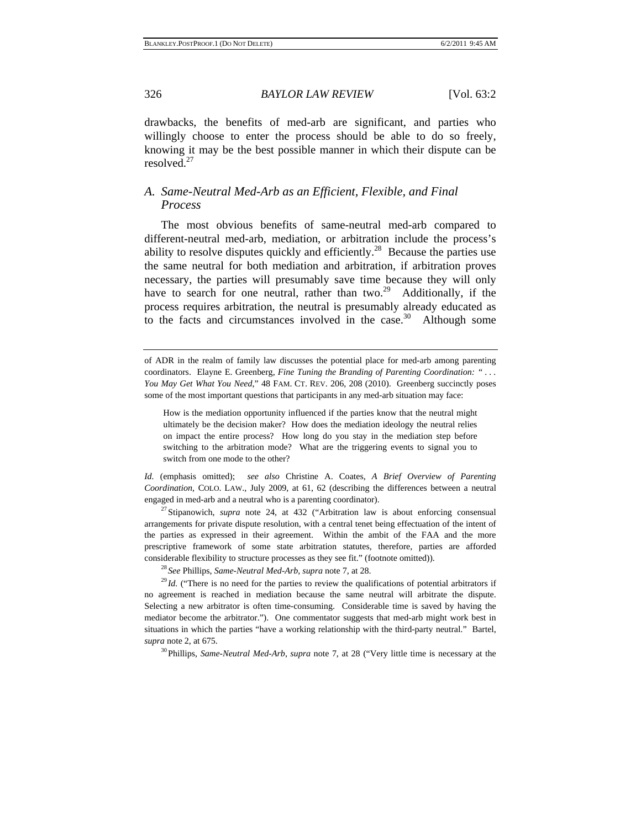drawbacks, the benefits of med-arb are significant, and parties who willingly choose to enter the process should be able to do so freely, knowing it may be the best possible manner in which their dispute can be resolved $^{27}$ 

#### *A. Same-Neutral Med-Arb as an Efficient, Flexible, and Final Process*

The most obvious benefits of same-neutral med-arb compared to different-neutral med-arb, mediation, or arbitration include the process's ability to resolve disputes quickly and efficiently.<sup>28</sup> Because the parties use the same neutral for both mediation and arbitration, if arbitration proves necessary, the parties will presumably save time because they will only have to search for one neutral, rather than two.<sup>29</sup> Additionally, if the process requires arbitration, the neutral is presumably already educated as to the facts and circumstances involved in the case.<sup>30</sup> Although some

of ADR in the realm of family law discusses the potential place for med-arb among parenting coordinators. Elayne E. Greenberg, *Fine Tuning the Branding of Parenting Coordination: " . . . You May Get What You Need*," 48 FAM. CT. REV. 206, 208 (2010). Greenberg succinctly poses some of the most important questions that participants in any med-arb situation may face:

How is the mediation opportunity influenced if the parties know that the neutral might ultimately be the decision maker? How does the mediation ideology the neutral relies on impact the entire process? How long do you stay in the mediation step before switching to the arbitration mode? What are the triggering events to signal you to switch from one mode to the other?

*Id.* (emphasis omitted); *see also* Christine A. Coates, *A Brief Overview of Parenting Coordination*, COLO. LAW., July 2009, at 61, 62 (describing the differences between a neutral engaged in med-arb and a neutral who is a parenting coordinator). 27Stipanowich, *supra* note 24, at 432 ("Arbitration law is about enforcing consensual

arrangements for private dispute resolution, with a central tenet being effectuation of the intent of the parties as expressed in their agreement. Within the ambit of the FAA and the more prescriptive framework of some state arbitration statutes, therefore, parties are afforded considerable flexibility to structure processes as they see fit." (footnote omitted)).<br><sup>28</sup> See Phillips, Same-Neutral Med-Arb, supra note 7, at 28.<br><sup>29</sup> Id. ("There is no need for the parties to review the qualifications

no agreement is reached in mediation because the same neutral will arbitrate the dispute. Selecting a new arbitrator is often time-consuming. Considerable time is saved by having the mediator become the arbitrator."). One commentator suggests that med-arb might work best in situations in which the parties "have a working relationship with the third-party neutral." Bartel, *supra* note 2, at 675.

30Phillips, *Same-Neutral Med-Arb*, *supra* note 7, at 28 ("Very little time is necessary at the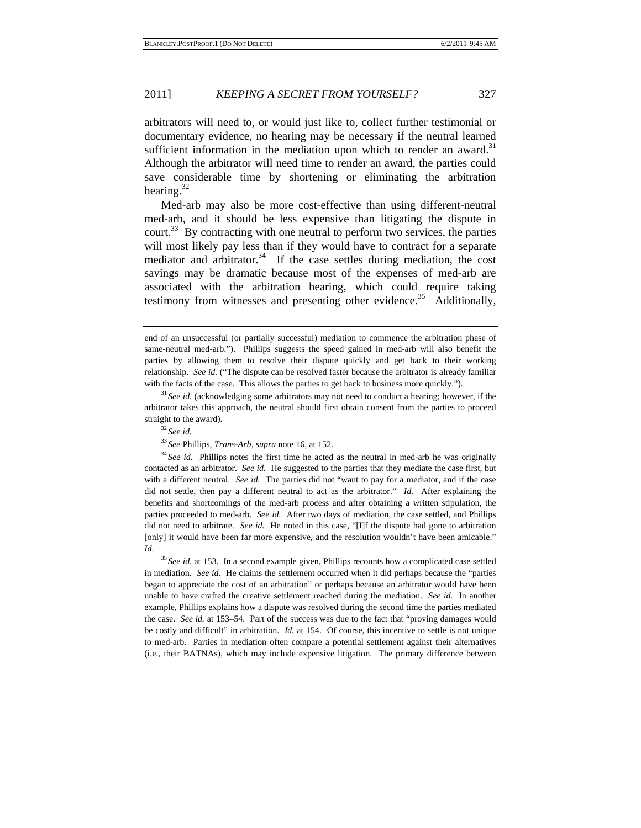arbitrators will need to, or would just like to, collect further testimonial or documentary evidence, no hearing may be necessary if the neutral learned sufficient information in the mediation upon which to render an award.<sup>31</sup> Although the arbitrator will need time to render an award, the parties could save considerable time by shortening or eliminating the arbitration hearing. $32$ 

Med-arb may also be more cost-effective than using different-neutral med-arb, and it should be less expensive than litigating the dispute in court.<sup>33</sup> By contracting with one neutral to perform two services, the parties will most likely pay less than if they would have to contract for a separate mediator and arbitrator.<sup>34</sup> If the case settles during mediation, the cost savings may be dramatic because most of the expenses of med-arb are associated with the arbitration hearing, which could require taking testimony from witnesses and presenting other evidence.<sup>35</sup> Additionally,

 $33$  *See* Phillips, *Trans-Arb*, *supra* note 16, at 152.<br> $34$  *See id.* Phillips notes the first time he acted as the neutral in med-arb he was originally contacted as an arbitrator. *See id.* He suggested to the parties that they mediate the case first, but with a different neutral. *See id.* The parties did not "want to pay for a mediator, and if the case did not settle, then pay a different neutral to act as the arbitrator." *Id.* After explaining the benefits and shortcomings of the med-arb process and after obtaining a written stipulation, the parties proceeded to med-arb. *See id.* After two days of mediation, the case settled, and Phillips did not need to arbitrate. *See id.* He noted in this case, "[I]f the dispute had gone to arbitration [only] it would have been far more expensive, and the resolution wouldn't have been amicable." *Id.*

<sup>35</sup> See id. at 153. In a second example given, Phillips recounts how a complicated case settled in mediation. *See id.* He claims the settlement occurred when it did perhaps because the "parties began to appreciate the cost of an arbitration" or perhaps because an arbitrator would have been unable to have crafted the creative settlement reached during the mediation. *See id.* In another example, Phillips explains how a dispute was resolved during the second time the parties mediated the case. *See id.* at 153–54. Part of the success was due to the fact that "proving damages would be costly and difficult" in arbitration. *Id.* at 154. Of course, this incentive to settle is not unique to med-arb. Parties in mediation often compare a potential settlement against their alternatives (i.e., their BATNAs), which may include expensive litigation. The primary difference between

end of an unsuccessful (or partially successful) mediation to commence the arbitration phase of same-neutral med-arb."). Phillips suggests the speed gained in med-arb will also benefit the parties by allowing them to resolve their dispute quickly and get back to their working relationship. *See id.* ("The dispute can be resolved faster because the arbitrator is already familiar with the facts of the case. This allows the parties to get back to business more quickly.").<br><sup>31</sup> *See id.* (acknowledging some arbitrators may not need to conduct a hearing; however, if the

arbitrator takes this approach, the neutral should first obtain consent from the parties to proceed straight to the award). 32 *See id.*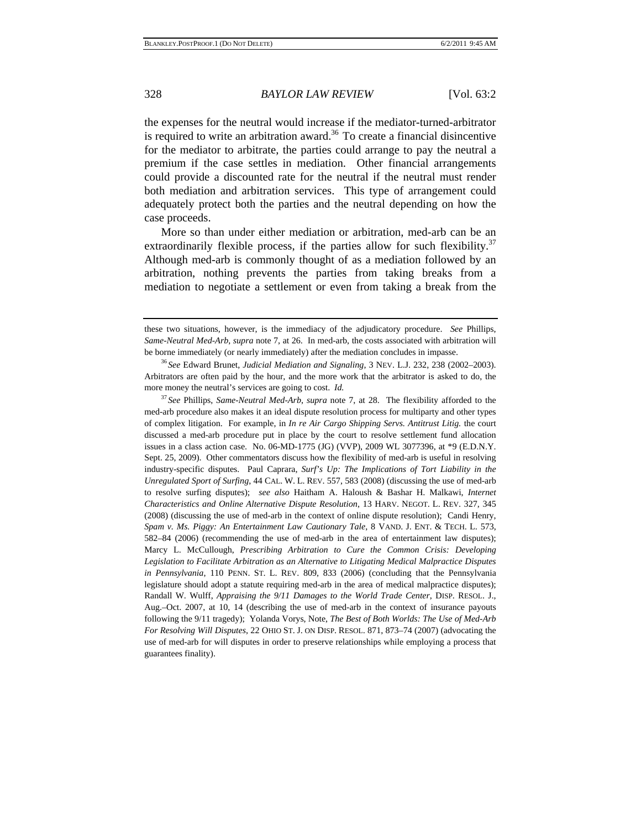the expenses for the neutral would increase if the mediator-turned-arbitrator is required to write an arbitration award.<sup>36</sup> To create a financial disincentive for the mediator to arbitrate, the parties could arrange to pay the neutral a premium if the case settles in mediation. Other financial arrangements could provide a discounted rate for the neutral if the neutral must render both mediation and arbitration services. This type of arrangement could adequately protect both the parties and the neutral depending on how the case proceeds.

More so than under either mediation or arbitration, med-arb can be an extraordinarily flexible process, if the parties allow for such flexibility.<sup>37</sup> Although med-arb is commonly thought of as a mediation followed by an arbitration, nothing prevents the parties from taking breaks from a mediation to negotiate a settlement or even from taking a break from the

<sup>37</sup> *See* Phillips, *Same-Neutral Med-Arb*, *supra* note 7, at 28. The flexibility afforded to the med-arb procedure also makes it an ideal dispute resolution process for multiparty and other types of complex litigation. For example, in *In re Air Cargo Shipping Servs. Antitrust Litig.* the court discussed a med-arb procedure put in place by the court to resolve settlement fund allocation issues in a class action case. No. 06-MD-1775 (JG) (VVP), 2009 WL 3077396, at \*9 (E.D.N.Y. Sept. 25, 2009). Other commentators discuss how the flexibility of med-arb is useful in resolving industry-specific disputes. Paul Caprara, *Surf's Up: The Implications of Tort Liability in the Unregulated Sport of Surfing*, 44 CAL. W. L. REV. 557, 583 (2008) (discussing the use of med-arb to resolve surfing disputes); *see also* Haitham A. Haloush & Bashar H. Malkawi, *Internet Characteristics and Online Alternative Dispute Resolution*, 13 HARV. NEGOT. L. REV. 327, 345 (2008) (discussing the use of med-arb in the context of online dispute resolution); Candi Henry, *Spam v. Ms. Piggy: An Entertainment Law Cautionary Tale*, 8 VAND. J. ENT. & TECH. L. 573, 582–84 (2006) (recommending the use of med-arb in the area of entertainment law disputes); Marcy L. McCullough, *Prescribing Arbitration to Cure the Common Crisis: Developing Legislation to Facilitate Arbitration as an Alternative to Litigating Medical Malpractice Disputes in Pennsylvania*, 110 PENN. ST. L. REV. 809, 833 (2006) (concluding that the Pennsylvania legislature should adopt a statute requiring med-arb in the area of medical malpractice disputes); Randall W. Wulff, *Appraising the 9/11 Damages to the World Trade Center*, DISP. RESOL. J., Aug.–Oct. 2007, at 10, 14 (describing the use of med-arb in the context of insurance payouts following the 9/11 tragedy); Yolanda Vorys, Note, *The Best of Both Worlds: The Use of Med-Arb For Resolving Will Disputes*, 22 OHIO ST. J. ON DISP. RESOL. 871, 873–74 (2007) (advocating the use of med-arb for will disputes in order to preserve relationships while employing a process that guarantees finality).

these two situations, however, is the immediacy of the adjudicatory procedure. *See* Phillips, *Same-Neutral Med-Arb*, *supra* note 7, at 26. In med-arb, the costs associated with arbitration will be borne immediately (or nearly immediately) after the mediation concludes in impasse. 36 *See* Edward Brunet, *Judicial Mediation and Signaling*, 3 NEV. L.J. 232, 238 (2002–2003).

Arbitrators are often paid by the hour, and the more work that the arbitrator is asked to do, the more money the neutral's services are going to cost. *Id.*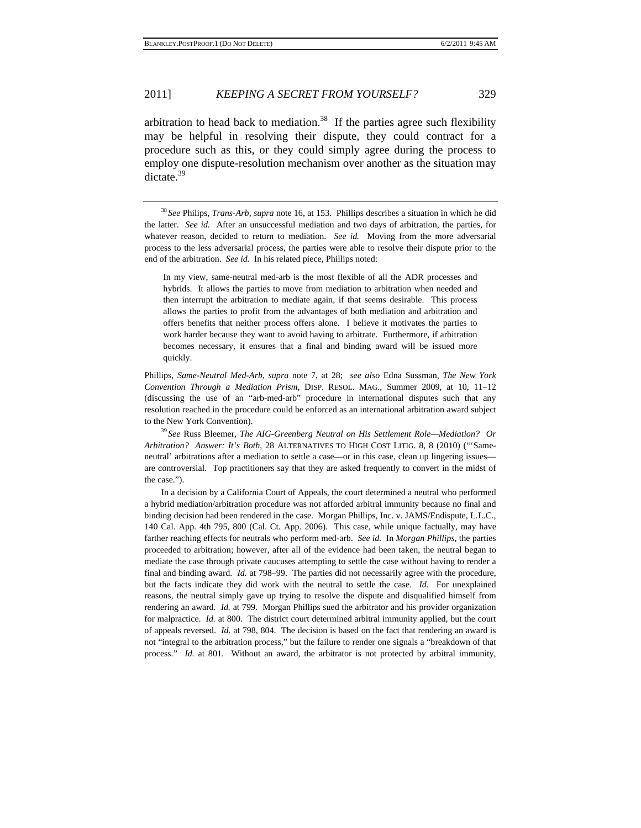arbitration to head back to mediation.<sup>38</sup> If the parties agree such flexibility may be helpful in resolving their dispute, they could contract for a procedure such as this, or they could simply agree during the process to employ one dispute-resolution mechanism over another as the situation may dictate.<sup>39</sup>

In my view, same-neutral med-arb is the most flexible of all the ADR processes and hybrids. It allows the parties to move from mediation to arbitration when needed and then interrupt the arbitration to mediate again, if that seems desirable. This process allows the parties to profit from the advantages of both mediation and arbitration and offers benefits that neither process offers alone. I believe it motivates the parties to work harder because they want to avoid having to arbitrate. Furthermore, if arbitration becomes necessary, it ensures that a final and binding award will be issued more quickly.

Phillips, *Same-Neutral Med-Arb*, *supra* note 7, at 28; *see also* Edna Sussman, *The New York Convention Through a Mediation Prism*, DISP. RESOL. MAG., Summer 2009, at 10, 11–12 (discussing the use of an "arb-med-arb" procedure in international disputes such that any resolution reached in the procedure could be enforced as an international arbitration award subject to the New York Convention). 39 *See* Russ Bleemer, *The AIG-Greenberg Neutral on His Settlement Role—Mediation? Or* 

*Arbitration? Answer: It's Both*, 28 ALTERNATIVES TO HIGH COST LITIG. 8, 8 (2010) ("'Sameneutral' arbitrations after a mediation to settle a case—or in this case, clean up lingering issues are controversial. Top practitioners say that they are asked frequently to convert in the midst of the case.").

 In a decision by a California Court of Appeals, the court determined a neutral who performed a hybrid mediation/arbitration procedure was not afforded arbitral immunity because no final and binding decision had been rendered in the case. Morgan Phillips, Inc. v. JAMS/Endispute, L.L.C., 140 Cal. App. 4th 795, 800 (Cal. Ct. App. 2006). This case, while unique factually, may have farther reaching effects for neutrals who perform med-arb. *See id.* In *Morgan Phillips*, the parties proceeded to arbitration; however, after all of the evidence had been taken, the neutral began to mediate the case through private caucuses attempting to settle the case without having to render a final and binding award. *Id.* at 798–99. The parties did not necessarily agree with the procedure, but the facts indicate they did work with the neutral to settle the case. *Id.* For unexplained reasons, the neutral simply gave up trying to resolve the dispute and disqualified himself from rendering an award. *Id.* at 799. Morgan Phillips sued the arbitrator and his provider organization for malpractice. *Id.* at 800. The district court determined arbitral immunity applied, but the court of appeals reversed. *Id.* at 798, 804. The decision is based on the fact that rendering an award is not "integral to the arbitration process," but the failure to render one signals a "breakdown of that process." *Id.* at 801. Without an award, the arbitrator is not protected by arbitral immunity,

<sup>38</sup> *See* Philips, *Trans-Arb*, *supra* note 16, at 153. Phillips describes a situation in which he did the latter. *See id.* After an unsuccessful mediation and two days of arbitration, the parties, for whatever reason, decided to return to mediation. *See id.* Moving from the more adversarial process to the less adversarial process, the parties were able to resolve their dispute prior to the end of the arbitration. *See id.* In his related piece, Phillips noted: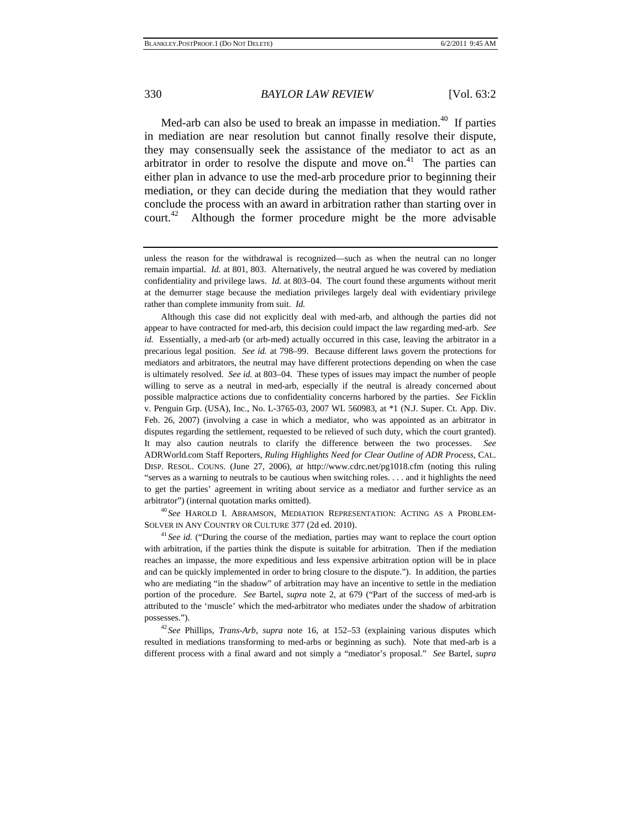Med-arb can also be used to break an impasse in mediation.<sup>40</sup> If parties in mediation are near resolution but cannot finally resolve their dispute, they may consensually seek the assistance of the mediator to act as an arbitrator in order to resolve the dispute and move on.<sup>41</sup> The parties can either plan in advance to use the med-arb procedure prior to beginning their mediation, or they can decide during the mediation that they would rather conclude the process with an award in arbitration rather than starting over in court.<sup>42</sup> Although the former procedure might be the more advisable

 Although this case did not explicitly deal with med-arb, and although the parties did not appear to have contracted for med-arb, this decision could impact the law regarding med-arb. *See id.* Essentially, a med-arb (or arb-med) actually occurred in this case, leaving the arbitrator in a precarious legal position. *See id.* at 798–99. Because different laws govern the protections for mediators and arbitrators, the neutral may have different protections depending on when the case is ultimately resolved. *See id.* at 803–04. These types of issues may impact the number of people willing to serve as a neutral in med-arb, especially if the neutral is already concerned about possible malpractice actions due to confidentiality concerns harbored by the parties. *See* Ficklin v. Penguin Grp. (USA), Inc., No. L-3765-03, 2007 WL 560983, at \*1 (N.J. Super. Ct. App. Div. Feb. 26, 2007) (involving a case in which a mediator, who was appointed as an arbitrator in disputes regarding the settlement, requested to be relieved of such duty, which the court granted). It may also caution neutrals to clarify the difference between the two processes. *See* ADRWorld.com Staff Reporters, *Ruling Highlights Need for Clear Outline of ADR Process*, CAL. DISP. RESOL. COUNS. (June 27, 2006), *at* http://www.cdrc.net/pg1018.cfm (noting this ruling "serves as a warning to neutrals to be cautious when switching roles. . . . and it highlights the need to get the parties' agreement in writing about service as a mediator and further service as an arbitrator") (internal quotation marks omitted). 40 *See* HAROLD I. ABRAMSON, MEDIATION REPRESENTATION: ACTING AS A PROBLEM-

SOLVER IN ANY COUNTRY OR CULTURE 377 (2d ed. 2010). 41 *See id.* ("During the course of the mediation, parties may want to replace the court option

with arbitration, if the parties think the dispute is suitable for arbitration. Then if the mediation reaches an impasse, the more expeditious and less expensive arbitration option will be in place and can be quickly implemented in order to bring closure to the dispute."). In addition, the parties who are mediating "in the shadow" of arbitration may have an incentive to settle in the mediation portion of the procedure. *See* Bartel, *supra* note 2, at 679 ("Part of the success of med-arb is attributed to the 'muscle' which the med-arbitrator who mediates under the shadow of arbitration

possesses."). 42 *See* Phillips, *Trans-Arb*, *supra* note 16, at 152–53 (explaining various disputes which resulted in mediations transforming to med-arbs or beginning as such). Note that med-arb is a different process with a final award and not simply a "mediator's proposal." *See* Bartel, *supra* 

unless the reason for the withdrawal is recognized—such as when the neutral can no longer remain impartial. *Id.* at 801, 803. Alternatively, the neutral argued he was covered by mediation confidentiality and privilege laws. *Id.* at 803–04. The court found these arguments without merit at the demurrer stage because the mediation privileges largely deal with evidentiary privilege rather than complete immunity from suit. *Id.*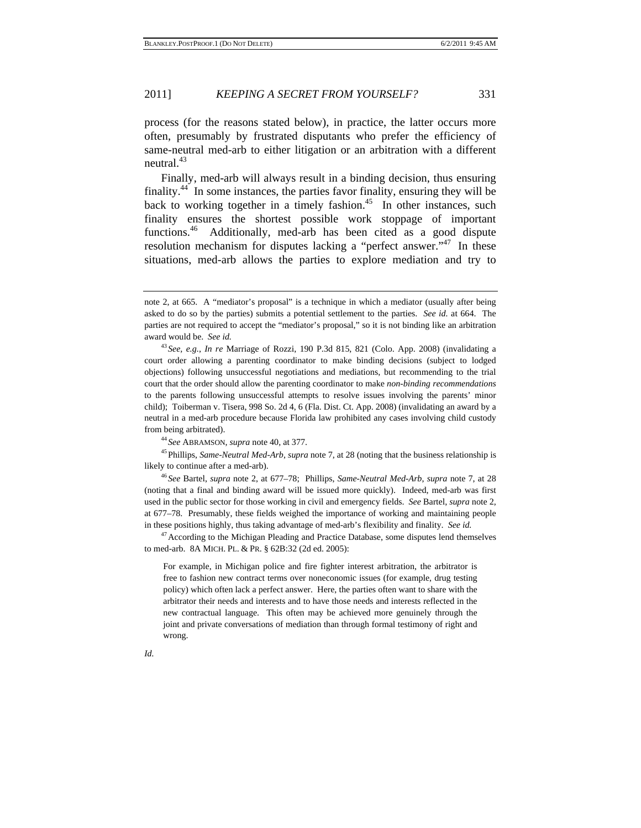process (for the reasons stated below), in practice, the latter occurs more often, presumably by frustrated disputants who prefer the efficiency of same-neutral med-arb to either litigation or an arbitration with a different neutral.<sup>43</sup>

Finally, med-arb will always result in a binding decision, thus ensuring finality.<sup>44</sup> In some instances, the parties favor finality, ensuring they will be back to working together in a timely fashion.<sup>45</sup> In other instances, such finality ensures the shortest possible work stoppage of important functions.<sup>46</sup> Additionally, med-arb has been cited as a good dispute resolution mechanism for disputes lacking a "perfect answer."<sup>47</sup> In these situations, med-arb allows the parties to explore mediation and try to

likely to continue after a med-arb). 46 *See* Bartel, *supra* note 2, at 677–78; Phillips, *Same-Neutral Med-Arb*, *supra* note 7, at 28

(noting that a final and binding award will be issued more quickly). Indeed, med-arb was first used in the public sector for those working in civil and emergency fields. *See* Bartel, *supra* note 2, at 677–78. Presumably, these fields weighed the importance of working and maintaining people in these positions highly, thus taking advantage of med-arb's flexibility and finality. *See id.* <sup>47</sup>According to the Michigan Pleading and Practice Database, some disputes lend themselves

to med-arb. 8A MICH. PL. & PR. § 62B:32 (2d ed. 2005):

For example, in Michigan police and fire fighter interest arbitration, the arbitrator is free to fashion new contract terms over noneconomic issues (for example, drug testing policy) which often lack a perfect answer. Here, the parties often want to share with the arbitrator their needs and interests and to have those needs and interests reflected in the new contractual language. This often may be achieved more genuinely through the joint and private conversations of mediation than through formal testimony of right and wrong.

note 2, at 665. A "mediator's proposal" is a technique in which a mediator (usually after being asked to do so by the parties) submits a potential settlement to the parties. *See id.* at 664. The parties are not required to accept the "mediator's proposal," so it is not binding like an arbitration award would be. *See id.* 43 *See, e.g.*, *In re* Marriage of Rozzi, 190 P.3d 815, 821 (Colo. App. 2008) (invalidating a

court order allowing a parenting coordinator to make binding decisions (subject to lodged objections) following unsuccessful negotiations and mediations, but recommending to the trial court that the order should allow the parenting coordinator to make *non-binding recommendations* to the parents following unsuccessful attempts to resolve issues involving the parents' minor child); Toiberman v. Tisera, 998 So. 2d 4, 6 (Fla. Dist. Ct. App. 2008) (invalidating an award by a neutral in a med-arb procedure because Florida law prohibited any cases involving child custody from being arbitrated). 44 *See* ABRAMSON, *supra* note 40, at 377. 45Phillips, *Same-Neutral Med-Arb*, *supra* note 7, at 28 (noting that the business relationship is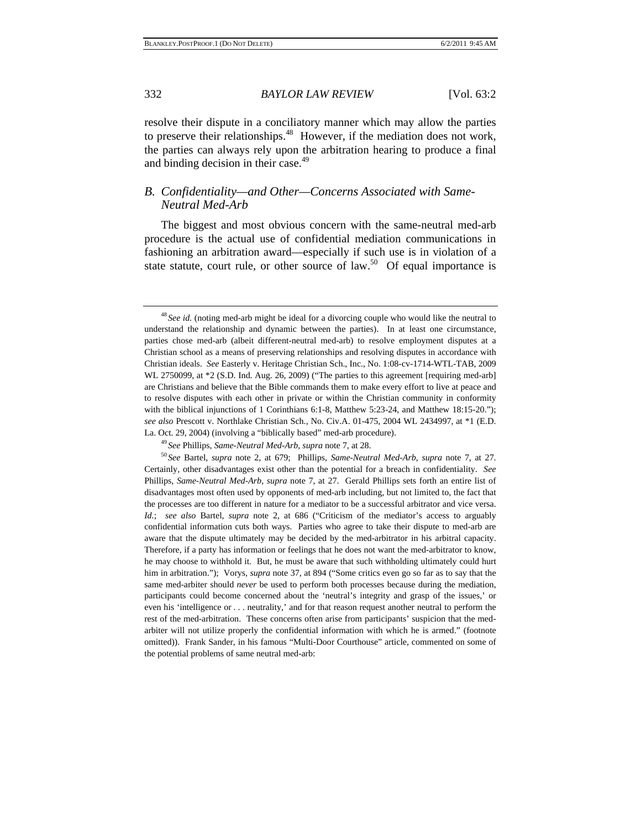resolve their dispute in a conciliatory manner which may allow the parties to preserve their relationships.<sup>48</sup> However, if the mediation does not work, the parties can always rely upon the arbitration hearing to produce a final and binding decision in their case.<sup>49</sup>

#### *B. Confidentiality—and Other—Concerns Associated with Same-Neutral Med-Arb*

The biggest and most obvious concern with the same-neutral med-arb procedure is the actual use of confidential mediation communications in fashioning an arbitration award—especially if such use is in violation of a state statute, court rule, or other source of law.<sup>50</sup> Of equal importance is

Certainly, other disadvantages exist other than the potential for a breach in confidentiality. *See*  Phillips, *Same-Neutral Med-Arb*, *supra* note 7, at 27. Gerald Phillips sets forth an entire list of disadvantages most often used by opponents of med-arb including, but not limited to, the fact that the processes are too different in nature for a mediator to be a successful arbitrator and vice versa. *Id.*; *see also* Bartel, *supra* note 2, at 686 ("Criticism of the mediator's access to arguably confidential information cuts both ways. Parties who agree to take their dispute to med-arb are aware that the dispute ultimately may be decided by the med-arbitrator in his arbitral capacity. Therefore, if a party has information or feelings that he does not want the med-arbitrator to know, he may choose to withhold it. But, he must be aware that such withholding ultimately could hurt him in arbitration."); Vorys, *supra* note 37, at 894 ("Some critics even go so far as to say that the same med-arbiter should *never* be used to perform both processes because during the mediation, participants could become concerned about the 'neutral's integrity and grasp of the issues,' or even his 'intelligence or . . . neutrality,' and for that reason request another neutral to perform the rest of the med-arbitration. These concerns often arise from participants' suspicion that the medarbiter will not utilize properly the confidential information with which he is armed." (footnote omitted)). Frank Sander, in his famous "Multi-Door Courthouse" article, commented on some of the potential problems of same neutral med-arb:

<sup>48</sup> *See id.* (noting med-arb might be ideal for a divorcing couple who would like the neutral to understand the relationship and dynamic between the parties). In at least one circumstance, parties chose med-arb (albeit different-neutral med-arb) to resolve employment disputes at a Christian school as a means of preserving relationships and resolving disputes in accordance with Christian ideals. *See* Easterly v. Heritage Christian Sch., Inc., No. 1:08-cv-1714-WTL-TAB, 2009 WL 2750099, at \*2 (S.D. Ind. Aug. 26, 2009) ("The parties to this agreement [requiring med-arb] are Christians and believe that the Bible commands them to make every effort to live at peace and to resolve disputes with each other in private or within the Christian community in conformity with the biblical injunctions of 1 Corinthians 6:1-8, Matthew 5:23-24, and Matthew 18:15-20."); *see also* Prescott v. Northlake Christian Sch., No. Civ.A. 01-475, 2004 WL 2434997, at \*1 (E.D. La. Oct. 29, 2004) (involving a "biblically based" med-arb procedure).<br><sup>49</sup> See Phillips, Same-Neutral Med-Arb, supra note 7, at 28.<br><sup>50</sup> See Bartel, *supra* note 2, at 679; Phillips, Same-Neutral Med-Arb, supra note 7, at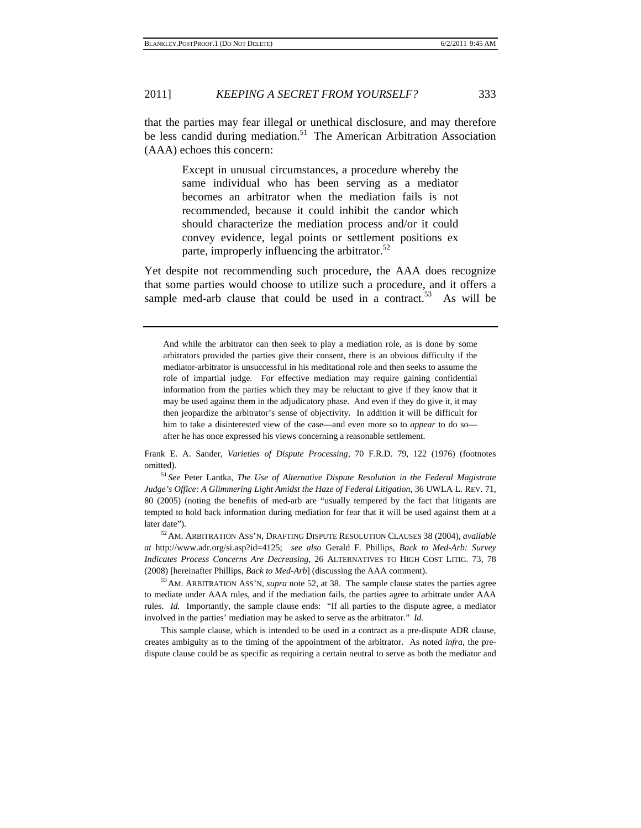that the parties may fear illegal or unethical disclosure, and may therefore be less candid during mediation.<sup>51</sup> The American Arbitration Association (AAA) echoes this concern:

> Except in unusual circumstances, a procedure whereby the same individual who has been serving as a mediator becomes an arbitrator when the mediation fails is not recommended, because it could inhibit the candor which should characterize the mediation process and/or it could convey evidence, legal points or settlement positions ex parte, improperly influencing the arbitrator. $52$

Yet despite not recommending such procedure, the AAA does recognize that some parties would choose to utilize such a procedure, and it offers a sample med-arb clause that could be used in a contract.<sup>53</sup> As will be

And while the arbitrator can then seek to play a mediation role, as is done by some arbitrators provided the parties give their consent, there is an obvious difficulty if the mediator-arbitrator is unsuccessful in his meditational role and then seeks to assume the role of impartial judge. For effective mediation may require gaining confidential information from the parties which they may be reluctant to give if they know that it may be used against them in the adjudicatory phase. And even if they do give it, it may then jeopardize the arbitrator's sense of objectivity. In addition it will be difficult for him to take a disinterested view of the case—and even more so to *appear* to do so after he has once expressed his views concerning a reasonable settlement.

Frank E. A. Sander, *Varieties of Dispute Processing*, 70 F.R.D. 79, 122 (1976) (footnotes omitted). 51 *See* Peter Lantka, *The Use of Alternative Dispute Resolution in the Federal Magistrate* 

*Judge's Office: A Glimmering Light Amidst the Haze of Federal Litigation*, 36 UWLA L. REV. 71, 80 (2005) (noting the benefits of med-arb are "usually tempered by the fact that litigants are tempted to hold back information during mediation for fear that it will be used against them at a

later date"). 52AM. ARBITRATION ASS'N, DRAFTING DISPUTE RESOLUTION CLAUSES 38 (2004), *available at* http://www.adr.org/si.asp?id=4125; *see also* Gerald F. Phillips, *Back to Med-Arb: Survey Indicates Process Concerns Are Decreasing*, 26 ALTERNATIVES TO HIGH COST LITIG. 73, 78 (2008) [hereinafter Phillips, *Back to Med-Arb*] (discussing the AAA comment). 53AM. ARBITRATION ASS'N, *supra* note 52, at 38. The sample clause states the parties agree

to mediate under AAA rules, and if the mediation fails, the parties agree to arbitrate under AAA rules. *Id.* Importantly, the sample clause ends: "If all parties to the dispute agree, a mediator involved in the parties' mediation may be asked to serve as the arbitrator." *Id.*

 This sample clause, which is intended to be used in a contract as a pre-dispute ADR clause, creates ambiguity as to the timing of the appointment of the arbitrator. As noted *infra*, the predispute clause could be as specific as requiring a certain neutral to serve as both the mediator and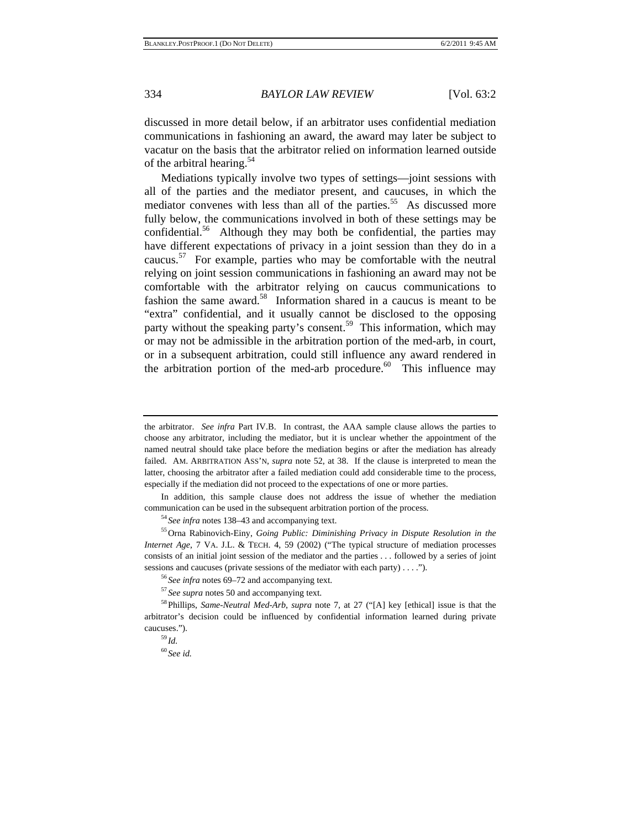discussed in more detail below, if an arbitrator uses confidential mediation communications in fashioning an award, the award may later be subject to vacatur on the basis that the arbitrator relied on information learned outside of the arbitral hearing.<sup>54</sup>

Mediations typically involve two types of settings—joint sessions with all of the parties and the mediator present, and caucuses, in which the mediator convenes with less than all of the parties.<sup>55</sup> As discussed more fully below, the communications involved in both of these settings may be confidential.<sup>56</sup> Although they may both be confidential, the parties may have different expectations of privacy in a joint session than they do in a caucus.<sup>57</sup> For example, parties who may be comfortable with the neutral relying on joint session communications in fashioning an award may not be comfortable with the arbitrator relying on caucus communications to fashion the same award.<sup>58</sup> Information shared in a caucus is meant to be "extra" confidential, and it usually cannot be disclosed to the opposing party without the speaking party's consent.<sup>59</sup> This information, which may or may not be admissible in the arbitration portion of the med-arb, in court, or in a subsequent arbitration, could still influence any award rendered in the arbitration portion of the med-arb procedure. $60$  This influence may

 In addition, this sample clause does not address the issue of whether the mediation communication can be used in the subsequent arbitration portion of the process.<br><sup>54</sup> See infra notes 138–43 and accompanying text.<br><sup>55</sup> Orna Rabinovich-Einy, *Going Public: Diminishing Privacy in Dispute Resolution in the* 

*Internet Age*, 7 VA. J.L. & TECH. 4, 59 (2002) ("The typical structure of mediation processes consists of an initial joint session of the mediator and the parties . . . followed by a series of joint sessions and caucuses (private sessions of the mediator with each party) . . . .").<br><sup>56</sup> See infra notes 69–72 and accompanying text.<br><sup>57</sup> See supra notes 50 and accompanying text.<br><sup>58</sup> Phillips, *Same-Neutral Med-Arb*,

arbitrator's decision could be influenced by confidential information learned during private caucuses.").<br> $^{59}$ *Id.* 

<sup>60</sup> *See id.*

the arbitrator. *See infra* Part IV.B. In contrast, the AAA sample clause allows the parties to choose any arbitrator, including the mediator, but it is unclear whether the appointment of the named neutral should take place before the mediation begins or after the mediation has already failed. AM. ARBITRATION ASS'N, *supra* note 52, at 38. If the clause is interpreted to mean the latter, choosing the arbitrator after a failed mediation could add considerable time to the process, especially if the mediation did not proceed to the expectations of one or more parties.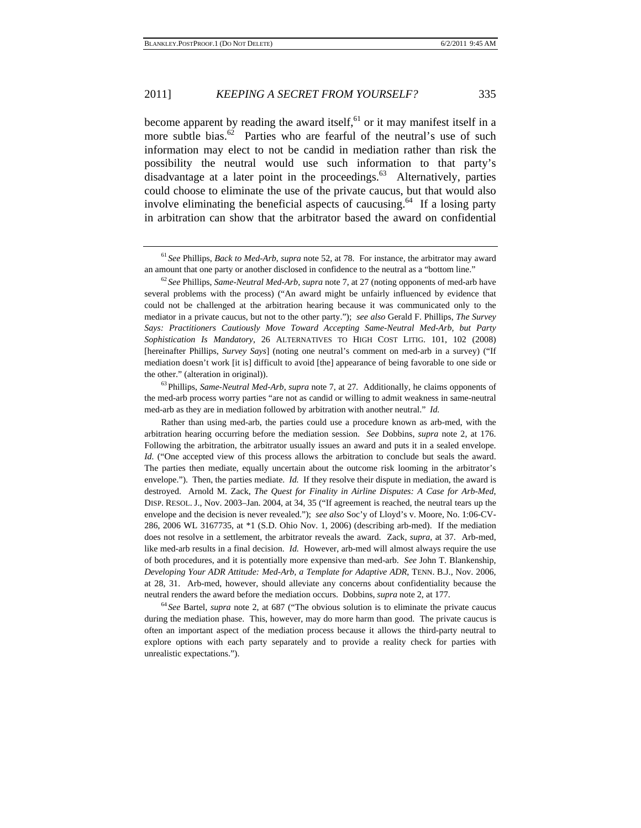become apparent by reading the award itself,  $61$  or it may manifest itself in a more subtle bias.<sup>62</sup> Parties who are fearful of the neutral's use of such information may elect to not be candid in mediation rather than risk the possibility the neutral would use such information to that party's disadvantage at a later point in the proceedings.<sup>63</sup> Alternatively, parties could choose to eliminate the use of the private caucus, but that would also involve eliminating the beneficial aspects of caucusing.<sup>64</sup> If a losing party in arbitration can show that the arbitrator based the award on confidential

the med-arb process worry parties "are not as candid or willing to admit weakness in same-neutral med-arb as they are in mediation followed by arbitration with another neutral." *Id.* 

 Rather than using med-arb, the parties could use a procedure known as arb-med, with the arbitration hearing occurring before the mediation session. *See* Dobbins, *supra* note 2, at 176. Following the arbitration, the arbitrator usually issues an award and puts it in a sealed envelope. *Id.* ("One accepted view of this process allows the arbitration to conclude but seals the award. The parties then mediate, equally uncertain about the outcome risk looming in the arbitrator's envelope."). Then, the parties mediate. *Id.* If they resolve their dispute in mediation, the award is destroyed. Arnold M. Zack, *The Quest for Finality in Airline Disputes: A Case for Arb-Med*, DISP. RESOL. J., Nov. 2003–Jan. 2004, at 34, 35 ("If agreement is reached, the neutral tears up the envelope and the decision is never revealed."); *see also* Soc'y of Lloyd's v. Moore, No. 1:06-CV-286, 2006 WL 3167735, at \*1 (S.D. Ohio Nov. 1, 2006) (describing arb-med). If the mediation does not resolve in a settlement, the arbitrator reveals the award. Zack, *supra*, at 37. Arb-med, like med-arb results in a final decision. *Id.* However, arb-med will almost always require the use of both procedures, and it is potentially more expensive than med-arb. *See* John T. Blankenship, *Developing Your ADR Attitude: Med-Arb, a Template for Adaptive ADR*, TENN. B.J., Nov. 2006, at 28, 31. Arb-med, however, should alleviate any concerns about confidentiality because the neutral renders the award before the mediation occurs. Dobbins, *supra* note 2, at 177.<br><sup>64</sup> *See* Bartel, *supra* note 2, at 687 ("The obvious solution is to eliminate the private caucus

during the mediation phase. This, however, may do more harm than good. The private caucus is often an important aspect of the mediation process because it allows the third-party neutral to explore options with each party separately and to provide a reality check for parties with unrealistic expectations.").

<sup>61</sup> *See* Phillips, *Back to Med-Arb*, *supra* note 52, at 78. For instance, the arbitrator may award an amount that one party or another disclosed in confidence to the neutral as a "bottom line." <sup>62</sup> *See* Phillips, *Same-Neutral Med-Arb*, *supra* note 7, at 27 (noting opponents of med-arb have

several problems with the process) ("An award might be unfairly influenced by evidence that could not be challenged at the arbitration hearing because it was communicated only to the mediator in a private caucus, but not to the other party."); *see also* Gerald F. Phillips, *The Survey Says: Practitioners Cautiously Move Toward Accepting Same-Neutral Med-Arb, but Party Sophistication Is Mandatory*, 26 ALTERNATIVES TO HIGH COST LITIG. 101, 102 (2008) [hereinafter Phillips, *Survey Says*] (noting one neutral's comment on med-arb in a survey) ("If mediation doesn't work [it is] difficult to avoid [the] appearance of being favorable to one side or the other." (alteration in original)).<br><sup>63</sup>Phillips, *Same-Neutral Med-Arb*, *supra* note 7, at 27. Additionally, he claims opponents of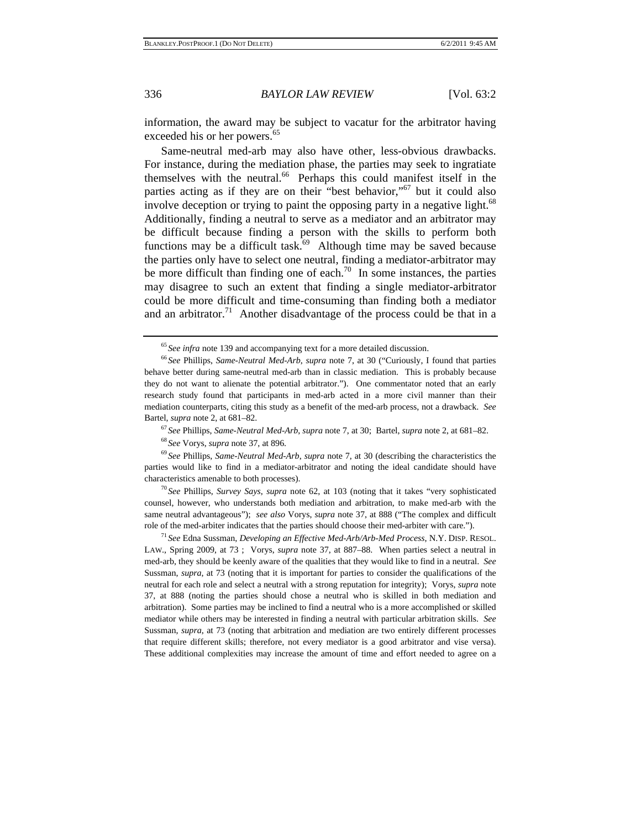information, the award may be subject to vacatur for the arbitrator having exceeded his or her powers.<sup>65</sup>

Same-neutral med-arb may also have other, less-obvious drawbacks. For instance, during the mediation phase, the parties may seek to ingratiate themselves with the neutral.<sup>66</sup> Perhaps this could manifest itself in the parties acting as if they are on their "best behavior,"<sup>67</sup> but it could also involve deception or trying to paint the opposing party in a negative light.<sup>68</sup> Additionally, finding a neutral to serve as a mediator and an arbitrator may be difficult because finding a person with the skills to perform both functions may be a difficult task. $69$  Although time may be saved because the parties only have to select one neutral, finding a mediator-arbitrator may be more difficult than finding one of each.<sup>70</sup> In some instances, the parties may disagree to such an extent that finding a single mediator-arbitrator could be more difficult and time-consuming than finding both a mediator and an arbitrator.<sup>71</sup> Another disadvantage of the process could be that in a

parties would like to find in a mediator-arbitrator and noting the ideal candidate should have characteristics amenable to both processes). 70 *See* Phillips, *Survey Says*, *supra* note 62, at 103 (noting that it takes "very sophisticated

counsel, however, who understands both mediation and arbitration, to make med-arb with the same neutral advantageous"); *see also* Vorys, *supra* note 37, at 888 ("The complex and difficult role of the med-arbiter indicates that the parties should choose their med-arbiter with care."). 71 *See* Edna Sussman, *Developing an Effective Med-Arb/Arb-Med Process*, N.Y. DISP. RESOL.

LAW., Spring 2009, at 73 ; Vorys, *supra* note 37, at 887–88. When parties select a neutral in med-arb, they should be keenly aware of the qualities that they would like to find in a neutral. *See*  Sussman, *supra*, at 73 (noting that it is important for parties to consider the qualifications of the neutral for each role and select a neutral with a strong reputation for integrity); Vorys, *supra* note 37, at 888 (noting the parties should chose a neutral who is skilled in both mediation and arbitration). Some parties may be inclined to find a neutral who is a more accomplished or skilled mediator while others may be interested in finding a neutral with particular arbitration skills. *See*  Sussman, *supra*, at 73 (noting that arbitration and mediation are two entirely different processes that require different skills; therefore, not every mediator is a good arbitrator and vise versa). These additional complexities may increase the amount of time and effort needed to agree on a

<sup>65</sup> *See infra* note 139 and accompanying text for a more detailed discussion. 66 *See* Phillips, *Same-Neutral Med-Arb*, *supra* note 7, at 30 ("Curiously, I found that parties behave better during same-neutral med-arb than in classic mediation. This is probably because they do not want to alienate the potential arbitrator."). One commentator noted that an early research study found that participants in med-arb acted in a more civil manner than their mediation counterparts, citing this study as a benefit of the med-arb process, not a drawback. *See*  Bartel, *supra* note 2, at 681–82.<br><sup>67</sup> See Phillips, *Same-Neutral Med-Arb*, *supra* note 7, at 30; Bartel, *supra* note 2, at 681–82.<br><sup>68</sup> See Vorys, *supra* note 37, at 896.<br><sup>69</sup> See Phillips, *Same-Neutral Med-Arb*,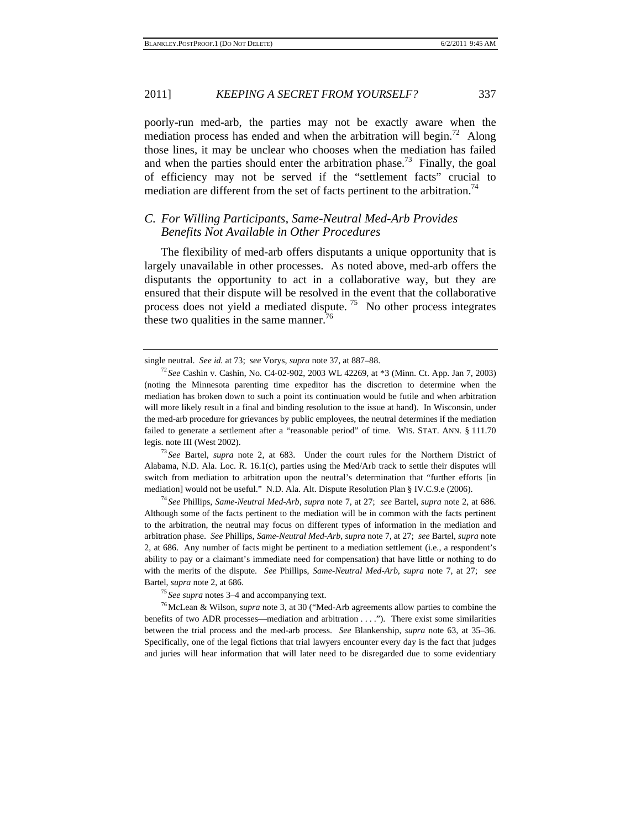poorly-run med-arb, the parties may not be exactly aware when the mediation process has ended and when the arbitration will begin.<sup>72</sup> Along those lines, it may be unclear who chooses when the mediation has failed and when the parties should enter the arbitration phase.<sup>73</sup> Finally, the goal of efficiency may not be served if the "settlement facts" crucial to mediation are different from the set of facts pertinent to the arbitration.<sup>74</sup>

#### *C. For Willing Participants, Same-Neutral Med-Arb Provides Benefits Not Available in Other Procedures*

The flexibility of med-arb offers disputants a unique opportunity that is largely unavailable in other processes. As noted above, med-arb offers the disputants the opportunity to act in a collaborative way, but they are ensured that their dispute will be resolved in the event that the collaborative process does not yield a mediated dispute.<sup>75</sup> No other process integrates these two qualities in the same manner.<sup>76</sup>

Alabama, N.D. Ala. Loc. R. 16.1(c), parties using the Med/Arb track to settle their disputes will switch from mediation to arbitration upon the neutral's determination that "further efforts [in mediation] would not be useful." N.D. Ala. Alt. Dispute Resolution Plan § IV.C.9.e (2006). 74 *See* Phillips, *Same-Neutral Med-Arb*, *supra* note 7, at 27; *see* Bartel, *supra* note 2, at 686.

Although some of the facts pertinent to the mediation will be in common with the facts pertinent to the arbitration, the neutral may focus on different types of information in the mediation and arbitration phase. *See* Phillips, *Same-Neutral Med-Arb*, *supra* note 7, at 27; *see* Bartel, *supra* note 2, at 686. Any number of facts might be pertinent to a mediation settlement (i.e., a respondent's ability to pay or a claimant's immediate need for compensation) that have little or nothing to do with the merits of the dispute. *See* Phillips, *Same-Neutral Med-Arb*, *supra* note 7, at 27; *see*  Bartel, *supra* note 2, at 686.<br><sup>75</sup> *See supra* notes 3–4 and accompanying text.<br><sup>76</sup> McLean & Wilson, *supra* note 3, at 30 ("Med-Arb agreements allow parties to combine the

benefits of two ADR processes—mediation and arbitration . . . ."). There exist some similarities between the trial process and the med-arb process. *See* Blankenship, *supra* note 63, at 35–36. Specifically, one of the legal fictions that trial lawyers encounter every day is the fact that judges and juries will hear information that will later need to be disregarded due to some evidentiary

single neutral. *See id.* at 73; *see* Vorys, *supra* note 37, at 887–88. 72 *See* Cashin v. Cashin, No. C4-02-902, 2003 WL 42269, at \*3 (Minn. Ct. App. Jan 7, 2003) (noting the Minnesota parenting time expeditor has the discretion to determine when the mediation has broken down to such a point its continuation would be futile and when arbitration will more likely result in a final and binding resolution to the issue at hand). In Wisconsin, under the med-arb procedure for grievances by public employees, the neutral determines if the mediation failed to generate a settlement after a "reasonable period" of time. WIS. STAT. ANN. § 111.70 legis. note III (West 2002). 73 *See* Bartel, *supra* note 2, at 683. Under the court rules for the Northern District of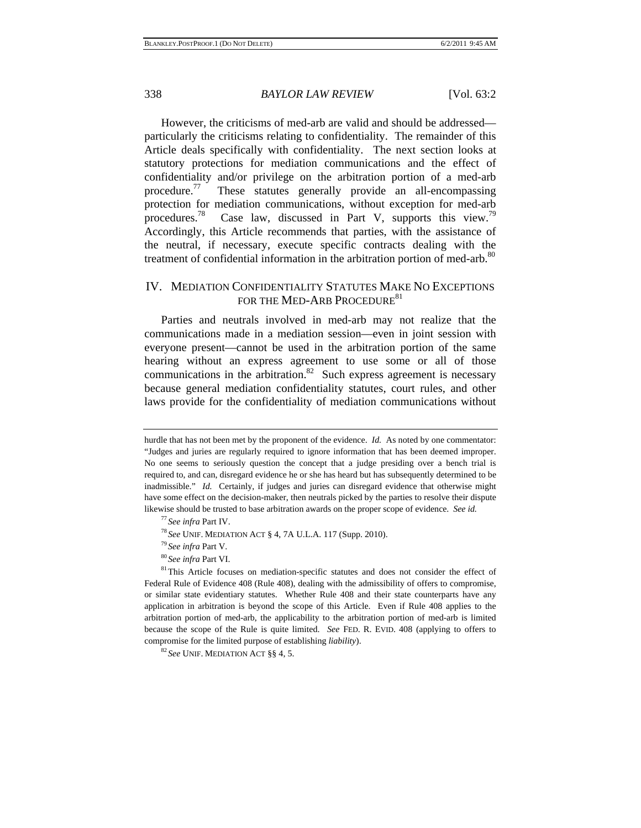However, the criticisms of med-arb are valid and should be addressed particularly the criticisms relating to confidentiality. The remainder of this Article deals specifically with confidentiality. The next section looks at statutory protections for mediation communications and the effect of confidentiality and/or privilege on the arbitration portion of a med-arb procedure.<sup>77</sup> These statutes generally provide an all-encompassing protection for mediation communications, without exception for med-arb procedures.<sup>78</sup> Case law, discussed in Part V, supports this view.<sup>79</sup> Accordingly, this Article recommends that parties, with the assistance of the neutral, if necessary, execute specific contracts dealing with the treatment of confidential information in the arbitration portion of med-arb.<sup>80</sup>

#### IV. MEDIATION CONFIDENTIALITY STATUTES MAKE NO EXCEPTIONS FOR THE MED-ARB PROCEDURE<sup>81</sup>

Parties and neutrals involved in med-arb may not realize that the communications made in a mediation session—even in joint session with everyone present—cannot be used in the arbitration portion of the same hearing without an express agreement to use some or all of those communications in the arbitration.<sup>82</sup> Such express agreement is necessary because general mediation confidentiality statutes, court rules, and other laws provide for the confidentiality of mediation communications without

hurdle that has not been met by the proponent of the evidence. *Id.* As noted by one commentator: "Judges and juries are regularly required to ignore information that has been deemed improper. No one seems to seriously question the concept that a judge presiding over a bench trial is required to, and can, disregard evidence he or she has heard but has subsequently determined to be inadmissible." *Id.* Certainly, if judges and juries can disregard evidence that otherwise might have some effect on the decision-maker, then neutrals picked by the parties to resolve their dispute likewise should be trusted to base arbitration awards on the proper scope of evidence. *See id.*<br>
<sup>77</sup> See infra Part IV.<br>
<sup>78</sup> See UNIF. MEDIATION ACT § 4, 7A U.L.A. 117 (Supp. 2010).<br>
<sup>79</sup> See infra Part V.<br>
<sup>80</sup> See in

Federal Rule of Evidence 408 (Rule 408), dealing with the admissibility of offers to compromise, or similar state evidentiary statutes. Whether Rule 408 and their state counterparts have any application in arbitration is beyond the scope of this Article. Even if Rule 408 applies to the arbitration portion of med-arb, the applicability to the arbitration portion of med-arb is limited because the scope of the Rule is quite limited. *See* FED. R. EVID. 408 (applying to offers to compromise for the limited purpose of establishing *liability*). 82 *See* UNIF. MEDIATION ACT §§ 4, 5.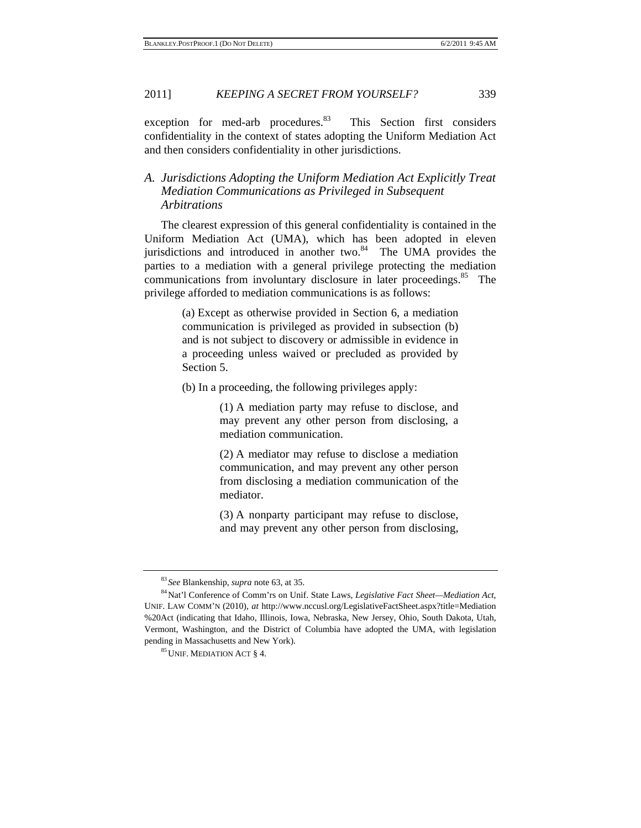exception for med-arb procedures.<sup>83</sup> This Section first considers confidentiality in the context of states adopting the Uniform Mediation Act and then considers confidentiality in other jurisdictions.

#### *A. Jurisdictions Adopting the Uniform Mediation Act Explicitly Treat Mediation Communications as Privileged in Subsequent Arbitrations*

The clearest expression of this general confidentiality is contained in the Uniform Mediation Act (UMA), which has been adopted in eleven jurisdictions and introduced in another two.<sup>84</sup> The UMA provides the parties to a mediation with a general privilege protecting the mediation communications from involuntary disclosure in later proceedings.<sup>85</sup> The privilege afforded to mediation communications is as follows:

> (a) Except as otherwise provided in Section 6, a mediation communication is privileged as provided in subsection (b) and is not subject to discovery or admissible in evidence in a proceeding unless waived or precluded as provided by Section 5.

(b) In a proceeding, the following privileges apply:

(1) A mediation party may refuse to disclose, and may prevent any other person from disclosing, a mediation communication.

(2) A mediator may refuse to disclose a mediation communication, and may prevent any other person from disclosing a mediation communication of the mediator.

(3) A nonparty participant may refuse to disclose, and may prevent any other person from disclosing,

<sup>&</sup>lt;sup>83</sup> See Blankenship, *supra* note 63, at 35.<br><sup>84</sup>Nat'l Conference of Comm'rs on Unif. State Laws, *Legislative Fact Sheet—Mediation Act*, UNIF. LAW COMM'N (2010), *at* http://www.nccusl.org/LegislativeFactSheet.aspx?title=Mediation %20Act (indicating that Idaho, Illinois, Iowa, Nebraska, New Jersey, Ohio, South Dakota, Utah, Vermont, Washington, and the District of Columbia have adopted the UMA, with legislation pending in Massachusetts and New York).<br><sup>85</sup>UNIF. MEDIATION ACT § 4.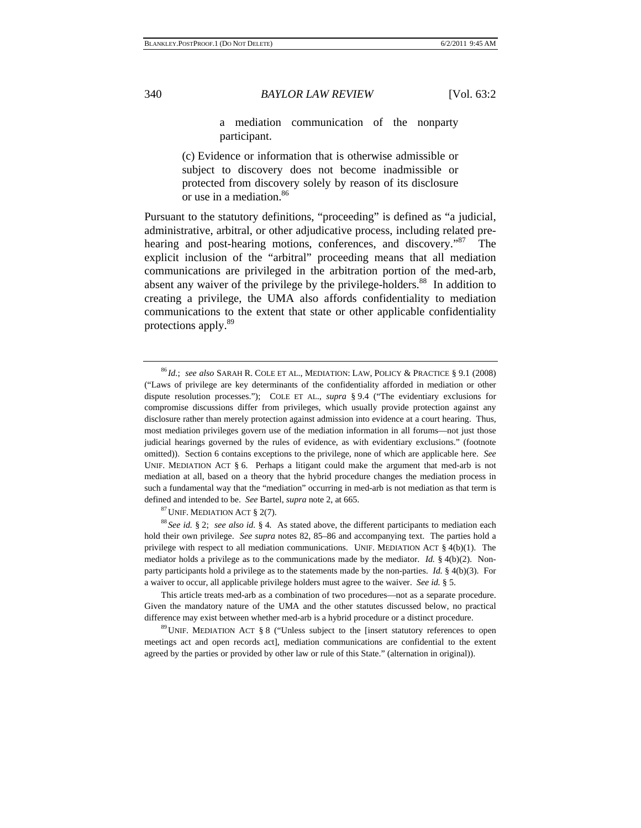a mediation communication of the nonparty participant.

(c) Evidence or information that is otherwise admissible or subject to discovery does not become inadmissible or protected from discovery solely by reason of its disclosure or use in a mediation.<sup>86</sup>

Pursuant to the statutory definitions, "proceeding" is defined as "a judicial, administrative, arbitral, or other adjudicative process, including related prehearing and post-hearing motions, conferences, and discovery."<sup>87</sup> explicit inclusion of the "arbitral" proceeding means that all mediation communications are privileged in the arbitration portion of the med-arb, absent any waiver of the privilege by the privilege-holders.<sup>88</sup> In addition to creating a privilege, the UMA also affords confidentiality to mediation communications to the extent that state or other applicable confidentiality protections apply.89

<sup>86</sup> *Id.*; *see also* SARAH R. COLE ET AL., MEDIATION: LAW, POLICY & PRACTICE § 9.1 (2008) ("Laws of privilege are key determinants of the confidentiality afforded in mediation or other dispute resolution processes."); COLE ET AL., *supra* § 9.4 ("The evidentiary exclusions for compromise discussions differ from privileges, which usually provide protection against any disclosure rather than merely protection against admission into evidence at a court hearing. Thus, most mediation privileges govern use of the mediation information in all forums—not just those judicial hearings governed by the rules of evidence, as with evidentiary exclusions." (footnote omitted)). Section 6 contains exceptions to the privilege, none of which are applicable here. *See* UNIF. MEDIATION ACT § 6. Perhaps a litigant could make the argument that med-arb is not mediation at all, based on a theory that the hybrid procedure changes the mediation process in such a fundamental way that the "mediation" occurring in med-arb is not mediation as that term is defined and intended to be. *See* Bartel, *supra* note 2, at 665.<br><sup>87</sup>UNIF. MEDIATION ACT § 2(7). <sup>88</sup> *See id.* § 2; *see also id.* § 4. As stated above, the different participants to mediation each

hold their own privilege. *See supra* notes 82, 85–86 and accompanying text. The parties hold a privilege with respect to all mediation communications. UNIF. MEDIATION ACT § 4(b)(1). The mediator holds a privilege as to the communications made by the mediator. *Id.* § 4(b)(2). Nonparty participants hold a privilege as to the statements made by the non-parties. *Id.* § 4(b)(3). For a waiver to occur, all applicable privilege holders must agree to the waiver. *See id.* § 5.

 This article treats med-arb as a combination of two procedures—not as a separate procedure. Given the mandatory nature of the UMA and the other statutes discussed below, no practical difference may exist between whether med-arb is a hybrid procedure or a distinct procedure.<br><sup>89</sup>UNIF. MEDIATION ACT § 8 ("Unless subject to the [insert statutory references to open

meetings act and open records act], mediation communications are confidential to the extent agreed by the parties or provided by other law or rule of this State." (alternation in original)).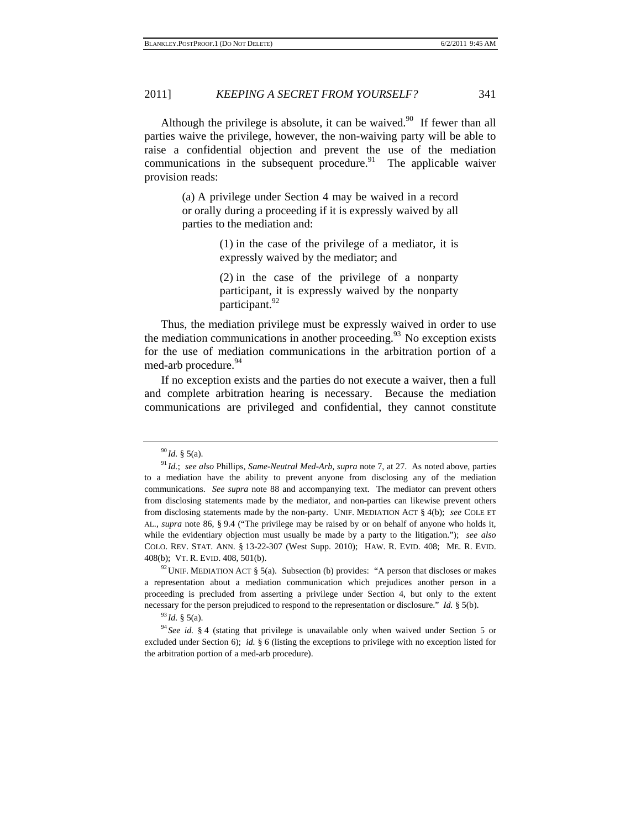Although the privilege is absolute, it can be waived.<sup>90</sup> If fewer than all parties waive the privilege, however, the non-waiving party will be able to raise a confidential objection and prevent the use of the mediation communications in the subsequent procedure. $91$  The applicable waiver provision reads:

> (a) A privilege under Section 4 may be waived in a record or orally during a proceeding if it is expressly waived by all parties to the mediation and:

> > (1) in the case of the privilege of a mediator, it is expressly waived by the mediator; and

> > (2) in the case of the privilege of a nonparty participant, it is expressly waived by the nonparty participant.<sup>92</sup>

Thus, the mediation privilege must be expressly waived in order to use the mediation communications in another proceeding. $93$  No exception exists for the use of mediation communications in the arbitration portion of a med-arb procedure.<sup>94</sup>

If no exception exists and the parties do not execute a waiver, then a full and complete arbitration hearing is necessary. Because the mediation communications are privileged and confidential, they cannot constitute

a representation about a mediation communication which prejudices another person in a proceeding is precluded from asserting a privilege under Section 4, but only to the extent necessary for the person prejudiced to respond to the representation or disclosure." *Id.* § 5(b).<br><sup>93</sup>*Id.* § 5(a). <sup>94</sup> *See id.* § 4 (stating that privilege is unavailable only when waived under Section 5 or

excluded under Section 6); *id.* § 6 (listing the exceptions to privilege with no exception listed for the arbitration portion of a med-arb procedure).

<sup>90</sup> *Id.* § 5(a). 91 *Id.*; *see also* Phillips, *Same-Neutral Med-Arb*, *supra* note 7, at 27. As noted above, parties to a mediation have the ability to prevent anyone from disclosing any of the mediation communications. *See supra* note 88 and accompanying text. The mediator can prevent others from disclosing statements made by the mediator, and non-parties can likewise prevent others from disclosing statements made by the non-party. UNIF. MEDIATION ACT § 4(b); *see* COLE ET AL., *supra* note 86, § 9.4 ("The privilege may be raised by or on behalf of anyone who holds it, while the evidentiary objection must usually be made by a party to the litigation."); *see also* COLO. REV. STAT. ANN. § 13-22-307 (West Supp. 2010); HAW. R. EVID. 408; ME. R. EVID. 408(b); VT. R. EVID. 408, 501(b).<br><sup>92</sup>UNIF. MEDIATION ACT § 5(a). Subsection (b) provides: "A person that discloses or makes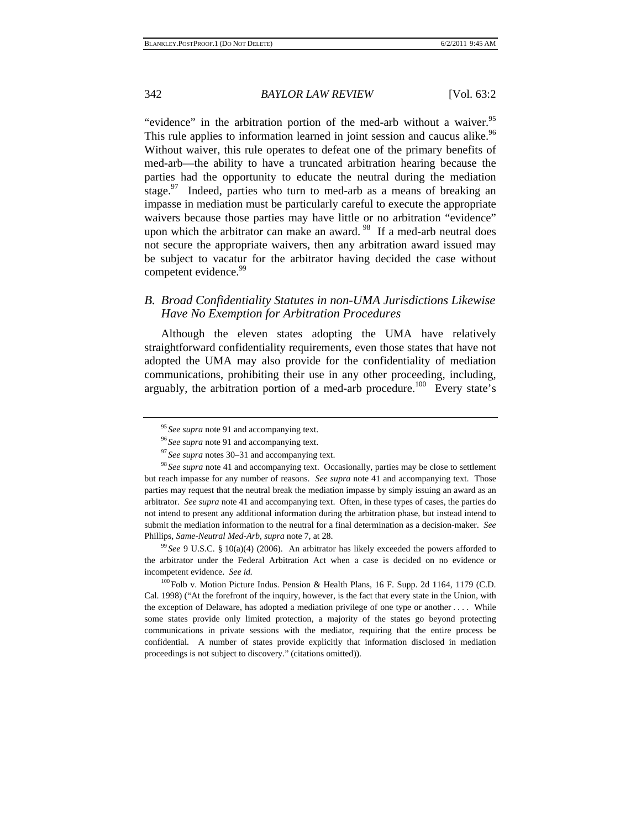"evidence" in the arbitration portion of the med-arb without a waiver.<sup>95</sup> This rule applies to information learned in joint session and caucus alike.<sup>96</sup> Without waiver, this rule operates to defeat one of the primary benefits of med-arb—the ability to have a truncated arbitration hearing because the parties had the opportunity to educate the neutral during the mediation stage.<sup>97</sup> Indeed, parties who turn to med-arb as a means of breaking an impasse in mediation must be particularly careful to execute the appropriate waivers because those parties may have little or no arbitration "evidence" upon which the arbitrator can make an award.<sup>98</sup> If a med-arb neutral does not secure the appropriate waivers, then any arbitration award issued may be subject to vacatur for the arbitrator having decided the case without competent evidence.<sup>99</sup>

#### *B. Broad Confidentiality Statutes in non-UMA Jurisdictions Likewise Have No Exemption for Arbitration Procedures*

Although the eleven states adopting the UMA have relatively straightforward confidentiality requirements, even those states that have not adopted the UMA may also provide for the confidentiality of mediation communications, prohibiting their use in any other proceeding, including, arguably, the arbitration portion of a med-arb procedure.<sup>100</sup> Every state's

the arbitrator under the Federal Arbitration Act when a case is decided on no evidence or incompetent evidence. *See id.*

<sup>100</sup>Folb v. Motion Picture Indus. Pension & Health Plans, 16 F. Supp. 2d 1164, 1179 (C.D. Cal. 1998) ("At the forefront of the inquiry, however, is the fact that every state in the Union, with the exception of Delaware, has adopted a mediation privilege of one type or another . . . . While some states provide only limited protection, a majority of the states go beyond protecting communications in private sessions with the mediator, requiring that the entire process be confidential. A number of states provide explicitly that information disclosed in mediation proceedings is not subject to discovery." (citations omitted)).

<sup>&</sup>lt;sup>95</sup> See supra note 91 and accompanying text.<br><sup>96</sup> See supra note 91 and accompanying text.<br><sup>97</sup> See supra notes 30–31 and accompanying text.<br><sup>98</sup> See supra note 41 and accompanying text. Occasionally, parties may be clos but reach impasse for any number of reasons. *See supra* note 41 and accompanying text. Those parties may request that the neutral break the mediation impasse by simply issuing an award as an arbitrator. *See supra* note 41 and accompanying text. Often, in these types of cases, the parties do not intend to present any additional information during the arbitration phase, but instead intend to submit the mediation information to the neutral for a final determination as a decision-maker. *See*  Phillips, *Same-Neutral Med-Arb*, *supra* note 7, at 28.<br><sup>99</sup> *See* 9 U.S.C. § 10(a)(4) (2006). An arbitrator has likely exceeded the powers afforded to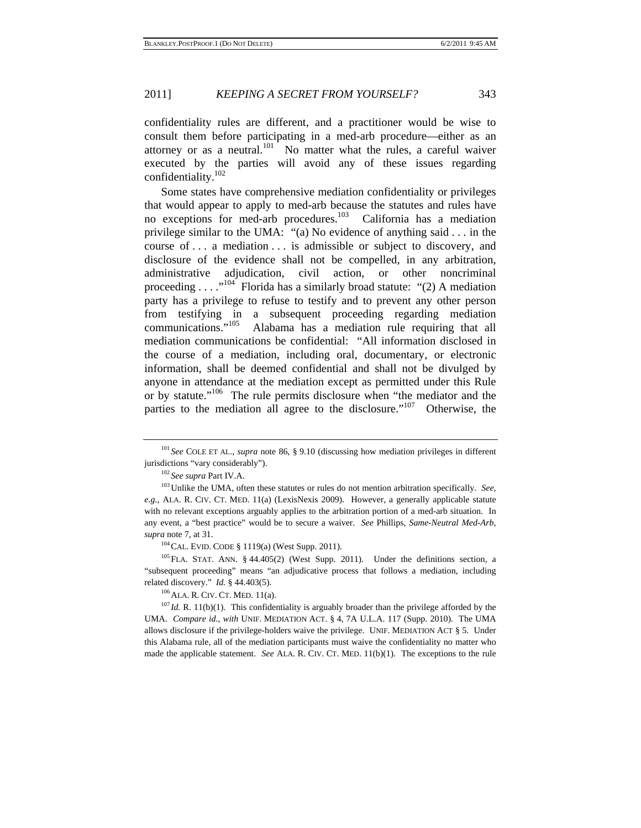confidentiality rules are different, and a practitioner would be wise to consult them before participating in a med-arb procedure—either as an attorney or as a neutral. $101$  No matter what the rules, a careful waiver executed by the parties will avoid any of these issues regarding confidentiality.102

Some states have comprehensive mediation confidentiality or privileges that would appear to apply to med-arb because the statutes and rules have no exceptions for med-arb procedures.<sup>103</sup> California has a mediation privilege similar to the UMA: "(a) No evidence of anything said . . . in the course of . . . a mediation . . . is admissible or subject to discovery, and disclosure of the evidence shall not be compelled, in any arbitration, administrative adjudication, civil action, or other noncriminal proceeding  $\ldots$ ."<sup>104</sup> Florida has a similarly broad statute: "(2) A mediation party has a privilege to refuse to testify and to prevent any other person from testifying in a subsequent proceeding regarding mediation communications."<sup>105</sup> Alabama has a mediation rule requiring that all Alabama has a mediation rule requiring that all mediation communications be confidential: "All information disclosed in the course of a mediation, including oral, documentary, or electronic information, shall be deemed confidential and shall not be divulged by anyone in attendance at the mediation except as permitted under this Rule or by statute."106 The rule permits disclosure when "the mediator and the parties to the mediation all agree to the disclosure."<sup>107</sup> Otherwise, the

<sup>104</sup>CAL. EVID. CODE § 1119(a) (West Supp. 2011).<br><sup>105</sup>FLA. STAT. ANN. § 44.405(2) (West Supp. 2011). Under the definitions section, a "subsequent proceeding" means "an adjudicative process that follows a mediation, including related discovery." *Id.* § 44.403(5).<br><sup>106</sup>ALA. R. CIV. CT. MED. 11(a).<br><sup>107</sup>*Id.* R. 11(b)(1). This confidentiality is arguably broader than the privilege afforded by the

UMA. *Compare id.*, *with* UNIF. MEDIATION ACT. § 4, 7A U.L.A. 117 (Supp. 2010). The UMA allows disclosure if the privilege-holders waive the privilege. UNIF. MEDIATION ACT § 5. Under this Alabama rule, all of the mediation participants must waive the confidentiality no matter who made the applicable statement. *See* ALA. R. CIV. CT. MED. 11(b)(1). The exceptions to the rule

<sup>101</sup> *See* COLE ET AL., *supra* note 86, § 9.10 (discussing how mediation privileges in different jurisdictions "vary considerably").<br><sup>102</sup> *See supra* Part IV.A. <sup>103</sup> Unlike the UMA, often these statutes or rules do not mention arbitration specifically. *See*,

*e.g.*, ALA. R. CIV. CT. MED. 11(a) (LexisNexis 2009). However, a generally applicable statute with no relevant exceptions arguably applies to the arbitration portion of a med-arb situation. In any event, a "best practice" would be to secure a waiver. *See* Phillips, *Same-Neutral Med-Arb*, *supra* note 7, at 31.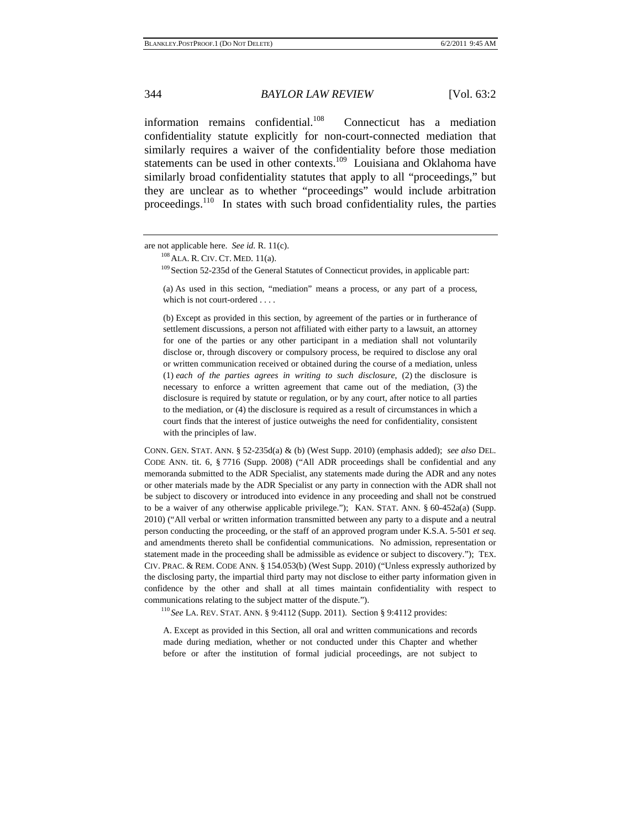information remains confidential.<sup>108</sup> Connecticut has a mediation confidentiality statute explicitly for non-court-connected mediation that similarly requires a waiver of the confidentiality before those mediation statements can be used in other contexts.<sup>109</sup> Louisiana and Oklahoma have similarly broad confidentiality statutes that apply to all "proceedings," but they are unclear as to whether "proceedings" would include arbitration proceedings.<sup>110</sup> In states with such broad confidentiality rules, the parties

(a) As used in this section, "mediation" means a process, or any part of a process, which is not court-ordered . . . .

(b) Except as provided in this section, by agreement of the parties or in furtherance of settlement discussions, a person not affiliated with either party to a lawsuit, an attorney for one of the parties or any other participant in a mediation shall not voluntarily disclose or, through discovery or compulsory process, be required to disclose any oral or written communication received or obtained during the course of a mediation, unless (1) *each of the parties agrees in writing to such disclosure*, (2) the disclosure is necessary to enforce a written agreement that came out of the mediation, (3) the disclosure is required by statute or regulation, or by any court, after notice to all parties to the mediation, or (4) the disclosure is required as a result of circumstances in which a court finds that the interest of justice outweighs the need for confidentiality, consistent with the principles of law.

CONN. GEN. STAT. ANN. § 52-235d(a) & (b) (West Supp. 2010) (emphasis added); *see also* DEL. CODE ANN. tit. 6, § 7716 (Supp. 2008) ("All ADR proceedings shall be confidential and any memoranda submitted to the ADR Specialist, any statements made during the ADR and any notes or other materials made by the ADR Specialist or any party in connection with the ADR shall not be subject to discovery or introduced into evidence in any proceeding and shall not be construed to be a waiver of any otherwise applicable privilege."); KAN. STAT. ANN. § 60-452a(a) (Supp. 2010) ("All verbal or written information transmitted between any party to a dispute and a neutral person conducting the proceeding, or the staff of an approved program under K.S.A. 5-501 *et seq.* and amendments thereto shall be confidential communications. No admission, representation or statement made in the proceeding shall be admissible as evidence or subject to discovery."); TEX. CIV. PRAC. & REM. CODE ANN. § 154.053(b) (West Supp. 2010) ("Unless expressly authorized by the disclosing party, the impartial third party may not disclose to either party information given in confidence by the other and shall at all times maintain confidentiality with respect to communications relating to the subject matter of the dispute.").<br><sup>110</sup> *See* LA. REV. STAT. ANN. § 9:4112 (Supp. 2011). Section § 9:4112 provides:

A. Except as provided in this Section, all oral and written communications and records made during mediation, whether or not conducted under this Chapter and whether before or after the institution of formal judicial proceedings, are not subject to

are not applicable here. *See id.* R. 11(c).<br><sup>108</sup>ALA. R. CIV. CT. MED. 11(a).<br><sup>109</sup> Section 52-235d of the General Statutes of Connecticut provides, in applicable part: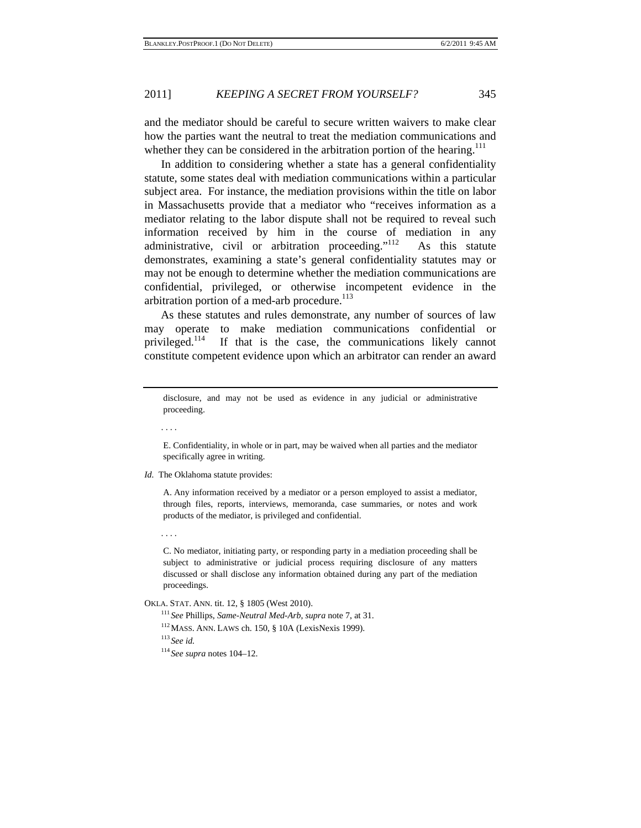and the mediator should be careful to secure written waivers to make clear how the parties want the neutral to treat the mediation communications and whether they can be considered in the arbitration portion of the hearing.<sup>111</sup>

In addition to considering whether a state has a general confidentiality statute, some states deal with mediation communications within a particular subject area. For instance, the mediation provisions within the title on labor in Massachusetts provide that a mediator who "receives information as a mediator relating to the labor dispute shall not be required to reveal such information received by him in the course of mediation in any administrative, civil or arbitration proceeding. $112$  As this statute demonstrates, examining a state's general confidentiality statutes may or may not be enough to determine whether the mediation communications are confidential, privileged, or otherwise incompetent evidence in the arbitration portion of a med-arb procedure. $^{113}$ 

As these statutes and rules demonstrate, any number of sources of law may operate to make mediation communications confidential or privileged.114 If that is the case, the communications likely cannot constitute competent evidence upon which an arbitrator can render an award

. . . .

E. Confidentiality, in whole or in part, may be waived when all parties and the mediator specifically agree in writing.

*Id.* The Oklahoma statute provides:

A. Any information received by a mediator or a person employed to assist a mediator, through files, reports, interviews, memoranda, case summaries, or notes and work products of the mediator, is privileged and confidential.

. . . .

C. No mediator, initiating party, or responding party in a mediation proceeding shall be subject to administrative or judicial process requiring disclosure of any matters discussed or shall disclose any information obtained during any part of the mediation proceedings.

OKLA. STAT. ANN. tit. 12, § 1805 (West 2010). 111 *See* Phillips, *Same-Neutral Med-Arb*, *supra* note 7, at 31. 112MASS. ANN. LAWS ch. 150, § 10A (LexisNexis 1999). 113 *See id.*

<sup>114</sup> *See supra* notes 104–12.

disclosure, and may not be used as evidence in any judicial or administrative proceeding.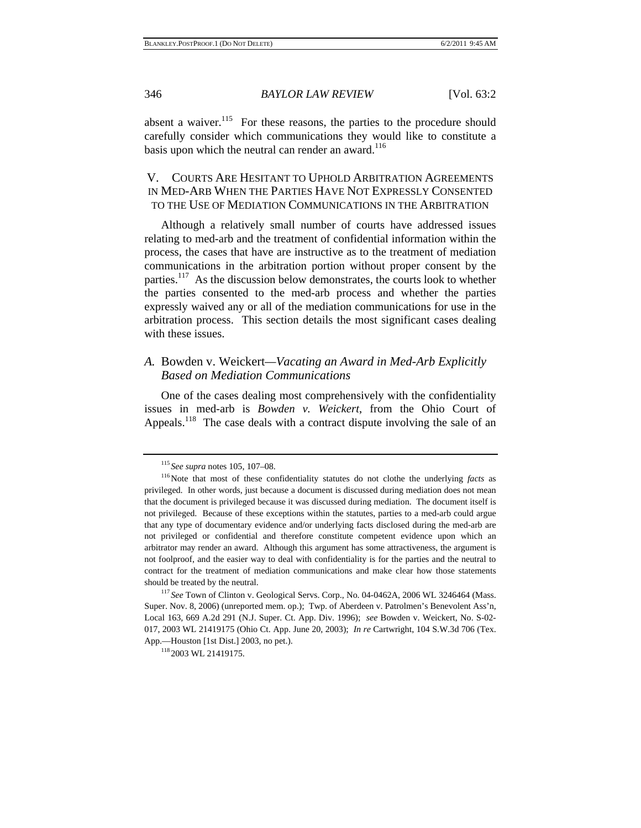absent a waiver. $115$  For these reasons, the parties to the procedure should carefully consider which communications they would like to constitute a basis upon which the neutral can render an award. $116$ 

#### V. COURTS ARE HESITANT TO UPHOLD ARBITRATION AGREEMENTS IN MED-ARB WHEN THE PARTIES HAVE NOT EXPRESSLY CONSENTED TO THE USE OF MEDIATION COMMUNICATIONS IN THE ARBITRATION

Although a relatively small number of courts have addressed issues relating to med-arb and the treatment of confidential information within the process, the cases that have are instructive as to the treatment of mediation communications in the arbitration portion without proper consent by the parties.<sup>117</sup> As the discussion below demonstrates, the courts look to whether the parties consented to the med-arb process and whether the parties expressly waived any or all of the mediation communications for use in the arbitration process. This section details the most significant cases dealing with these issues.

#### *A.* Bowden v. Weickert*—Vacating an Award in Med-Arb Explicitly Based on Mediation Communications*

One of the cases dealing most comprehensively with the confidentiality issues in med-arb is *Bowden v. Weickert*, from the Ohio Court of Appeals.<sup>118</sup> The case deals with a contract dispute involving the sale of an

<sup>&</sup>lt;sup>115</sup> See supra notes 105, 107–08.<br><sup>116</sup>Note that most of these confidentiality statutes do not clothe the underlying *facts* as privileged. In other words, just because a document is discussed during mediation does not mean that the document is privileged because it was discussed during mediation. The document itself is not privileged. Because of these exceptions within the statutes, parties to a med-arb could argue that any type of documentary evidence and/or underlying facts disclosed during the med-arb are not privileged or confidential and therefore constitute competent evidence upon which an arbitrator may render an award. Although this argument has some attractiveness, the argument is not foolproof, and the easier way to deal with confidentiality is for the parties and the neutral to contract for the treatment of mediation communications and make clear how those statements should be treated by the neutral.

<sup>117</sup> *See* Town of Clinton v. Geological Servs. Corp., No. 04-0462A, 2006 WL 3246464 (Mass. Super. Nov. 8, 2006) (unreported mem. op.); Twp. of Aberdeen v. Patrolmen's Benevolent Ass'n, Local 163*,* 669 A.2d 291 (N.J. Super. Ct. App. Div. 1996); *see* Bowden v. Weickert, No. S-02- 017, 2003 WL 21419175 (Ohio Ct. App. June 20, 2003); *In re* Cartwright, 104 S.W.3d 706 (Tex. App.—Houston [1st Dist.] 2003, no pet.).<br><sup>118</sup> 2003 WL 21419175.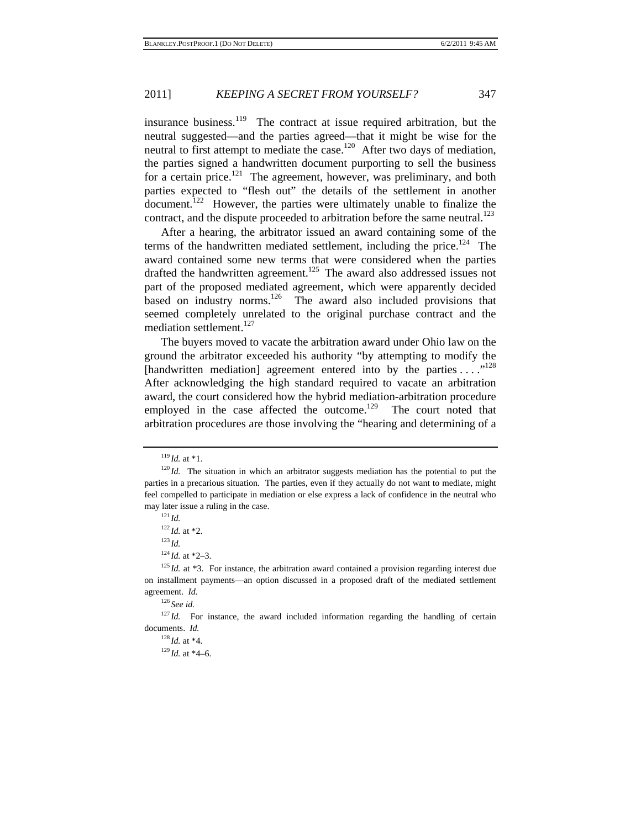insurance business.<sup>119</sup> The contract at issue required arbitration, but the neutral suggested—and the parties agreed—that it might be wise for the neutral to first attempt to mediate the case.<sup>120</sup> After two days of mediation, the parties signed a handwritten document purporting to sell the business for a certain price.<sup>121</sup> The agreement, however, was preliminary, and both parties expected to "flesh out" the details of the settlement in another document.<sup>122</sup> However, the parties were ultimately unable to finalize the contract, and the dispute proceeded to arbitration before the same neutral.<sup>123</sup>

After a hearing, the arbitrator issued an award containing some of the terms of the handwritten mediated settlement, including the price.<sup>124</sup> The award contained some new terms that were considered when the parties drafted the handwritten agreement.<sup>125</sup> The award also addressed issues not part of the proposed mediated agreement, which were apparently decided based on industry norms.<sup>126</sup> The award also included provisions that seemed completely unrelated to the original purchase contract and the mediation settlement.<sup>127</sup>

The buyers moved to vacate the arbitration award under Ohio law on the ground the arbitrator exceeded his authority "by attempting to modify the [handwritten mediation] agreement entered into by the parties ...."<sup>128</sup> After acknowledging the high standard required to vacate an arbitration award, the court considered how the hybrid mediation-arbitration procedure employed in the case affected the outcome.<sup>129</sup> The court noted that arbitration procedures are those involving the "hearing and determining of a

<sup>126</sup> *See id.*

 $^{128}$ *Id.* at \*4.<br> $^{129}$ *Id.* at \*4–6.

<sup>&</sup>lt;sup>119</sup> *Id.* at \*1.<br><sup>120</sup> *Id.* The situation in which an arbitrator suggests mediation has the potential to put the parties in a precarious situation. The parties, even if they actually do not want to mediate, might feel compelled to participate in mediation or else express a lack of confidence in the neutral who may later issue a ruling in the case. 121 *Id.*

 $^{122}$ *Id.* at \*2.<br><sup>123</sup>*Id.* 

<sup>&</sup>lt;sup>124</sup> *Id.* at \*2–3.<br><sup>125</sup> *Id.* at \*3. For instance, the arbitration award contained a provision regarding interest due on installment payments—an option discussed in a proposed draft of the mediated settlement agreement. *Id.* 

 $127$  *Id.* For instance, the award included information regarding the handling of certain documents. *Id.*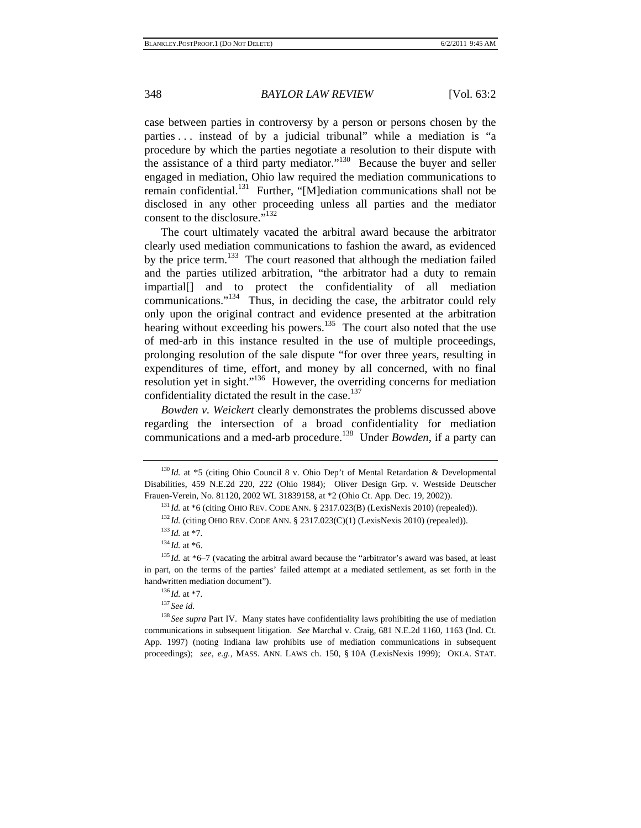case between parties in controversy by a person or persons chosen by the parties ... instead of by a judicial tribunal" while a mediation is "a procedure by which the parties negotiate a resolution to their dispute with the assistance of a third party mediator."130 Because the buyer and seller engaged in mediation, Ohio law required the mediation communications to remain confidential.<sup>131</sup> Further, "[M]ediation communications shall not be disclosed in any other proceeding unless all parties and the mediator consent to the disclosure."<sup>132</sup>

The court ultimately vacated the arbitral award because the arbitrator clearly used mediation communications to fashion the award, as evidenced by the price term.<sup>133</sup> The court reasoned that although the mediation failed and the parties utilized arbitration, "the arbitrator had a duty to remain impartial[] and to protect the confidentiality of all mediation communications."134 Thus, in deciding the case, the arbitrator could rely only upon the original contract and evidence presented at the arbitration hearing without exceeding his powers.<sup>135</sup> The court also noted that the use of med-arb in this instance resulted in the use of multiple proceedings, prolonging resolution of the sale dispute "for over three years, resulting in expenditures of time, effort, and money by all concerned, with no final resolution yet in sight."136 However, the overriding concerns for mediation confidentiality dictated the result in the case.<sup>137</sup>

*Bowden v. Weickert* clearly demonstrates the problems discussed above regarding the intersection of a broad confidentiality for mediation communications and a med-arb procedure.<sup>138</sup> Under *Bowden*, if a party can

<sup>&</sup>lt;sup>130</sup> *Id.* at \*5 (citing Ohio Council 8 v. Ohio Dep't of Mental Retardation & Developmental Disabilities, 459 N.E.2d 220, 222 (Ohio 1984); Oliver Design Grp. v. Westside Deutscher Frauen-Verein, No. 81120, 2002 WL 31839158, at \*2 (Ohio Ct. App. Dec. 19, 2002)).<br><sup>131</sup>*Id.* at \*6 (citing OHIO REV. CODE ANN. § 2317.023(B) (LexisNexis 2010) (repealed)).<br><sup>132</sup>*Id.* (citing OHIO REV. CODE ANN. § 2317.023

in part, on the terms of the parties' failed attempt at a mediated settlement, as set forth in the handwritten mediation document").<br><sup>136</sup>*Id.* at \*7.<br><sup>137</sup> *See id.* 

<sup>&</sup>lt;sup>138</sup> See supra Part IV. Many states have confidentiality laws prohibiting the use of mediation communications in subsequent litigation. *See* Marchal v. Craig, 681 N.E.2d 1160, 1163 (Ind. Ct. App. 1997) (noting Indiana law prohibits use of mediation communications in subsequent proceedings); *see, e.g.*, MASS. ANN. LAWS ch. 150, § 10A (LexisNexis 1999); OKLA. STAT.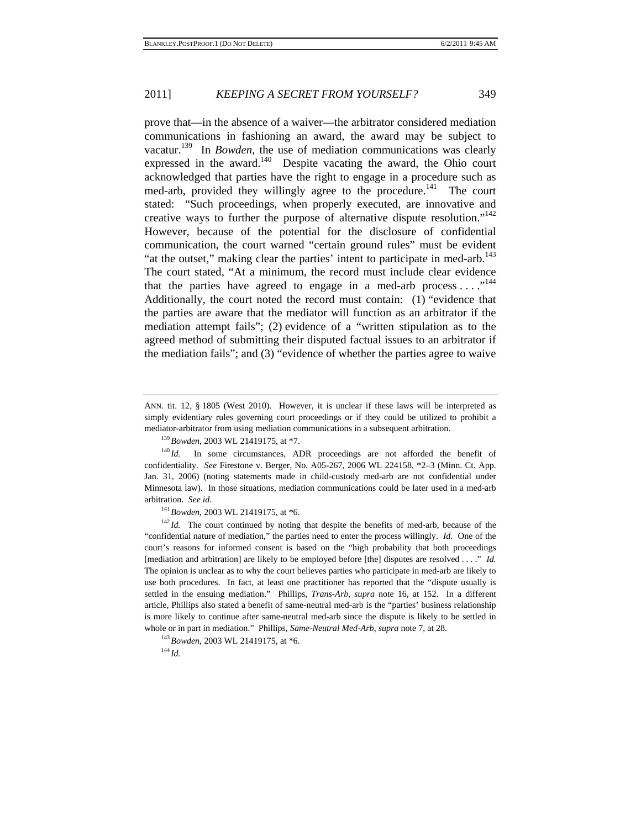prove that—in the absence of a waiver—the arbitrator considered mediation communications in fashioning an award, the award may be subject to vacatur.139 In *Bowden*, the use of mediation communications was clearly expressed in the award.<sup>140</sup> Despite vacating the award, the Ohio court acknowledged that parties have the right to engage in a procedure such as med-arb, provided they willingly agree to the procedure.<sup>141</sup> The court stated: "Such proceedings, when properly executed, are innovative and creative ways to further the purpose of alternative dispute resolution."<sup>142</sup> However, because of the potential for the disclosure of confidential communication, the court warned "certain ground rules" must be evident "at the outset," making clear the parties' intent to participate in med-arb.<sup>143</sup> The court stated, "At a minimum, the record must include clear evidence that the parties have agreed to engage in a med-arb process ...."<sup>144</sup> Additionally, the court noted the record must contain: (1) "evidence that the parties are aware that the mediator will function as an arbitrator if the mediation attempt fails"; (2) evidence of a "written stipulation as to the agreed method of submitting their disputed factual issues to an arbitrator if the mediation fails"; and (3) "evidence of whether the parties agree to waive

confidentiality. *See* Firestone v. Berger, No. A05-267, 2006 WL 224158, \*2–3 (Minn. Ct. App. Jan. 31, 2006) (noting statements made in child-custody med-arb are not confidential under Minnesota law). In those situations, mediation communications could be later used in a med-arb arbitration. *See id.* 141*Bowden*, 2003 WL 21419175, at \*6. 142 *Id.* The court continued by noting that despite the benefits of med-arb, because of the

"confidential nature of mediation," the parties need to enter the process willingly. *Id.* One of the court's reasons for informed consent is based on the "high probability that both proceedings [mediation and arbitration] are likely to be employed before [the] disputes are resolved . . . ." *Id.* The opinion is unclear as to why the court believes parties who participate in med-arb are likely to use both procedures. In fact, at least one practitioner has reported that the "dispute usually is settled in the ensuing mediation." Phillips, *Trans-Arb*, *supra* note 16, at 152. In a different article, Phillips also stated a benefit of same-neutral med-arb is the "parties' business relationship is more likely to continue after same-neutral med-arb since the dispute is likely to be settled in whole or in part in mediation." Phillips, *Same-Neutral Med-Arb*, *supra* note 7, at 28. <sup>143</sup>*Bowden*, 2003 WL 21419175, at \*6. <sup>144</sup> *Id* 

ANN. tit. 12, § 1805 (West 2010). However, it is unclear if these laws will be interpreted as simply evidentiary rules governing court proceedings or if they could be utilized to prohibit a mediator-arbitrator from using mediation communications in a subsequent arbitration.<br><sup>139</sup>*Bowden*, 2003 WL 21419175, at \*7.<br><sup>140</sup>*Id.* In some circumstances, ADR proceedings are not afforded the benefit of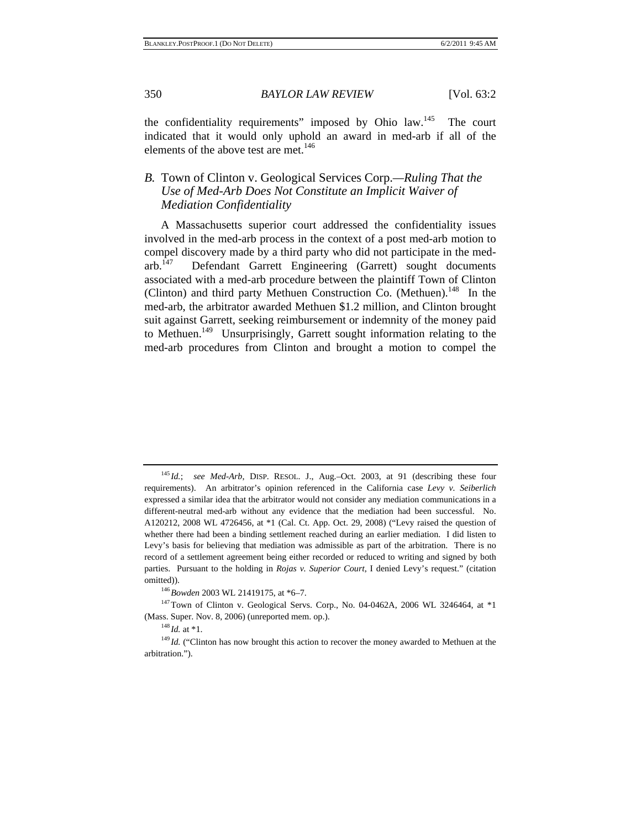the confidentiality requirements" imposed by Ohio law.<sup>145</sup> The court indicated that it would only uphold an award in med-arb if all of the elements of the above test are met.<sup>146</sup>

#### *B.* Town of Clinton v. Geological Services Corp.*—Ruling That the Use of Med-Arb Does Not Constitute an Implicit Waiver of Mediation Confidentiality*

A Massachusetts superior court addressed the confidentiality issues involved in the med-arb process in the context of a post med-arb motion to compel discovery made by a third party who did not participate in the medarb.147 Defendant Garrett Engineering (Garrett) sought documents associated with a med-arb procedure between the plaintiff Town of Clinton (Clinton) and third party Methuen Construction Co. (Methuen).<sup>148</sup> In the med-arb, the arbitrator awarded Methuen \$1.2 million, and Clinton brought suit against Garrett, seeking reimbursement or indemnity of the money paid to Methuen.<sup>149</sup> Unsurprisingly, Garrett sought information relating to the med-arb procedures from Clinton and brought a motion to compel the

(Mass. Super. Nov. 8, 2006) (unreported mem. op.).<br><sup>148</sup> *Id.* at \*1.<br><sup>149</sup> *Id.* ("Clinton has now brought this action to recover the money awarded to Methuen at the

<sup>145</sup> *Id.*; *see Med-Arb*, DISP. RESOL. J., Aug.–Oct. 2003, at 91 (describing these four requirements). An arbitrator's opinion referenced in the California case *Levy v. Seiberlich* expressed a similar idea that the arbitrator would not consider any mediation communications in a different-neutral med-arb without any evidence that the mediation had been successful. No. A120212, 2008 WL 4726456, at \*1 (Cal. Ct. App. Oct. 29, 2008) ("Levy raised the question of whether there had been a binding settlement reached during an earlier mediation. I did listen to Levy's basis for believing that mediation was admissible as part of the arbitration. There is no record of a settlement agreement being either recorded or reduced to writing and signed by both parties. Pursuant to the holding in *Rojas v. Superior Court*, I denied Levy's request." (citation omitted)).<br><sup>146</sup>*Bowden* 2003 WL 21419175, at \*6–7.<br><sup>147</sup>Town of Clinton v. Geological Servs. Corp., No. 04-0462A, 2006 WL 3246464, at \*1

arbitration.").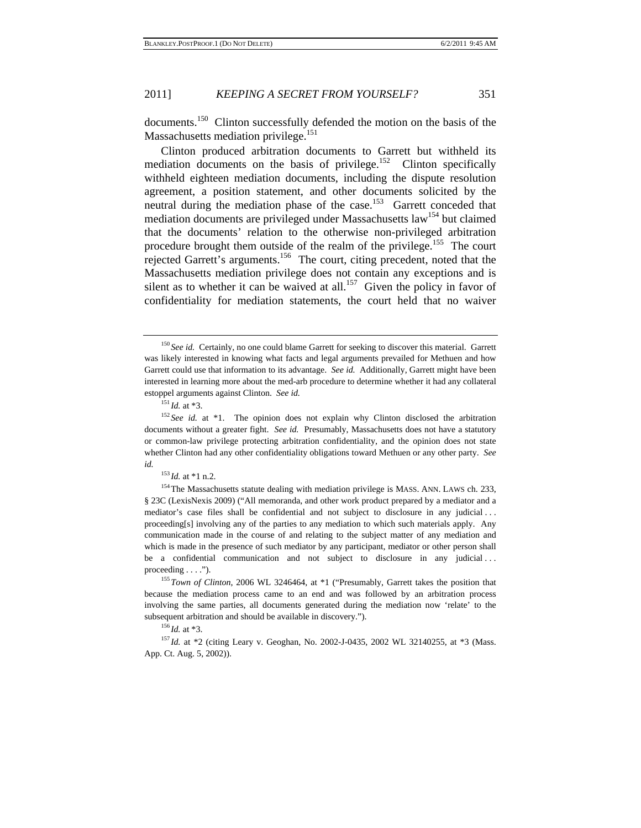documents.<sup>150</sup> Clinton successfully defended the motion on the basis of the Massachusetts mediation privilege.<sup>151</sup>

Clinton produced arbitration documents to Garrett but withheld its mediation documents on the basis of privilege.<sup>152</sup> Clinton specifically withheld eighteen mediation documents, including the dispute resolution agreement, a position statement, and other documents solicited by the neutral during the mediation phase of the case.<sup>153</sup> Garrett conceded that mediation documents are privileged under Massachusetts law<sup>154</sup> but claimed that the documents' relation to the otherwise non-privileged arbitration procedure brought them outside of the realm of the privilege.<sup>155</sup> The court rejected Garrett's arguments.156 The court, citing precedent, noted that the Massachusetts mediation privilege does not contain any exceptions and is silent as to whether it can be waived at all.<sup>157</sup> Given the policy in favor of confidentiality for mediation statements, the court held that no waiver

<sup>153</sup>*Id.* at \*1 n.2.<br><sup>154</sup>The Massachusetts statute dealing with mediation privilege is MASS. ANN. LAWS ch. 233, § 23C (LexisNexis 2009) ("All memoranda, and other work product prepared by a mediator and a mediator's case files shall be confidential and not subject to disclosure in any judicial . . . proceeding[s] involving any of the parties to any mediation to which such materials apply. Any communication made in the course of and relating to the subject matter of any mediation and which is made in the presence of such mediator by any participant, mediator or other person shall be a confidential communication and not subject to disclosure in any judicial . . .

proceeding . . . .").<br><sup>155</sup>*Town of Clinton*, 2006 WL 3246464, at \*1 ("Presumably, Garrett takes the position that because the mediation process came to an end and was followed by an arbitration process involving the same parties, all documents generated during the mediation now 'relate' to the subsequent arbitration and should be available in discovery.").<br><sup>156</sup>*Id.* at \*3. <sup>157</sup>*Id.* at \*2 (citing Leary v. Geoghan, No. 2002-J-0435, 2002 WL 32140255, at \*3 (Mass.

App. Ct. Aug. 5, 2002)).

<sup>&</sup>lt;sup>150</sup> See id. Certainly, no one could blame Garrett for seeking to discover this material. Garrett was likely interested in knowing what facts and legal arguments prevailed for Methuen and how Garrett could use that information to its advantage. *See id.* Additionally, Garrett might have been interested in learning more about the med-arb procedure to determine whether it had any collateral estoppel arguments against Clinton. *See id.* 

<sup>&</sup>lt;sup>151</sup> *Id.* at  $*3$ .<br><sup>152</sup> *See id.* at  $*1$ . The opinion does not explain why Clinton disclosed the arbitration documents without a greater fight. *See id.* Presumably, Massachusetts does not have a statutory or common-law privilege protecting arbitration confidentiality, and the opinion does not state whether Clinton had any other confidentiality obligations toward Methuen or any other party. *See id.*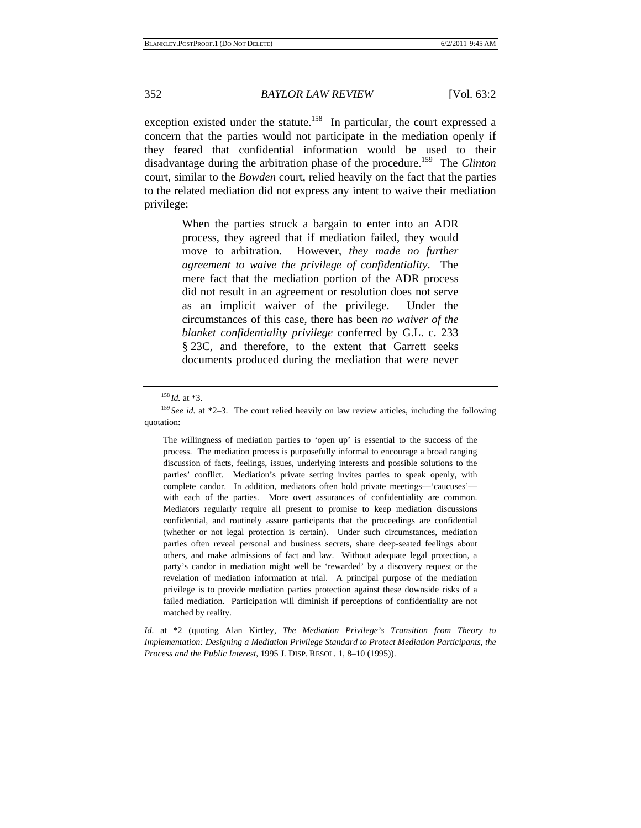exception existed under the statute.<sup>158</sup> In particular, the court expressed a concern that the parties would not participate in the mediation openly if they feared that confidential information would be used to their disadvantage during the arbitration phase of the procedure.159 The *Clinton* court, similar to the *Bowden* court, relied heavily on the fact that the parties to the related mediation did not express any intent to waive their mediation privilege:

> When the parties struck a bargain to enter into an ADR process, they agreed that if mediation failed, they would move to arbitration. However, *they made no further agreement to waive the privilege of confidentiality*. The mere fact that the mediation portion of the ADR process did not result in an agreement or resolution does not serve as an implicit waiver of the privilege. Under the circumstances of this case, there has been *no waiver of the blanket confidentiality privilege* conferred by G.L. c. 233 § 23C, and therefore, to the extent that Garrett seeks documents produced during the mediation that were never

The willingness of mediation parties to 'open up' is essential to the success of the process. The mediation process is purposefully informal to encourage a broad ranging discussion of facts, feelings, issues, underlying interests and possible solutions to the parties' conflict. Mediation's private setting invites parties to speak openly, with complete candor. In addition, mediators often hold private meetings—'caucuses' with each of the parties. More overt assurances of confidentiality are common. Mediators regularly require all present to promise to keep mediation discussions confidential, and routinely assure participants that the proceedings are confidential (whether or not legal protection is certain). Under such circumstances, mediation parties often reveal personal and business secrets, share deep-seated feelings about others, and make admissions of fact and law. Without adequate legal protection, a party's candor in mediation might well be 'rewarded' by a discovery request or the revelation of mediation information at trial. A principal purpose of the mediation privilege is to provide mediation parties protection against these downside risks of a failed mediation. Participation will diminish if perceptions of confidentiality are not matched by reality.

*Id.* at \*2 (quoting Alan Kirtley, *The Mediation Privilege's Transition from Theory to Implementation: Designing a Mediation Privilege Standard to Protect Mediation Participants, the Process and the Public Interest*, 1995 J. DISP. RESOL. 1, 8–10 (1995)).

<sup>&</sup>lt;sup>158</sup>*Id.* at \*3.<br><sup>159</sup> *See id.* at \*2–3. The court relied heavily on law review articles, including the following quotation: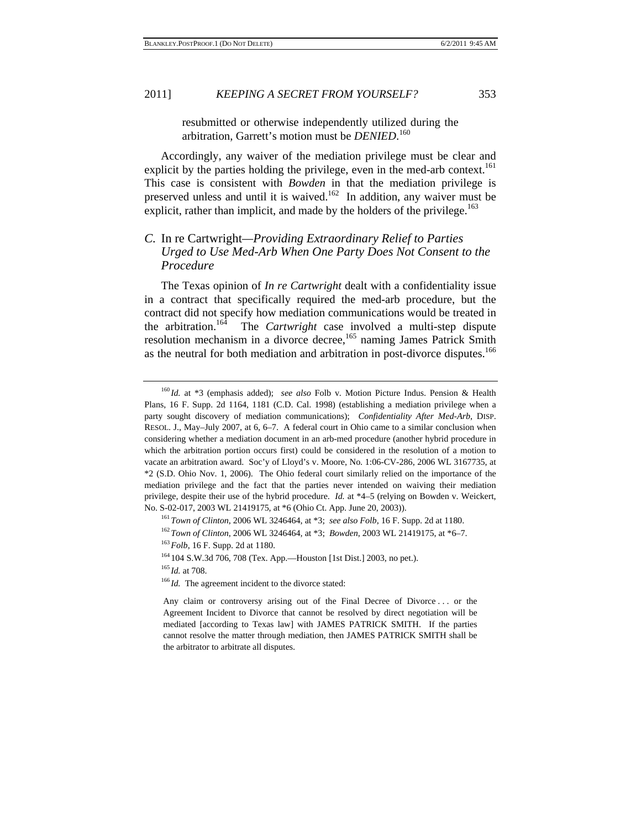resubmitted or otherwise independently utilized during the arbitration, Garrett's motion must be *DENIED*. 160

Accordingly, any waiver of the mediation privilege must be clear and explicit by the parties holding the privilege, even in the med-arb context.<sup>161</sup> This case is consistent with *Bowden* in that the mediation privilege is preserved unless and until it is waived.162 In addition, any waiver must be explicit, rather than implicit, and made by the holders of the privilege.<sup>163</sup>

#### *C.* In re Cartwright*—Providing Extraordinary Relief to Parties Urged to Use Med-Arb When One Party Does Not Consent to the Procedure*

The Texas opinion of *In re Cartwright* dealt with a confidentiality issue in a contract that specifically required the med-arb procedure, but the contract did not specify how mediation communications would be treated in the arbitration.164 The *Cartwright* case involved a multi-step dispute resolution mechanism in a divorce decree,<sup>165</sup> naming James Patrick Smith as the neutral for both mediation and arbitration in post-divorce disputes.<sup>166</sup>

<sup>160</sup> *Id.* at \*3 (emphasis added); *see also* Folb v. Motion Picture Indus. Pension & Health Plans, 16 F. Supp. 2d 1164, 1181 (C.D. Cal. 1998) (establishing a mediation privilege when a party sought discovery of mediation communications); *Confidentiality After Med-Arb*, DISP. RESOL. J., May–July 2007, at 6, 6–7. A federal court in Ohio came to a similar conclusion when considering whether a mediation document in an arb-med procedure (another hybrid procedure in which the arbitration portion occurs first) could be considered in the resolution of a motion to vacate an arbitration award. Soc'y of Lloyd's v. Moore, No. 1:06-CV-286, 2006 WL 3167735, at \*2 (S.D. Ohio Nov. 1, 2006). The Ohio federal court similarly relied on the importance of the mediation privilege and the fact that the parties never intended on waiving their mediation privilege, despite their use of the hybrid procedure. *Id.* at \*4–5 (relying on Bowden v. Weickert, No. S-02-017, 2003 WL 21419175, at \*6 (Ohio Ct. App. June 20, 2003)).<br>
<sup>161</sup> Town of Clinton, 2006 WL 3246464, at \*3; *see also Folb*, 16 F. Supp. 2d at 1180.<br>
<sup>162</sup> Town of Clinton, 2006 WL 3246464, at \*3; *Bowden*, 2003

Any claim or controversy arising out of the Final Decree of Divorce . . . or the Agreement Incident to Divorce that cannot be resolved by direct negotiation will be mediated [according to Texas law] with JAMES PATRICK SMITH. If the parties cannot resolve the matter through mediation, then JAMES PATRICK SMITH shall be the arbitrator to arbitrate all disputes.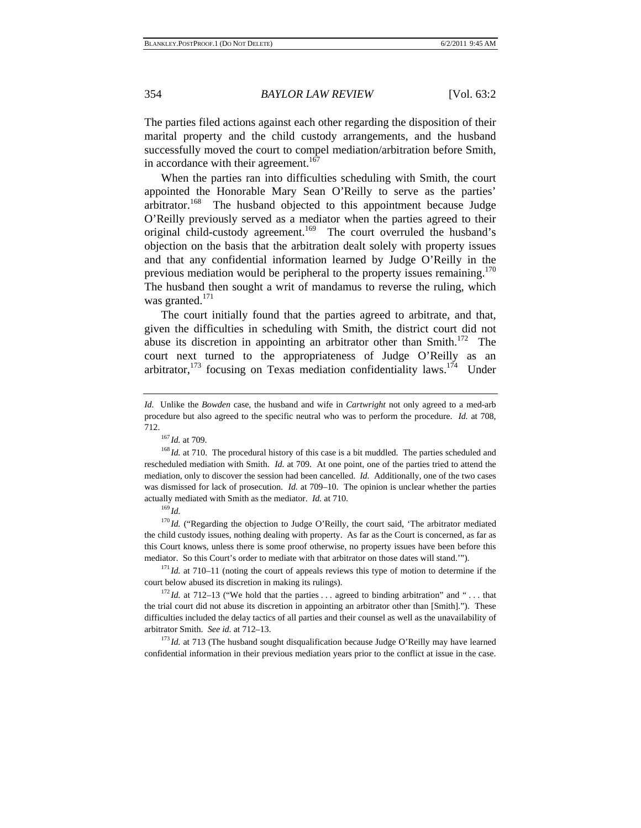The parties filed actions against each other regarding the disposition of their marital property and the child custody arrangements, and the husband successfully moved the court to compel mediation/arbitration before Smith, in accordance with their agreement.<sup>167</sup>

When the parties ran into difficulties scheduling with Smith, the court appointed the Honorable Mary Sean O'Reilly to serve as the parties' arbitrator.<sup>168</sup> The husband objected to this appointment because Judge O'Reilly previously served as a mediator when the parties agreed to their original child-custody agreement.<sup>169</sup> The court overruled the husband's objection on the basis that the arbitration dealt solely with property issues and that any confidential information learned by Judge O'Reilly in the previous mediation would be peripheral to the property issues remaining.<sup>170</sup> The husband then sought a writ of mandamus to reverse the ruling, which was granted. $171$ 

The court initially found that the parties agreed to arbitrate, and that, given the difficulties in scheduling with Smith, the district court did not abuse its discretion in appointing an arbitrator other than Smith.<sup>172</sup> The court next turned to the appropriateness of Judge O'Reilly as an arbitrator,<sup>173</sup> focusing on Texas mediation confidentiality laws.<sup>174</sup> Under

rescheduled mediation with Smith. *Id.* at 709. At one point, one of the parties tried to attend the mediation, only to discover the session had been cancelled. *Id.* Additionally, one of the two cases was dismissed for lack of prosecution. *Id.* at 709–10. The opinion is unclear whether the parties actually mediated with Smith as the mediator. *Id.* at 710. 169 *Id.*

<sup>170</sup> *Id.* ("Regarding the objection to Judge O'Reilly, the court said, 'The arbitrator mediated the child custody issues, nothing dealing with property. As far as the Court is concerned, as far as this Court knows, unless there is some proof otherwise, no property issues have been before this mediator. So this Court's order to mediate with that arbitrator on those dates will stand.'").<br><sup>171</sup> *Id.* at 710–11 (noting the court of appeals reviews this type of motion to determine if the

court below abused its discretion in making its rulings).<br><sup>172</sup> *Id.* at 712–13 ("We hold that the parties . . . agreed to binding arbitration" and " . . . that

the trial court did not abuse its discretion in appointing an arbitrator other than [Smith]."). These difficulties included the delay tactics of all parties and their counsel as well as the unavailability of arbitrator Smith. *See id.* at 712–13. 173 *Id.* at 713 (The husband sought disqualification because Judge O'Reilly may have learned

confidential information in their previous mediation years prior to the conflict at issue in the case.

*Id.* Unlike the *Bowden* case, the husband and wife in *Cartwright* not only agreed to a med-arb procedure but also agreed to the specific neutral who was to perform the procedure. *Id.* at 708, <sup>167</sup> *Id.* at 709.<br><sup>168</sup> *Id.* at 710. The procedural history of this case is a bit muddled. The parties scheduled and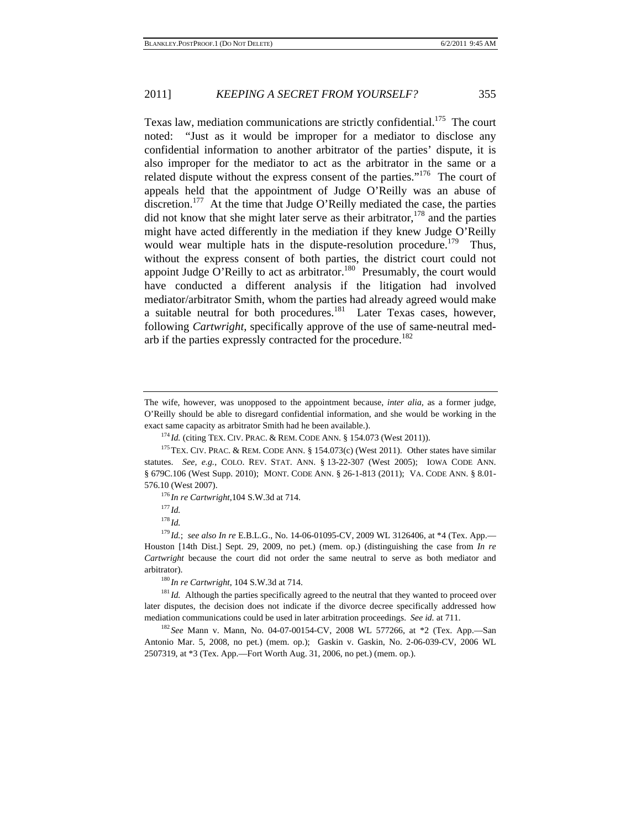Texas law, mediation communications are strictly confidential.<sup>175</sup> The court noted: "Just as it would be improper for a mediator to disclose any confidential information to another arbitrator of the parties' dispute, it is also improper for the mediator to act as the arbitrator in the same or a related dispute without the express consent of the parties."<sup>176</sup> The court of appeals held that the appointment of Judge O'Reilly was an abuse of discretion.<sup>177</sup> At the time that Judge O'Reilly mediated the case, the parties did not know that she might later serve as their arbitrator,  $178$  and the parties might have acted differently in the mediation if they knew Judge O'Reilly would wear multiple hats in the dispute-resolution procedure.<sup>179</sup> Thus, without the express consent of both parties, the district court could not appoint Judge O'Reilly to act as arbitrator.<sup>180</sup> Presumably, the court would have conducted a different analysis if the litigation had involved mediator/arbitrator Smith, whom the parties had already agreed would make a suitable neutral for both procedures.<sup>181</sup> Later Texas cases, however, following *Cartwright*, specifically approve of the use of same-neutral medarb if the parties expressly contracted for the procedure.<sup>182</sup>

statutes. *See, e.g.*, COLO. REV. STAT. ANN. § 13-22-307 (West 2005); IOWA CODE ANN. § 679C.106 (West Supp. 2010); MONT. CODE ANN. § 26-1-813 (2011); VA. CODE ANN. § 8.01- 576.10 (West 2007). 176 *In re Cartwright*,104 S.W.3d at 714. 177 *Id.*

<sup>178</sup> *Id.*

later disputes, the decision does not indicate if the divorce decree specifically addressed how mediation communications could be used in later arbitration proceedings. *See id.* at 711.<br><sup>182</sup> *See* Mann v. Mann, No. 04-07-00154-CV, 2008 WL 577266, at \*2 (Tex. App.—San

Antonio Mar. 5, 2008, no pet.) (mem. op.); Gaskin v. Gaskin, No. 2-06-039-CV, 2006 WL 2507319, at \*3 (Tex. App.—Fort Worth Aug. 31, 2006, no pet.) (mem. op.).

The wife, however, was unopposed to the appointment because, *inter alia*, as a former judge, O'Reilly should be able to disregard confidential information, and she would be working in the exact same capacity as arbitrator Smith had he been available.).<br> $^{174}$ Id. (citing TEX. CIV. PRAC. & REM. CODE ANN. § 154.073 (West 2011)).<br> $^{175}$ TEX. CIV. PRAC. & REM. CODE ANN. § 154.073(c) (West 2011). Other states h

<sup>179</sup> *Id.*; *see also In re* E.B.L.G., No. 14-06-01095-CV, 2009 WL 3126406, at \*4 (Tex. App.— Houston [14th Dist.] Sept. 29, 2009, no pet.) (mem. op.) (distinguishing the case from *In re Cartwright* because the court did not order the same neutral to serve as both mediator and arbitrator).<br><sup>180</sup> *In re Cartwright*, 104 S.W.3d at 714.<br><sup>181</sup> *Id.* Although the parties specifically agreed to the neutral that they wanted to proceed over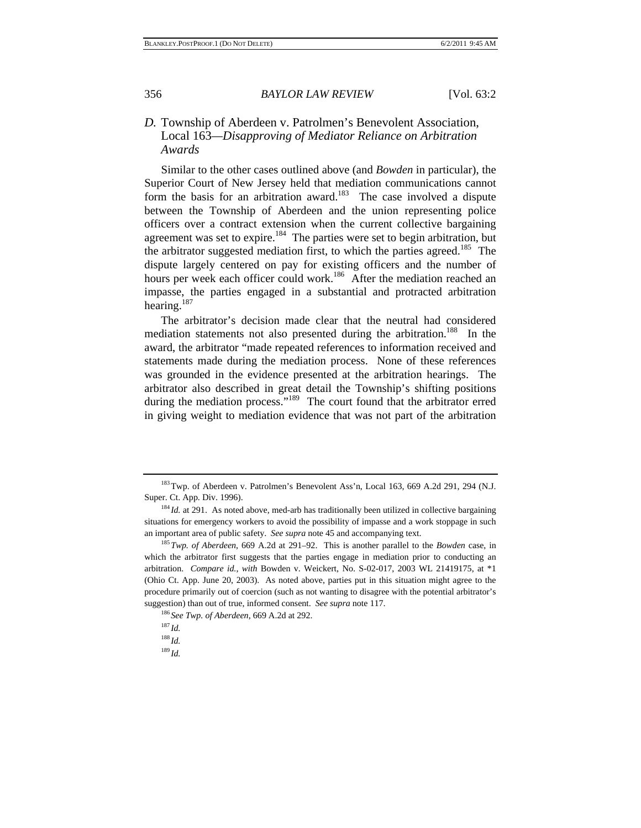#### *D.* Township of Aberdeen v. Patrolmen's Benevolent Association, Local 163*—Disapproving of Mediator Reliance on Arbitration Awards*

Similar to the other cases outlined above (and *Bowden* in particular), the Superior Court of New Jersey held that mediation communications cannot form the basis for an arbitration award.<sup>183</sup> The case involved a dispute between the Township of Aberdeen and the union representing police officers over a contract extension when the current collective bargaining agreement was set to expire.<sup>184</sup> The parties were set to begin arbitration, but the arbitrator suggested mediation first, to which the parties agreed.<sup>185</sup> The dispute largely centered on pay for existing officers and the number of hours per week each officer could work.<sup>186</sup> After the mediation reached an impasse, the parties engaged in a substantial and protracted arbitration hearing.<sup>187</sup>

The arbitrator's decision made clear that the neutral had considered mediation statements not also presented during the arbitration.<sup>188</sup> In the award, the arbitrator "made repeated references to information received and statements made during the mediation process. None of these references was grounded in the evidence presented at the arbitration hearings. The arbitrator also described in great detail the Township's shifting positions during the mediation process."<sup>189</sup> The court found that the arbitrator erred in giving weight to mediation evidence that was not part of the arbitration

 $188$  *Id.* 

<sup>189</sup> *Id.*

<sup>183</sup>Twp. of Aberdeen v. Patrolmen's Benevolent Ass'n, Local 163*,* 669 A.2d 291, 294 (N.J. Super. Ct. App. Div. 1996).

<sup>&</sup>lt;sup>184</sup> *Id.* at 291. As noted above, med-arb has traditionally been utilized in collective bargaining situations for emergency workers to avoid the possibility of impasse and a work stoppage in such an important area of public safety. *See supra* note 45 and accompanying text. 185*Twp. of Aberdeen*, 669 A.2d at 291–92. This is another parallel to the *Bowden* case, in

which the arbitrator first suggests that the parties engage in mediation prior to conducting an arbitration. *Compare id.*, *with* Bowden v. Weickert, No. S-02-017, 2003 WL 21419175, at \*1 (Ohio Ct. App. June 20, 2003). As noted above, parties put in this situation might agree to the procedure primarily out of coercion (such as not wanting to disagree with the potential arbitrator's suggestion) than out of true, informed consent. *See supra* note 117.<br><sup>186</sup> *See Twp. of Aberdeen*, 669 A.2d at 292.<br><sup>187</sup> *Id*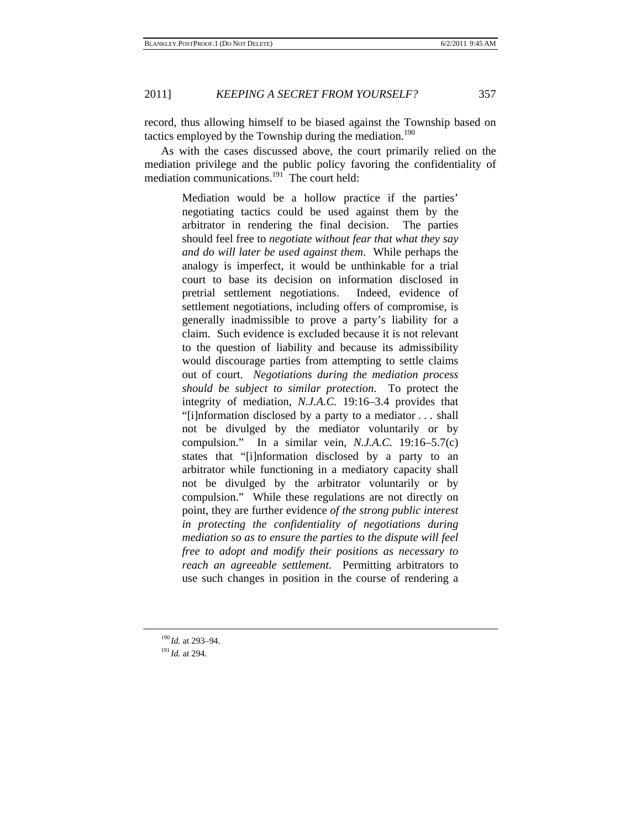record, thus allowing himself to be biased against the Township based on tactics employed by the Township during the mediation.<sup>190</sup>

As with the cases discussed above, the court primarily relied on the mediation privilege and the public policy favoring the confidentiality of mediation communications.<sup>191</sup> The court held:

> Mediation would be a hollow practice if the parties' negotiating tactics could be used against them by the arbitrator in rendering the final decision. The parties should feel free to *negotiate without fear that what they say and do will later be used against them*. While perhaps the analogy is imperfect, it would be unthinkable for a trial court to base its decision on information disclosed in pretrial settlement negotiations. Indeed, evidence of settlement negotiations, including offers of compromise, is generally inadmissible to prove a party's liability for a claim. Such evidence is excluded because it is not relevant to the question of liability and because its admissibility would discourage parties from attempting to settle claims out of court. *Negotiations during the mediation process should be subject to similar protection*. To protect the integrity of mediation, *N.J.A.C.* 19:16–3.4 provides that "[i]nformation disclosed by a party to a mediator . . . shall not be divulged by the mediator voluntarily or by compulsion." In a similar vein, *N.J.A.C.* 19:16–5.7(c) states that "[i]nformation disclosed by a party to an arbitrator while functioning in a mediatory capacity shall not be divulged by the arbitrator voluntarily or by compulsion." While these regulations are not directly on point, they are further evidence *of the strong public interest in protecting the confidentiality of negotiations during mediation so as to ensure the parties to the dispute will feel free to adopt and modify their positions as necessary to reach an agreeable settlement*.Permitting arbitrators to use such changes in position in the course of rendering a

<sup>190</sup> *Id.* at 293–94. 191 *Id.* at 294.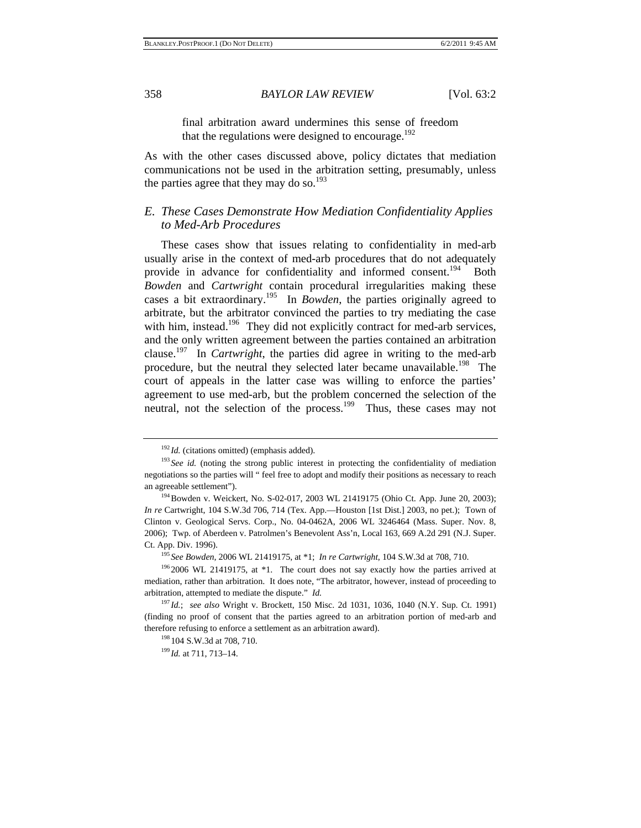final arbitration award undermines this sense of freedom that the regulations were designed to encourage.<sup>192</sup>

As with the other cases discussed above, policy dictates that mediation communications not be used in the arbitration setting, presumably, unless the parties agree that they may do so. $193$ 

#### *E. These Cases Demonstrate How Mediation Confidentiality Applies to Med-Arb Procedures*

These cases show that issues relating to confidentiality in med-arb usually arise in the context of med-arb procedures that do not adequately provide in advance for confidentiality and informed consent.<sup>194</sup> Both *Bowden* and *Cartwright* contain procedural irregularities making these cases a bit extraordinary.<sup>195</sup> In *Bowden*, the parties originally agreed to arbitrate, but the arbitrator convinced the parties to try mediating the case with him, instead.<sup>196</sup> They did not explicitly contract for med-arb services, and the only written agreement between the parties contained an arbitration clause.197 In *Cartwright*, the parties did agree in writing to the med-arb procedure, but the neutral they selected later became unavailable.<sup>198</sup> The court of appeals in the latter case was willing to enforce the parties' agreement to use med-arb, but the problem concerned the selection of the neutral, not the selection of the process.<sup>199</sup> Thus, these cases may not

mediation, rather than arbitration. It does note, "The arbitrator, however, instead of proceeding to arbitration, attempted to mediate the dispute." *Id.*

<sup>&</sup>lt;sup>192</sup> *Id.* (citations omitted) (emphasis added).<br><sup>193</sup> *See id.* (noting the strong public interest in protecting the confidentiality of mediation negotiations so the parties will " feel free to adopt and modify their positions as necessary to reach an agreeable settlement").<br><sup>194</sup>Bowden v. Weickert, No. S-02-017, 2003 WL 21419175 (Ohio Ct. App. June 20, 2003);

*In re* Cartwright, 104 S.W.3d 706, 714 (Tex. App.—Houston [1st Dist.] 2003, no pet.); Town of Clinton v. Geological Servs. Corp., No. 04-0462A, 2006 WL 3246464 (Mass. Super. Nov. 8, 2006); Twp. of Aberdeen v. Patrolmen's Benevolent Ass'n, Local 163*,* 669 A.2d 291 (N.J. Super. Ct. App. Div. 1996). 195 *See Bowden*, 2006 WL 21419175, at \*1; *In re Cartwright*, 104 S.W.3d at 708, 710. 196 2006 WL 21419175, at \*1. The court does not say exactly how the parties arrived at

<sup>197</sup> *Id.*; *see also* Wright v. Brockett, 150 Misc. 2d 1031, 1036, 1040 (N.Y. Sup. Ct. 1991) (finding no proof of consent that the parties agreed to an arbitration portion of med-arb and therefore refusing to enforce a settlement as an arbitration award).<br><sup>198</sup> 104 S.W.3d at 708, 710.<br><sup>199</sup> *Id.* at 711, 713–14.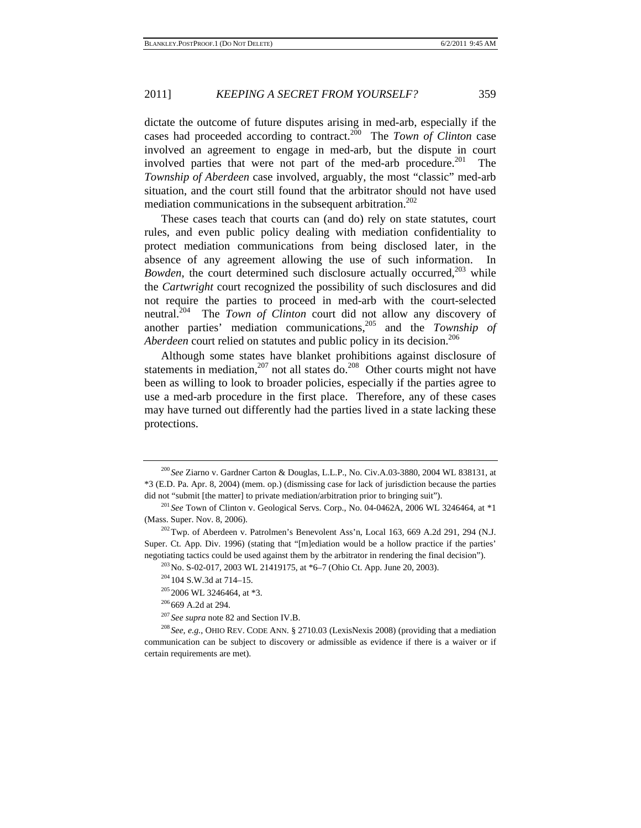dictate the outcome of future disputes arising in med-arb, especially if the cases had proceeded according to contract.200 The *Town of Clinton* case involved an agreement to engage in med-arb, but the dispute in court involved parties that were not part of the med-arb procedure.<sup>201</sup> The *Township of Aberdeen* case involved, arguably, the most "classic" med-arb situation, and the court still found that the arbitrator should not have used mediation communications in the subsequent arbitration.<sup>202</sup>

These cases teach that courts can (and do) rely on state statutes, court rules, and even public policy dealing with mediation confidentiality to protect mediation communications from being disclosed later, in the absence of any agreement allowing the use of such information. In *Bowden*, the court determined such disclosure actually occurred,<sup>203</sup> while the *Cartwright* court recognized the possibility of such disclosures and did not require the parties to proceed in med-arb with the court-selected neutral.204 The *Town of Clinton* court did not allow any discovery of another parties' mediation communications,205 and the *Township of Aberdeen* court relied on statutes and public policy in its decision.<sup>206</sup>

Although some states have blanket prohibitions against disclosure of statements in mediation,<sup>207</sup> not all states do.<sup>208</sup> Other courts might not have been as willing to look to broader policies, especially if the parties agree to use a med-arb procedure in the first place. Therefore, any of these cases may have turned out differently had the parties lived in a state lacking these protections.

<sup>200</sup> *See* Ziarno v. Gardner Carton & Douglas, L.L.P., No. Civ.A.03-3880, 2004 WL 838131, at \*3 (E.D. Pa. Apr. 8, 2004) (mem. op.) (dismissing case for lack of jurisdiction because the parties did not "submit [the matter] to private mediation/arbitration prior to bringing suit").<br><sup>201</sup> *See* Town of Clinton v. Geological Servs. Corp., No. 04-0462A, 2006 WL 3246464, at \*1

<sup>(</sup>Mass. Super. Nov. 8, 2006). 202Twp. of Aberdeen v. Patrolmen's Benevolent Ass'n, Local <sup>163</sup>*,* 669 A.2d 291, 294 (N.J.

Super. Ct. App. Div. 1996) (stating that "[m]ediation would be a hollow practice if the parties' negotiating tactics could be used against them by the arbitrator in rendering the final decision").<br>
<sup>203</sup> No. S-02-017, 2003 WL 21419175, at \*6–7 (Ohio Ct. App. June 20, 2003).<br>
<sup>204</sup> 104 S.W.3d at 714–15.<br>
<sup>205</sup> 2006 WL

communication can be subject to discovery or admissible as evidence if there is a waiver or if certain requirements are met).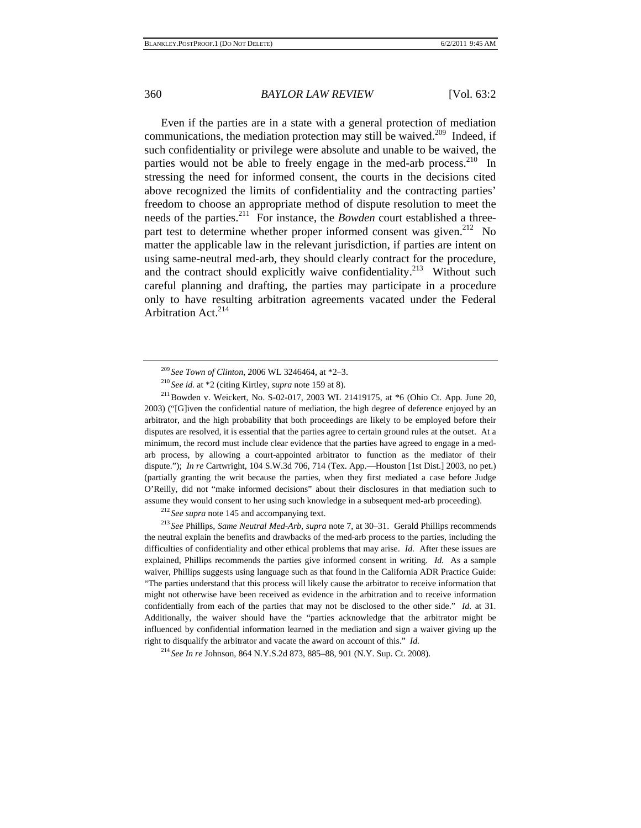Even if the parties are in a state with a general protection of mediation communications, the mediation protection may still be waived.<sup>209</sup> Indeed, if such confidentiality or privilege were absolute and unable to be waived, the parties would not be able to freely engage in the med-arb process.  $210$  In stressing the need for informed consent, the courts in the decisions cited above recognized the limits of confidentiality and the contracting parties' freedom to choose an appropriate method of dispute resolution to meet the needs of the parties.211 For instance, the *Bowden* court established a threepart test to determine whether proper informed consent was given.<sup>212</sup> No matter the applicable law in the relevant jurisdiction, if parties are intent on using same-neutral med-arb, they should clearly contract for the procedure, and the contract should explicitly waive confidentiality.<sup>213</sup> Without such careful planning and drafting, the parties may participate in a procedure only to have resulting arbitration agreements vacated under the Federal Arbitration Act.<sup>214</sup>

<sup>209</sup> *See Town of Clinton*, 2006 WL 3246464, at \*2–3.<br><sup>210</sup> *See id.* at \*2 (citing Kirtley, *supra* note 159 at 8).<br><sup>211</sup> Bowden v. Weickert, No. S-02-017, 2003 WL 21419175, at \*6 (Ohio Ct. App. June 20, 2003) ("[G]iven the confidential nature of mediation, the high degree of deference enjoyed by an arbitrator, and the high probability that both proceedings are likely to be employed before their disputes are resolved, it is essential that the parties agree to certain ground rules at the outset. At a minimum, the record must include clear evidence that the parties have agreed to engage in a medarb process, by allowing a court-appointed arbitrator to function as the mediator of their dispute."); *In re* Cartwright, 104 S.W.3d 706, 714 (Tex. App.—Houston [1st Dist.] 2003, no pet.) (partially granting the writ because the parties, when they first mediated a case before Judge O'Reilly, did not "make informed decisions" about their disclosures in that mediation such to assume they would consent to her using such knowledge in a subsequent med-arb proceeding).<br><sup>212</sup> See supra note 145 and accompanying text.<br><sup>213</sup> See Phillips, Same Neutral Med-Arb, supra note 7, at 30–31. Gerald Phillips r

the neutral explain the benefits and drawbacks of the med-arb process to the parties, including the difficulties of confidentiality and other ethical problems that may arise. *Id.* After these issues are explained, Phillips recommends the parties give informed consent in writing. *Id.* As a sample waiver, Phillips suggests using language such as that found in the California ADR Practice Guide: "The parties understand that this process will likely cause the arbitrator to receive information that might not otherwise have been received as evidence in the arbitration and to receive information confidentially from each of the parties that may not be disclosed to the other side." *Id.* at 31. Additionally, the waiver should have the "parties acknowledge that the arbitrator might be influenced by confidential information learned in the mediation and sign a waiver giving up the right to disqualify the arbitrator and vacate the award on account of this." *Id.*

<sup>214</sup> *See In re* Johnson, 864 N.Y.S.2d 873, 885–88, 901 (N.Y. Sup. Ct. 2008).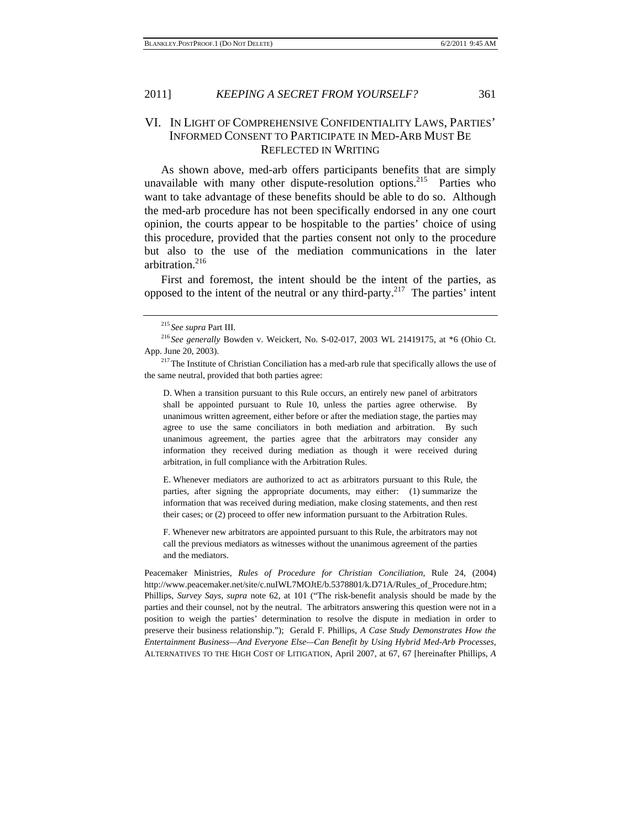#### 2011] *KEEPING A SECRET FROM YOURSELF?* 361

#### VI. IN LIGHT OF COMPREHENSIVE CONFIDENTIALITY LAWS, PARTIES' INFORMED CONSENT TO PARTICIPATE IN MED-ARB MUST BE REFLECTED IN WRITING

As shown above, med-arb offers participants benefits that are simply unavailable with many other dispute-resolution options.<sup>215</sup> Parties who want to take advantage of these benefits should be able to do so. Although the med-arb procedure has not been specifically endorsed in any one court opinion, the courts appear to be hospitable to the parties' choice of using this procedure, provided that the parties consent not only to the procedure but also to the use of the mediation communications in the later arbitration.<sup>216</sup>

First and foremost, the intent should be the intent of the parties, as opposed to the intent of the neutral or any third-party.<sup>217</sup> The parties' intent

<sup>215</sup> See supra Part III.<br><sup>216</sup> See generally Bowden v. Weickert, No. S-02-017, 2003 WL 21419175, at \*6 (Ohio Ct. App. June 20, 2003).<br><sup>217</sup>The Institute of Christian Conciliation has a med-arb rule that specifically allows the use of

D. When a transition pursuant to this Rule occurs, an entirely new panel of arbitrators shall be appointed pursuant to Rule 10, unless the parties agree otherwise. By unanimous written agreement, either before or after the mediation stage, the parties may agree to use the same conciliators in both mediation and arbitration. By such unanimous agreement, the parties agree that the arbitrators may consider any information they received during mediation as though it were received during arbitration, in full compliance with the Arbitration Rules.

E. Whenever mediators are authorized to act as arbitrators pursuant to this Rule, the parties, after signing the appropriate documents, may either: (1) summarize the information that was received during mediation, make closing statements, and then rest their cases; or (2) proceed to offer new information pursuant to the Arbitration Rules.

F. Whenever new arbitrators are appointed pursuant to this Rule, the arbitrators may not call the previous mediators as witnesses without the unanimous agreement of the parties and the mediators.

Peacemaker Ministries, *Rules of Procedure for Christian Conciliation*, Rule 24, (2004) http://www.peacemaker.net/site/c.nuIWL7MOJtE/b.5378801/k.D71A/Rules\_of\_Procedure.htm; Phillips, *Survey Says*, *supra* note 62, at 101 ("The risk-benefit analysis should be made by the parties and their counsel, not by the neutral. The arbitrators answering this question were not in a position to weigh the parties' determination to resolve the dispute in mediation in order to preserve their business relationship."); Gerald F. Phillips, *A Case Study Demonstrates How the Entertainment Business—And Everyone Else—Can Benefit by Using Hybrid Med-Arb Processes*, ALTERNATIVES TO THE HIGH COST OF LITIGATION, April 2007, at 67, 67 [hereinafter Phillips, *A* 

the same neutral, provided that both parties agree: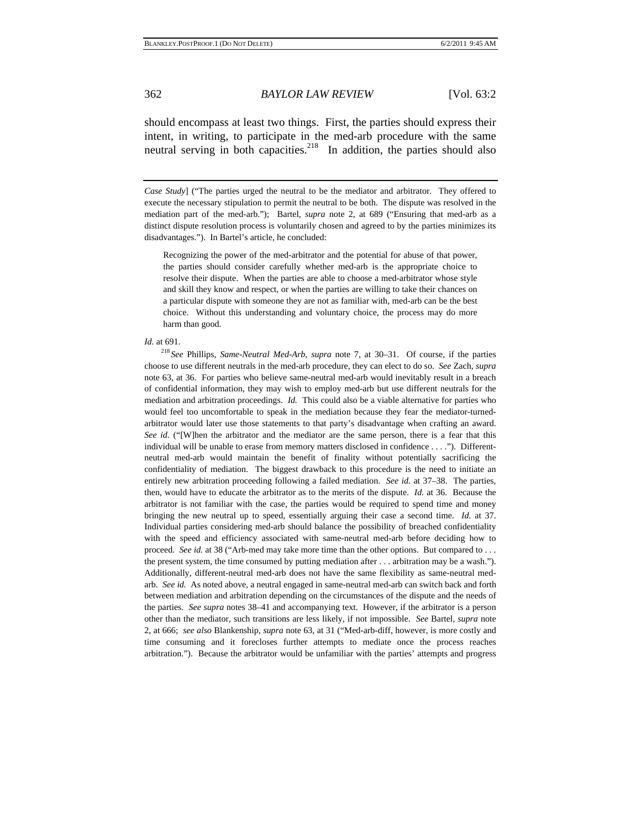should encompass at least two things. First, the parties should express their intent, in writing, to participate in the med-arb procedure with the same neutral serving in both capacities.<sup>218</sup> In addition, the parties should also

*Case Study*] ("The parties urged the neutral to be the mediator and arbitrator. They offered to execute the necessary stipulation to permit the neutral to be both. The dispute was resolved in the mediation part of the med-arb."); Bartel, *supra* note 2, at 689 ("Ensuring that med-arb as a distinct dispute resolution process is voluntarily chosen and agreed to by the parties minimizes its disadvantages."). In Bartel's article, he concluded:

Recognizing the power of the med-arbitrator and the potential for abuse of that power, the parties should consider carefully whether med-arb is the appropriate choice to resolve their dispute. When the parties are able to choose a med-arbitrator whose style and skill they know and respect, or when the parties are willing to take their chances on a particular dispute with someone they are not as familiar with, med-arb can be the best choice. Without this understanding and voluntary choice, the process may do more harm than good.

#### *Id.* at 691.

<sup>218</sup> *See* Phillips, *Same-Neutral Med-Arb*, *supra* note 7, at 30–31. Of course, if the parties choose to use different neutrals in the med-arb procedure, they can elect to do so. *See* Zach, *supra*  note 63, at 36. For parties who believe same-neutral med-arb would inevitably result in a breach of confidential information, they may wish to employ med-arb but use different neutrals for the mediation and arbitration proceedings. *Id.* This could also be a viable alternative for parties who would feel too uncomfortable to speak in the mediation because they fear the mediator-turnedarbitrator would later use those statements to that party's disadvantage when crafting an award. *See id.* ("[W]hen the arbitrator and the mediator are the same person, there is a fear that this individual will be unable to erase from memory matters disclosed in confidence . . . ."). Differentneutral med-arb would maintain the benefit of finality without potentially sacrificing the confidentiality of mediation. The biggest drawback to this procedure is the need to initiate an entirely new arbitration proceeding following a failed mediation. *See id.* at 37–38. The parties, then, would have to educate the arbitrator as to the merits of the dispute. *Id.* at 36. Because the arbitrator is not familiar with the case, the parties would be required to spend time and money bringing the new neutral up to speed, essentially arguing their case a second time. *Id.* at 37. Individual parties considering med-arb should balance the possibility of breached confidentiality with the speed and efficiency associated with same-neutral med-arb before deciding how to proceed. *See id.* at 38 ("Arb-med may take more time than the other options. But compared to . . . the present system, the time consumed by putting mediation after . . . arbitration may be a wash."). Additionally, different-neutral med-arb does not have the same flexibility as same-neutral medarb. *See id.* As noted above, a neutral engaged in same-neutral med-arb can switch back and forth between mediation and arbitration depending on the circumstances of the dispute and the needs of the parties. *See supra* notes 38–41 and accompanying text. However, if the arbitrator is a person other than the mediator, such transitions are less likely, if not impossible. *See* Bartel, *supra* note 2, at 666; *see also* Blankenship, *supra* note 63, at 31 ("Med-arb-diff, however, is more costly and time consuming and it forecloses further attempts to mediate once the process reaches arbitration."). Because the arbitrator would be unfamiliar with the parties' attempts and progress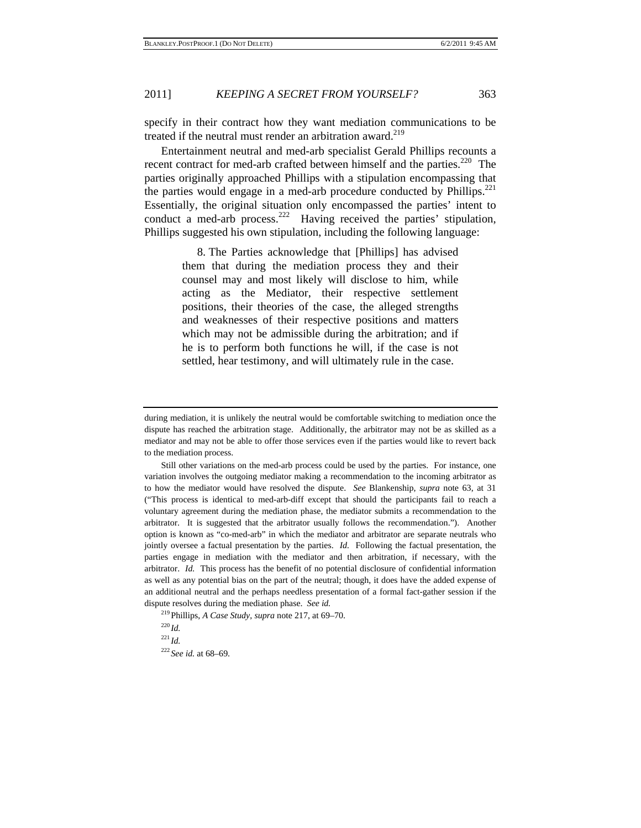specify in their contract how they want mediation communications to be treated if the neutral must render an arbitration award.<sup>219</sup>

Entertainment neutral and med-arb specialist Gerald Phillips recounts a recent contract for med-arb crafted between himself and the parties.<sup>220</sup> The parties originally approached Phillips with a stipulation encompassing that the parties would engage in a med-arb procedure conducted by Phillips.<sup>221</sup> Essentially, the original situation only encompassed the parties' intent to conduct a med-arb process.<sup>222</sup> Having received the parties' stipulation, Phillips suggested his own stipulation, including the following language:

> 8. The Parties acknowledge that [Phillips] has advised them that during the mediation process they and their counsel may and most likely will disclose to him, while acting as the Mediator, their respective settlement positions, their theories of the case, the alleged strengths and weaknesses of their respective positions and matters which may not be admissible during the arbitration; and if he is to perform both functions he will, if the case is not settled, hear testimony, and will ultimately rule in the case.

 Still other variations on the med-arb process could be used by the parties. For instance, one variation involves the outgoing mediator making a recommendation to the incoming arbitrator as to how the mediator would have resolved the dispute. *See* Blankenship, *supra* note 63, at 31 ("This process is identical to med-arb-diff except that should the participants fail to reach a voluntary agreement during the mediation phase, the mediator submits a recommendation to the arbitrator. It is suggested that the arbitrator usually follows the recommendation."). Another option is known as "co-med-arb" in which the mediator and arbitrator are separate neutrals who jointly oversee a factual presentation by the parties. *Id.* Following the factual presentation, the parties engage in mediation with the mediator and then arbitration, if necessary, with the arbitrator. *Id.* This process has the benefit of no potential disclosure of confidential information as well as any potential bias on the part of the neutral; though, it does have the added expense of an additional neutral and the perhaps needless presentation of a formal fact-gather session if the

dispute resolves during the mediation phase. *See id.* <sup>219</sup> Phillips, *A Case Study, supra* note 217, at 69–70. <sup>220</sup> *Id.*<br><sup>221</sup> *Id.*<sup>222</sup> *See id.* at 68–69.

during mediation, it is unlikely the neutral would be comfortable switching to mediation once the dispute has reached the arbitration stage. Additionally, the arbitrator may not be as skilled as a mediator and may not be able to offer those services even if the parties would like to revert back to the mediation process.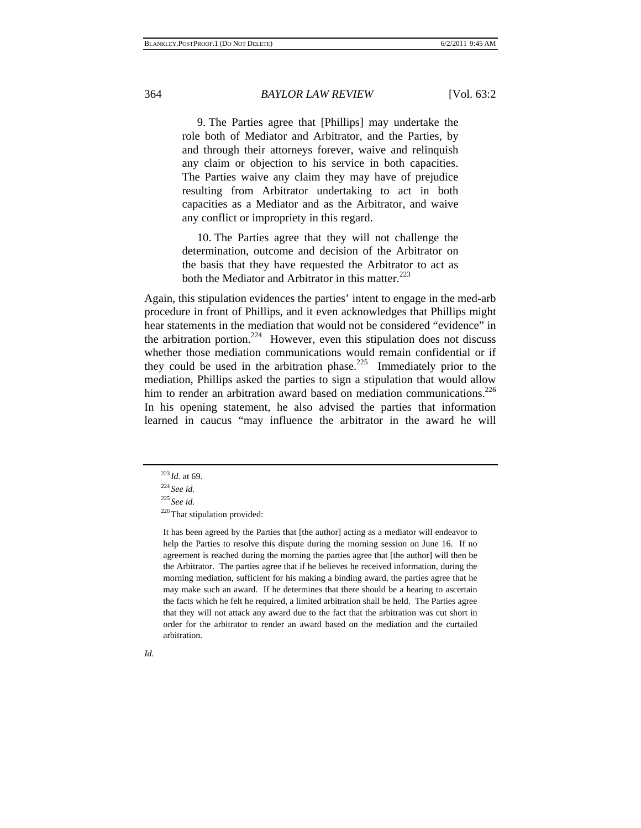9. The Parties agree that [Phillips] may undertake the role both of Mediator and Arbitrator, and the Parties, by and through their attorneys forever, waive and relinquish any claim or objection to his service in both capacities. The Parties waive any claim they may have of prejudice resulting from Arbitrator undertaking to act in both capacities as a Mediator and as the Arbitrator, and waive any conflict or impropriety in this regard.

10. The Parties agree that they will not challenge the determination, outcome and decision of the Arbitrator on the basis that they have requested the Arbitrator to act as both the Mediator and Arbitrator in this matter.<sup>223</sup>

Again, this stipulation evidences the parties' intent to engage in the med-arb procedure in front of Phillips, and it even acknowledges that Phillips might hear statements in the mediation that would not be considered "evidence" in the arbitration portion.<sup>224</sup> However, even this stipulation does not discuss whether those mediation communications would remain confidential or if they could be used in the arbitration phase.<sup>225</sup> Immediately prior to the mediation, Phillips asked the parties to sign a stipulation that would allow him to render an arbitration award based on mediation communications.<sup>226</sup> In his opening statement, he also advised the parties that information learned in caucus "may influence the arbitrator in the award he will

It has been agreed by the Parties that [the author] acting as a mediator will endeavor to help the Parties to resolve this dispute during the morning session on June 16. If no agreement is reached during the morning the parties agree that [the author] will then be the Arbitrator. The parties agree that if he believes he received information, during the morning mediation, sufficient for his making a binding award, the parties agree that he may make such an award. If he determines that there should be a hearing to ascertain the facts which he felt he required, a limited arbitration shall be held. The Parties agree that they will not attack any award due to the fact that the arbitration was cut short in order for the arbitrator to render an award based on the mediation and the curtailed arbitration.

<sup>223</sup> *Id.* at 69. 224 *See id.*

<sup>225</sup> *See id.*

 $226$ That stipulation provided: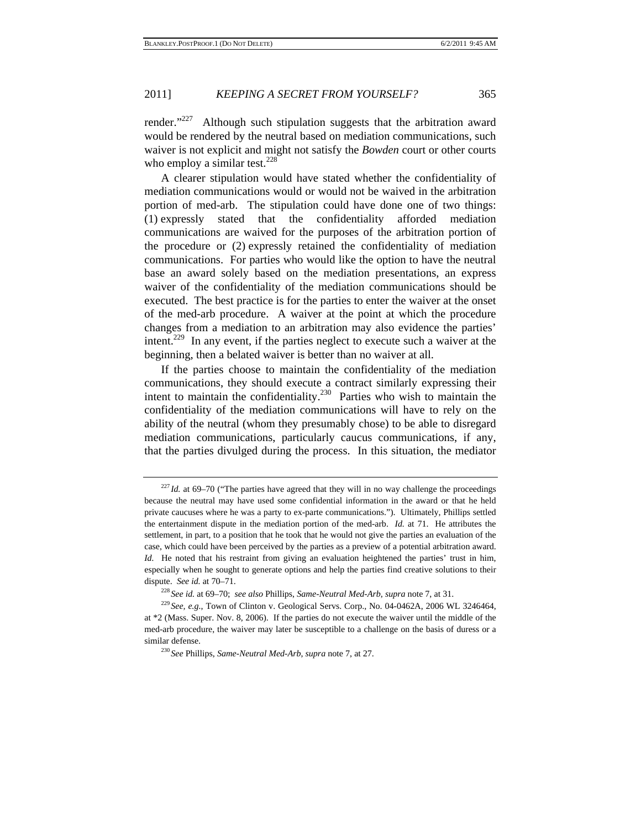render."<sup>227</sup> Although such stipulation suggests that the arbitration award would be rendered by the neutral based on mediation communications, such waiver is not explicit and might not satisfy the *Bowden* court or other courts who employ a similar test. $228$ 

A clearer stipulation would have stated whether the confidentiality of mediation communications would or would not be waived in the arbitration portion of med-arb. The stipulation could have done one of two things: (1) expressly stated that the confidentiality afforded mediation communications are waived for the purposes of the arbitration portion of the procedure or (2) expressly retained the confidentiality of mediation communications. For parties who would like the option to have the neutral base an award solely based on the mediation presentations, an express waiver of the confidentiality of the mediation communications should be executed. The best practice is for the parties to enter the waiver at the onset of the med-arb procedure. A waiver at the point at which the procedure changes from a mediation to an arbitration may also evidence the parties' intent.229 In any event, if the parties neglect to execute such a waiver at the beginning, then a belated waiver is better than no waiver at all.

If the parties choose to maintain the confidentiality of the mediation communications, they should execute a contract similarly expressing their intent to maintain the confidentiality.<sup>230</sup> Parties who wish to maintain the confidentiality of the mediation communications will have to rely on the ability of the neutral (whom they presumably chose) to be able to disregard mediation communications, particularly caucus communications, if any, that the parties divulged during the process. In this situation, the mediator

 $^{227}$ *Id.* at 69–70 ("The parties have agreed that they will in no way challenge the proceedings because the neutral may have used some confidential information in the award or that he held private caucuses where he was a party to ex-parte communications."). Ultimately, Phillips settled the entertainment dispute in the mediation portion of the med-arb. *Id.* at 71. He attributes the settlement, in part, to a position that he took that he would not give the parties an evaluation of the case, which could have been perceived by the parties as a preview of a potential arbitration award. *Id.* He noted that his restraint from giving an evaluation heightened the parties' trust in him, especially when he sought to generate options and help the parties find creative solutions to their dispute. See id. at 70–71.<br><sup>228</sup> See id. at 69–70; see also Phillips, Same-Neutral Med-Arb, supra note 7, at 31.<br><sup>229</sup> See, e.g., Town of Clinton v. Geological Servs. Corp., No. 04-0462A, 2006 WL 3246464,

at \*2 (Mass. Super. Nov. 8, 2006). If the parties do not execute the waiver until the middle of the med-arb procedure, the waiver may later be susceptible to a challenge on the basis of duress or a similar defense. 230 *See* Phillips, *Same-Neutral Med-Arb*, *supra* note 7, at 27.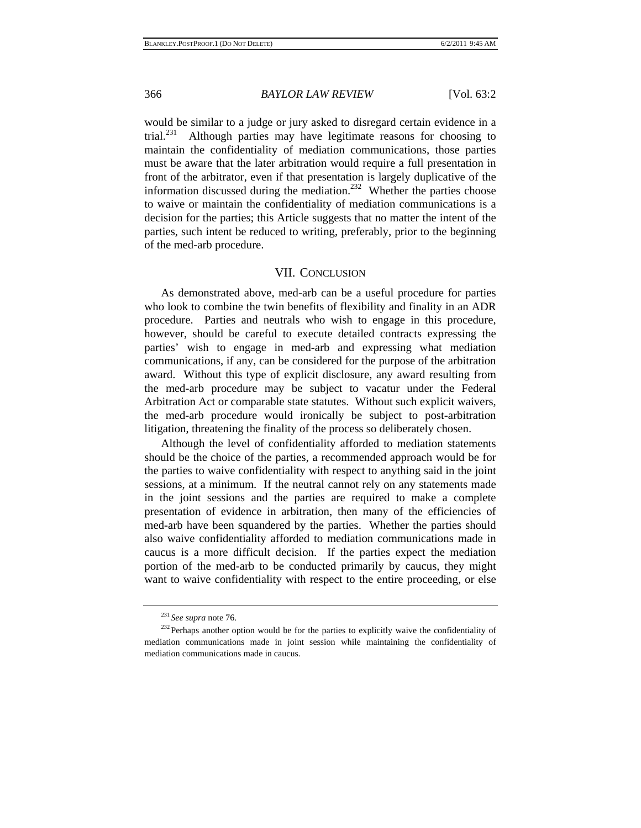would be similar to a judge or jury asked to disregard certain evidence in a trial.<sup>231</sup> Although parties may have legitimate reasons for choosing to Although parties may have legitimate reasons for choosing to maintain the confidentiality of mediation communications, those parties must be aware that the later arbitration would require a full presentation in front of the arbitrator, even if that presentation is largely duplicative of the information discussed during the mediation.<sup>232</sup> Whether the parties choose to waive or maintain the confidentiality of mediation communications is a decision for the parties; this Article suggests that no matter the intent of the parties, such intent be reduced to writing, preferably, prior to the beginning of the med-arb procedure.

#### VII. CONCLUSION

As demonstrated above, med-arb can be a useful procedure for parties who look to combine the twin benefits of flexibility and finality in an ADR procedure. Parties and neutrals who wish to engage in this procedure, however, should be careful to execute detailed contracts expressing the parties' wish to engage in med-arb and expressing what mediation communications, if any, can be considered for the purpose of the arbitration award. Without this type of explicit disclosure, any award resulting from the med-arb procedure may be subject to vacatur under the Federal Arbitration Act or comparable state statutes. Without such explicit waivers, the med-arb procedure would ironically be subject to post-arbitration litigation, threatening the finality of the process so deliberately chosen.

Although the level of confidentiality afforded to mediation statements should be the choice of the parties, a recommended approach would be for the parties to waive confidentiality with respect to anything said in the joint sessions, at a minimum. If the neutral cannot rely on any statements made in the joint sessions and the parties are required to make a complete presentation of evidence in arbitration, then many of the efficiencies of med-arb have been squandered by the parties. Whether the parties should also waive confidentiality afforded to mediation communications made in caucus is a more difficult decision. If the parties expect the mediation portion of the med-arb to be conducted primarily by caucus, they might want to waive confidentiality with respect to the entire proceeding, or else

<sup>&</sup>lt;sup>231</sup> *See supra* note 76.  $232$  Perhaps another option would be for the parties to explicitly waive the confidentiality of mediation communications made in joint session while maintaining the confidentiality of mediation communications made in caucus.